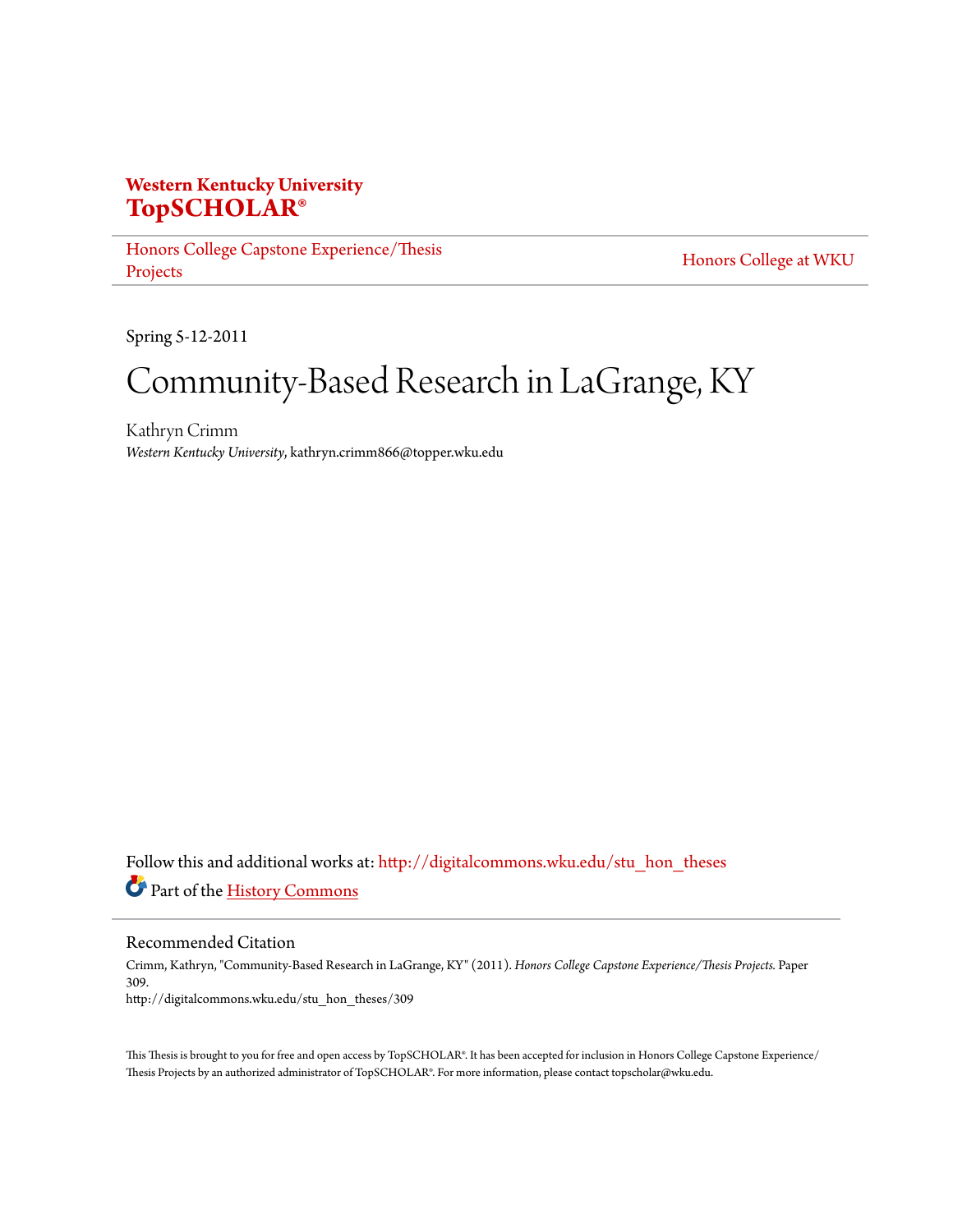## **Western Kentucky University [TopSCHOLAR®](http://digitalcommons.wku.edu?utm_source=digitalcommons.wku.edu%2Fstu_hon_theses%2F309&utm_medium=PDF&utm_campaign=PDFCoverPages)**

[Honors College Capstone Experience/Thesis](http://digitalcommons.wku.edu/stu_hon_theses?utm_source=digitalcommons.wku.edu%2Fstu_hon_theses%2F309&utm_medium=PDF&utm_campaign=PDFCoverPages) [Projects](http://digitalcommons.wku.edu/stu_hon_theses?utm_source=digitalcommons.wku.edu%2Fstu_hon_theses%2F309&utm_medium=PDF&utm_campaign=PDFCoverPages)

[Honors College at WKU](http://digitalcommons.wku.edu/honors_prog?utm_source=digitalcommons.wku.edu%2Fstu_hon_theses%2F309&utm_medium=PDF&utm_campaign=PDFCoverPages)

Spring 5-12-2011

# Community-Based Research in LaGrange, KY

Kathryn Crimm *Western Kentucky University*, kathryn.crimm866@topper.wku.edu

Follow this and additional works at: [http://digitalcommons.wku.edu/stu\\_hon\\_theses](http://digitalcommons.wku.edu/stu_hon_theses?utm_source=digitalcommons.wku.edu%2Fstu_hon_theses%2F309&utm_medium=PDF&utm_campaign=PDFCoverPages) Part of the [History Commons](http://network.bepress.com/hgg/discipline/489?utm_source=digitalcommons.wku.edu%2Fstu_hon_theses%2F309&utm_medium=PDF&utm_campaign=PDFCoverPages)

Recommended Citation

Crimm, Kathryn, "Community-Based Research in LaGrange, KY" (2011). *Honors College Capstone Experience/Thesis Projects.* Paper 309. http://digitalcommons.wku.edu/stu\_hon\_theses/309

This Thesis is brought to you for free and open access by TopSCHOLAR®. It has been accepted for inclusion in Honors College Capstone Experience/ Thesis Projects by an authorized administrator of TopSCHOLAR®. For more information, please contact topscholar@wku.edu.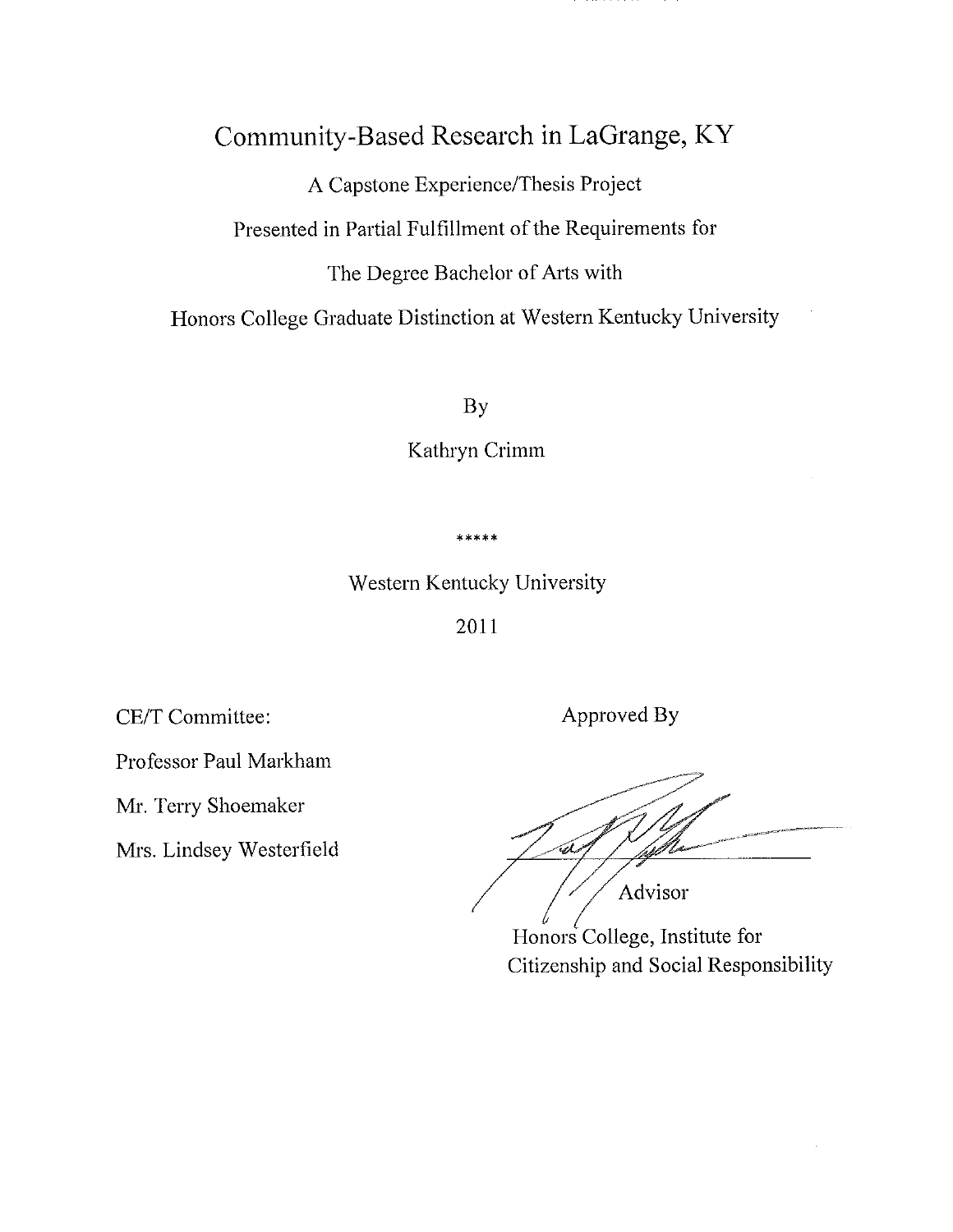## Community-Based Research in LaGrange, KY

A Capstone Experience/Thesis Project

Presented in Partial Fulfillment of the Requirements for

The Degree Bachelor of Arts with

Honors College Graduate Distinction at Western Kentucky University

**By** 

Kathryn Crimm

\*\*\*\*\*

Western Kentucky University

2011

CE/T Committee:

Professor Paul Markham

Mr. Terry Shoemaker

Mrs. Lindsey Westerfield

Approved By

-<br>a Advisor

Honors College, Institute for Citizenship and Social Responsibility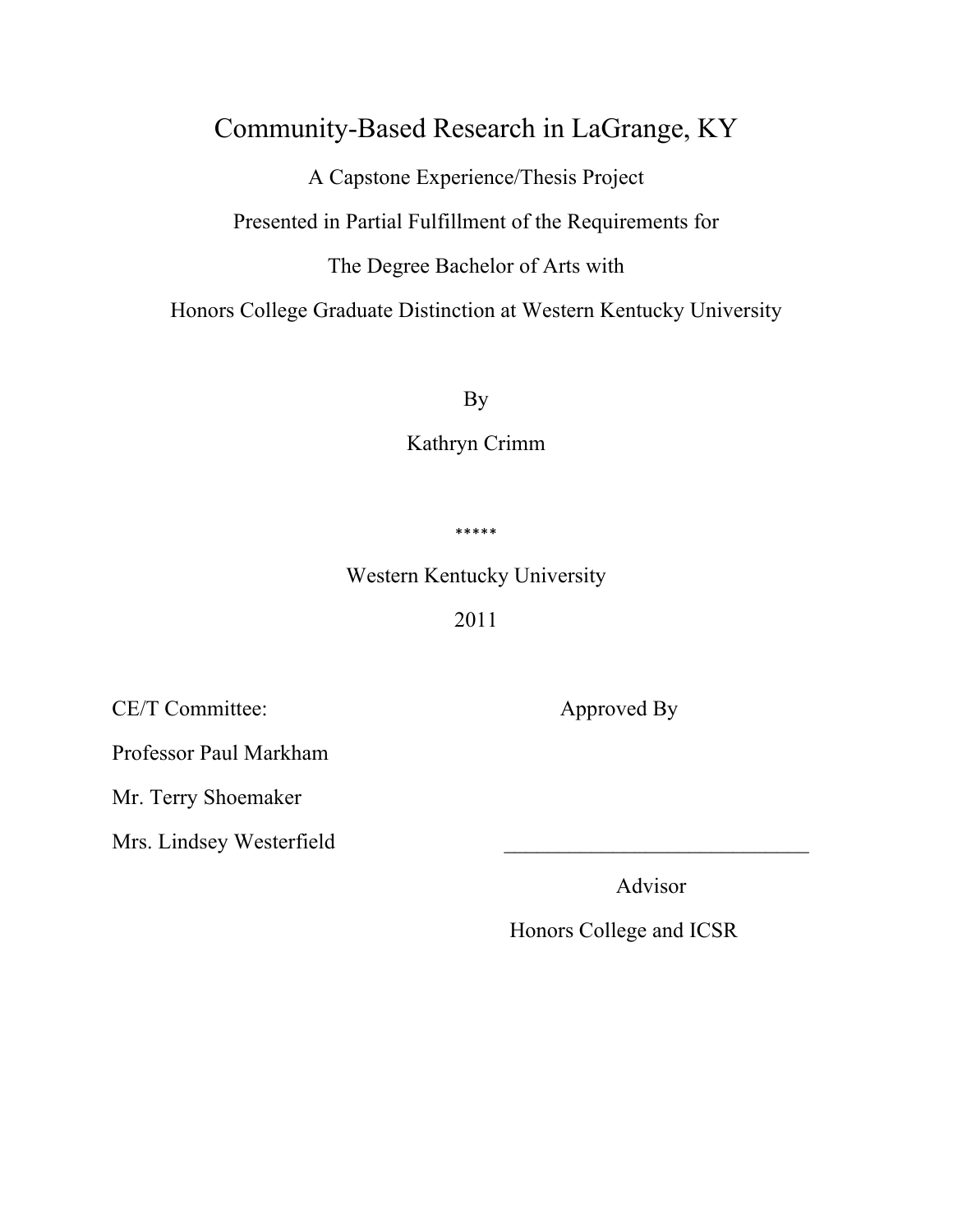## Community-Based Research in LaGrange, KY

A Capstone Experience/Thesis Project

Presented in Partial Fulfillment of the Requirements for

The Degree Bachelor of Arts with

Honors College Graduate Distinction at Western Kentucky University

By

Kathryn Crimm

\*\*\*\*\*

Western Kentucky University

2011

CE/T Committee:

Professor Paul Markham

Mr. Terry Shoemaker

Mrs. Lindsey Westerfield

Approved By

Advisor

Honors College and ICSR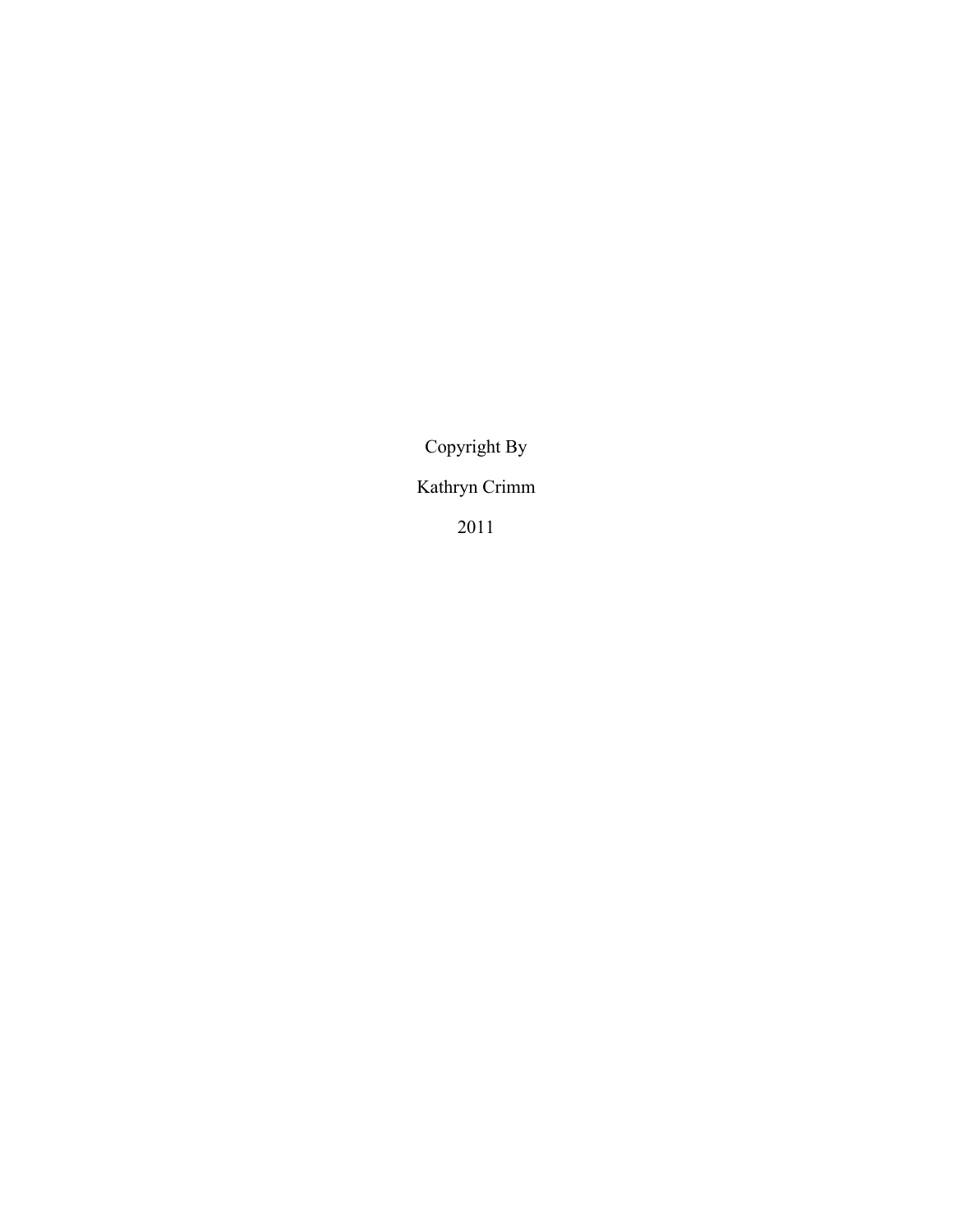Copyright By

Kathryn Crimm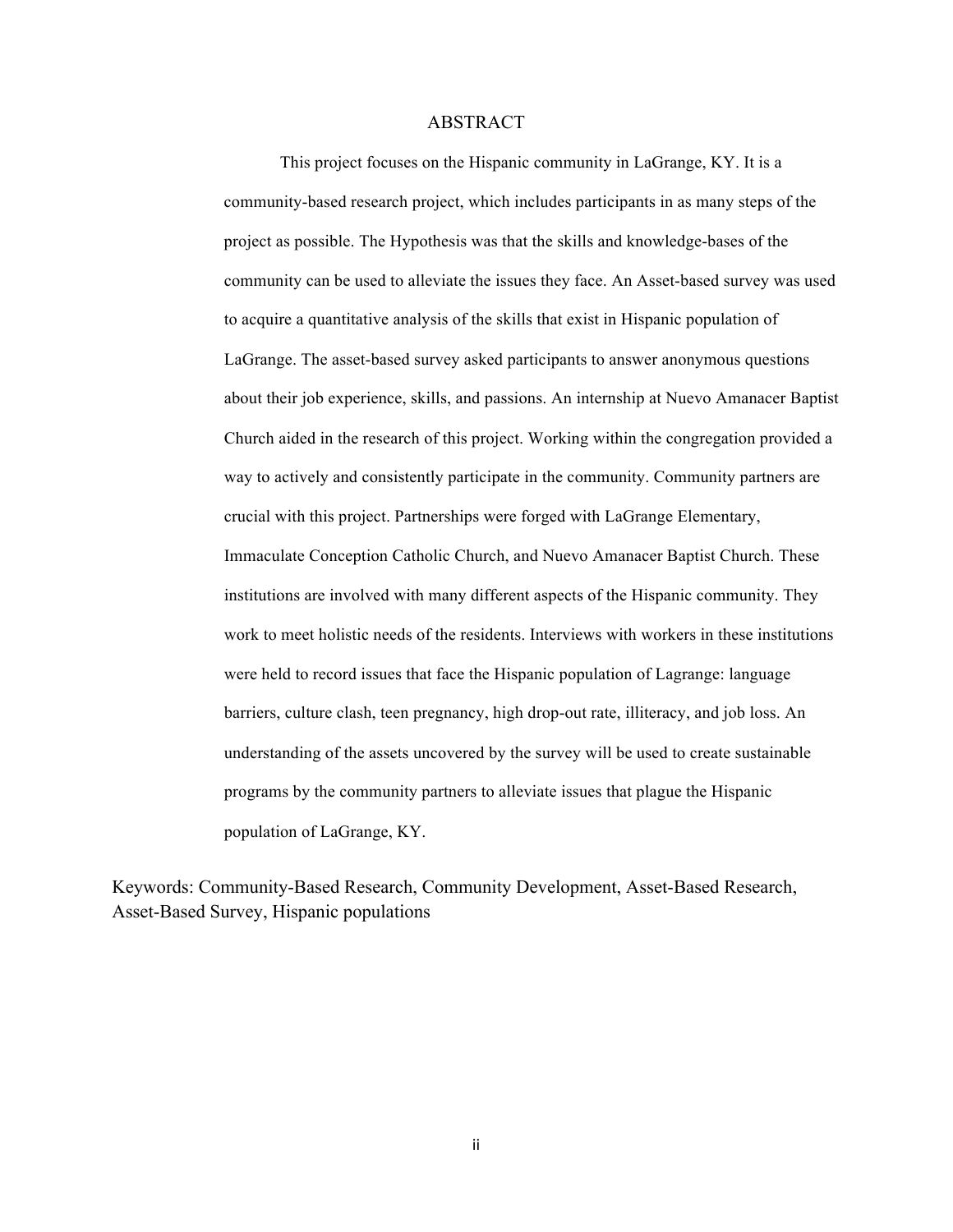#### ABSTRACT

This project focuses on the Hispanic community in LaGrange, KY. It is a community-based research project, which includes participants in as many steps of the project as possible. The Hypothesis was that the skills and knowledge-bases of the community can be used to alleviate the issues they face. An Asset-based survey was used to acquire a quantitative analysis of the skills that exist in Hispanic population of LaGrange. The asset-based survey asked participants to answer anonymous questions about their job experience, skills, and passions. An internship at Nuevo Amanacer Baptist Church aided in the research of this project. Working within the congregation provided a way to actively and consistently participate in the community. Community partners are crucial with this project. Partnerships were forged with LaGrange Elementary, Immaculate Conception Catholic Church, and Nuevo Amanacer Baptist Church. These institutions are involved with many different aspects of the Hispanic community. They work to meet holistic needs of the residents. Interviews with workers in these institutions were held to record issues that face the Hispanic population of Lagrange: language barriers, culture clash, teen pregnancy, high drop-out rate, illiteracy, and job loss. An understanding of the assets uncovered by the survey will be used to create sustainable programs by the community partners to alleviate issues that plague the Hispanic population of LaGrange, KY.

Keywords: Community-Based Research, Community Development, Asset-Based Research, Asset-Based Survey, Hispanic populations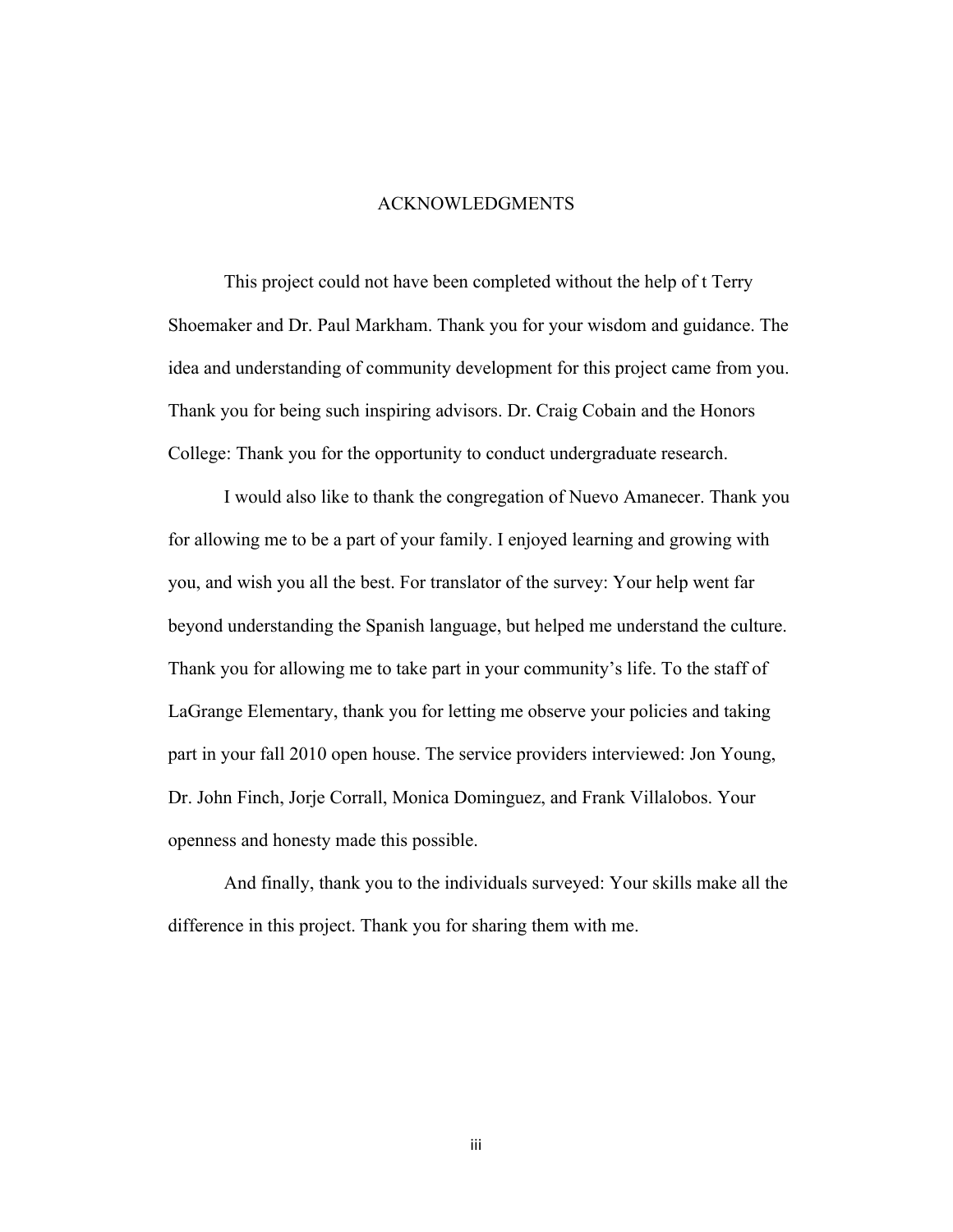#### ACKNOWLEDGMENTS

This project could not have been completed without the help of t Terry Shoemaker and Dr. Paul Markham. Thank you for your wisdom and guidance. The idea and understanding of community development for this project came from you. Thank you for being such inspiring advisors. Dr. Craig Cobain and the Honors College: Thank you for the opportunity to conduct undergraduate research.

I would also like to thank the congregation of Nuevo Amanecer. Thank you for allowing me to be a part of your family. I enjoyed learning and growing with you, and wish you all the best. For translator of the survey: Your help went far beyond understanding the Spanish language, but helped me understand the culture. Thank you for allowing me to take part in your community's life. To the staff of LaGrange Elementary, thank you for letting me observe your policies and taking part in your fall 2010 open house. The service providers interviewed: Jon Young, Dr. John Finch, Jorje Corrall, Monica Dominguez, and Frank Villalobos. Your openness and honesty made this possible.

And finally, thank you to the individuals surveyed: Your skills make all the difference in this project. Thank you for sharing them with me.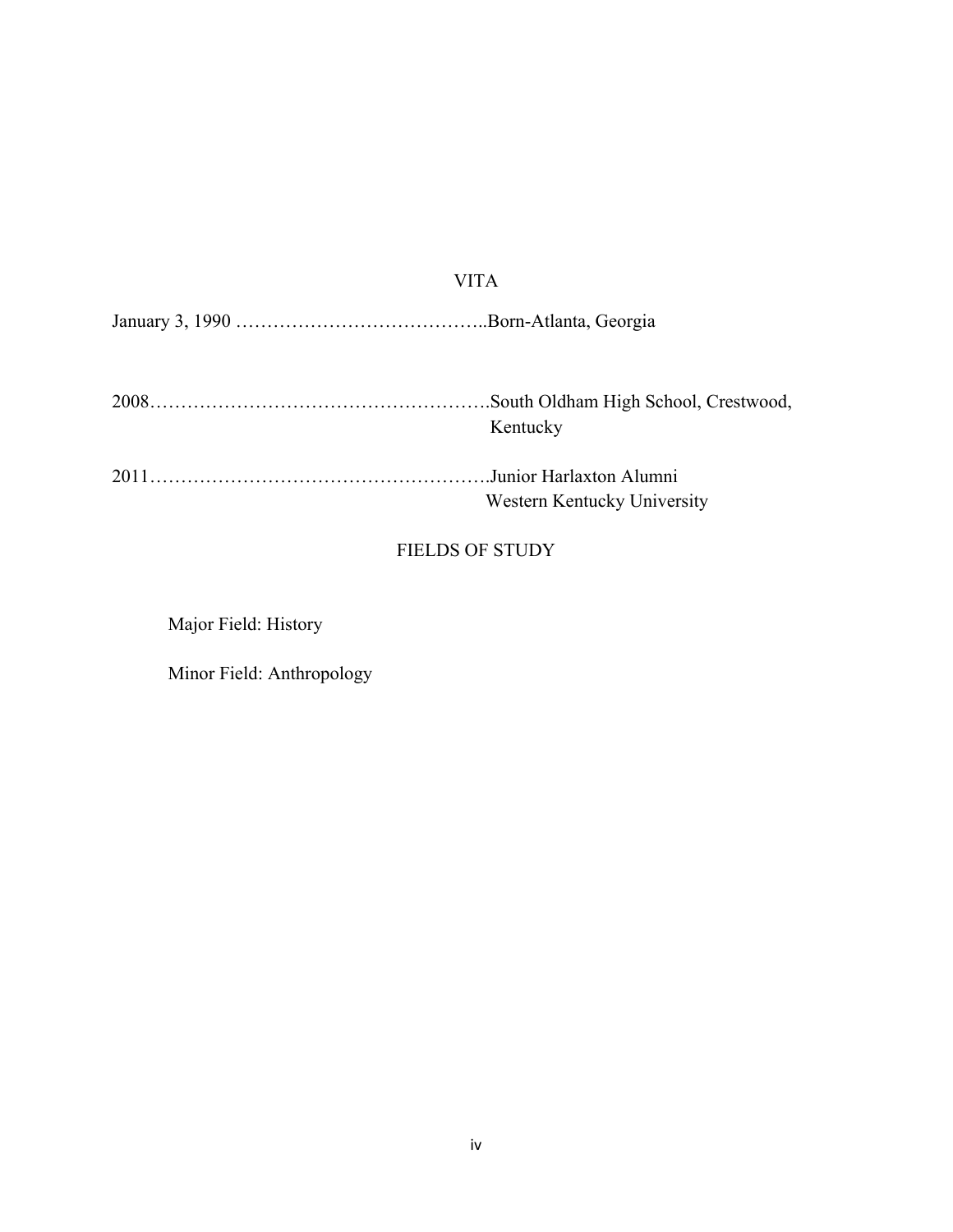#### VITA

January 3, 1990 …………………………………..Born-Atlanta, Georgia

| Kentucky |
|----------|
|          |

2011……………………………………………….Junior Harlaxton Alumni Western Kentucky University

## FIELDS OF STUDY

Major Field: History

Minor Field: Anthropology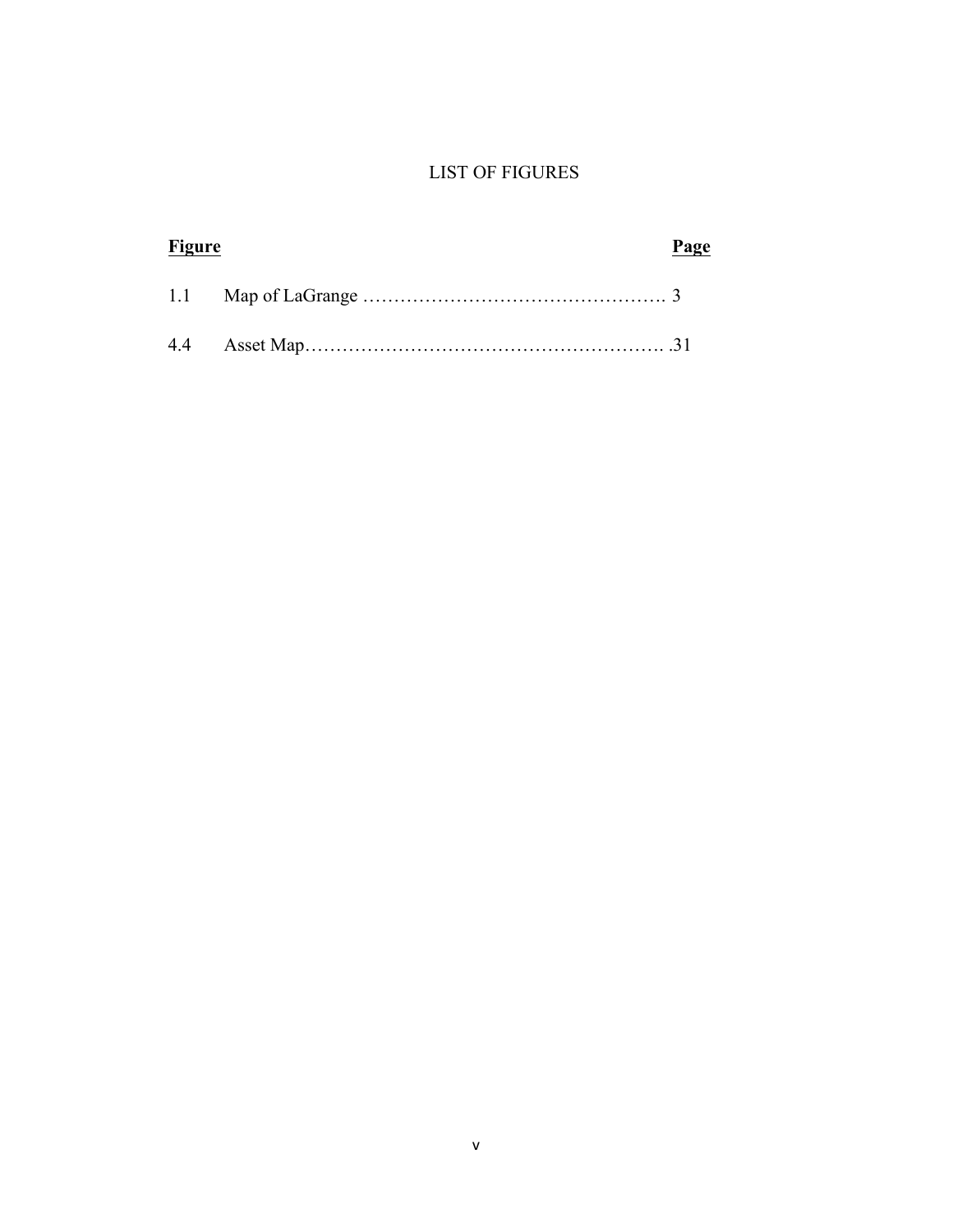## LIST OF FIGURES

| Figure |  | Page |  |
|--------|--|------|--|
|        |  |      |  |
|        |  |      |  |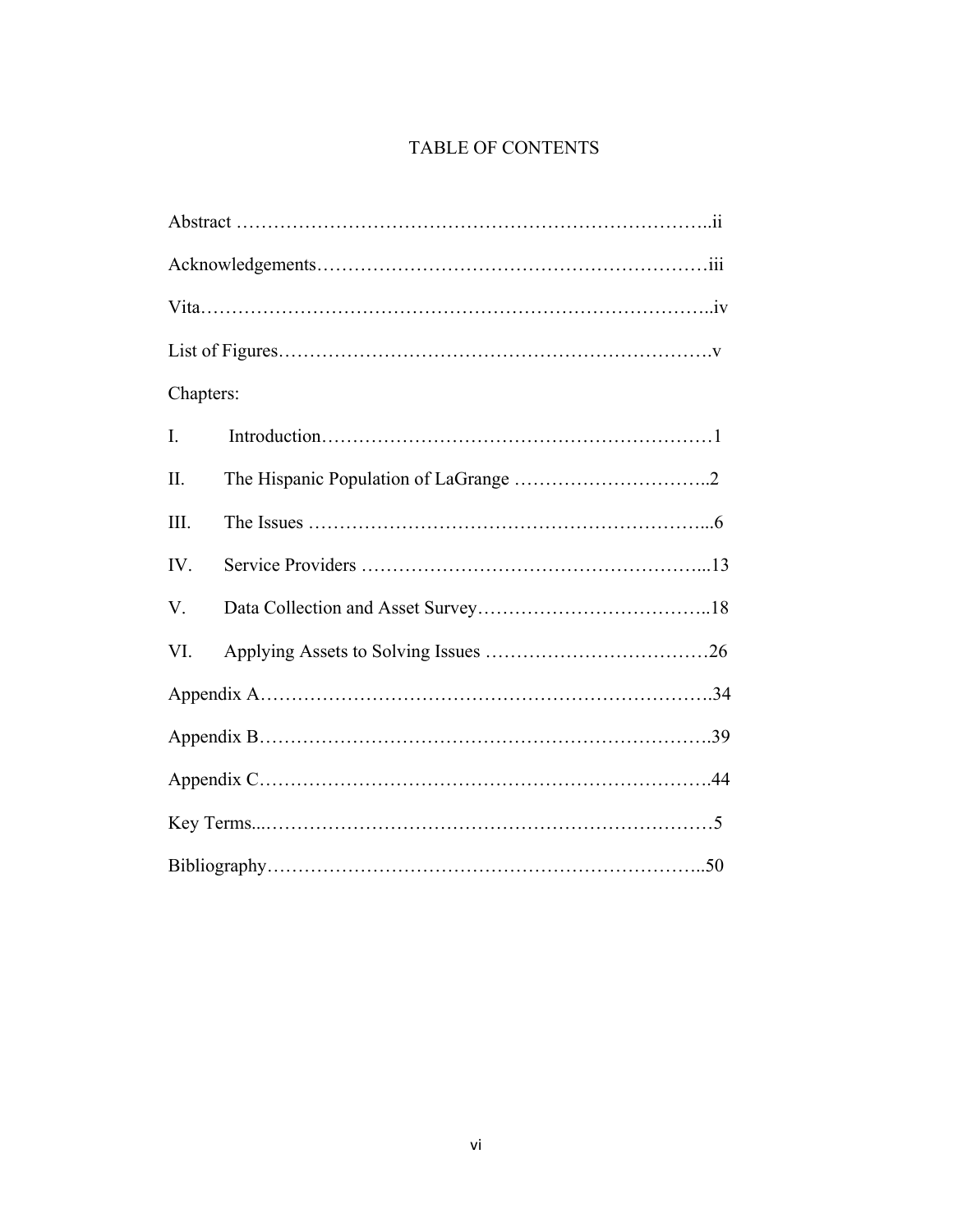## TABLE OF CONTENTS

| Chapters:      |  |
|----------------|--|
| $\mathbf{I}$ . |  |
| II.            |  |
| III.           |  |
| IV.            |  |
| V.             |  |
| VI.            |  |
|                |  |
|                |  |
|                |  |
|                |  |
|                |  |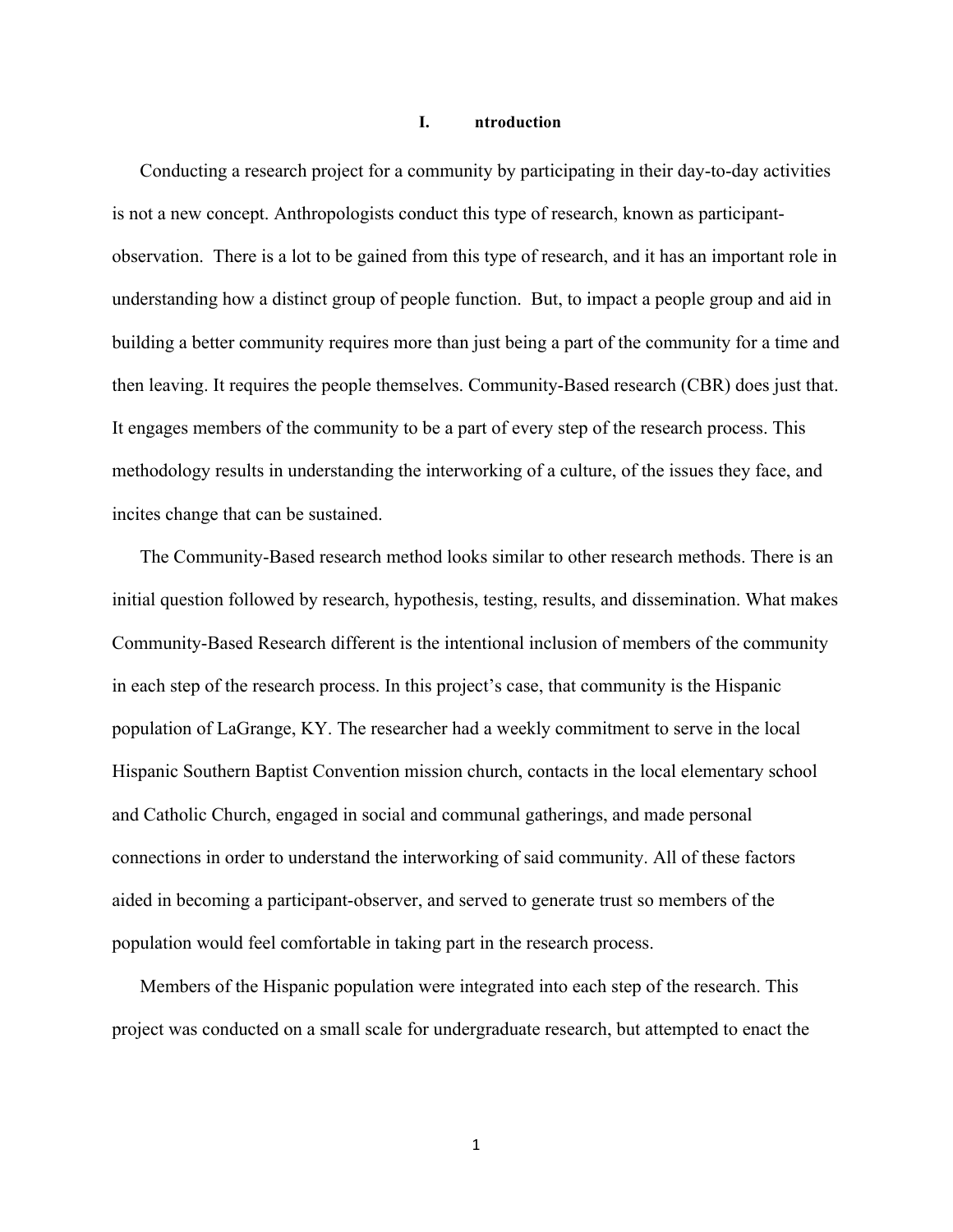#### **I. ntroduction**

Conducting a research project for a community by participating in their day-to-day activities is not a new concept. Anthropologists conduct this type of research, known as participantobservation. There is a lot to be gained from this type of research, and it has an important role in understanding how a distinct group of people function. But, to impact a people group and aid in building a better community requires more than just being a part of the community for a time and then leaving. It requires the people themselves. Community-Based research (CBR) does just that. It engages members of the community to be a part of every step of the research process. This methodology results in understanding the interworking of a culture, of the issues they face, and incites change that can be sustained.

The Community-Based research method looks similar to other research methods. There is an initial question followed by research, hypothesis, testing, results, and dissemination. What makes Community-Based Research different is the intentional inclusion of members of the community in each step of the research process. In this project's case, that community is the Hispanic population of LaGrange, KY. The researcher had a weekly commitment to serve in the local Hispanic Southern Baptist Convention mission church, contacts in the local elementary school and Catholic Church, engaged in social and communal gatherings, and made personal connections in order to understand the interworking of said community. All of these factors aided in becoming a participant-observer, and served to generate trust so members of the population would feel comfortable in taking part in the research process.

Members of the Hispanic population were integrated into each step of the research. This project was conducted on a small scale for undergraduate research, but attempted to enact the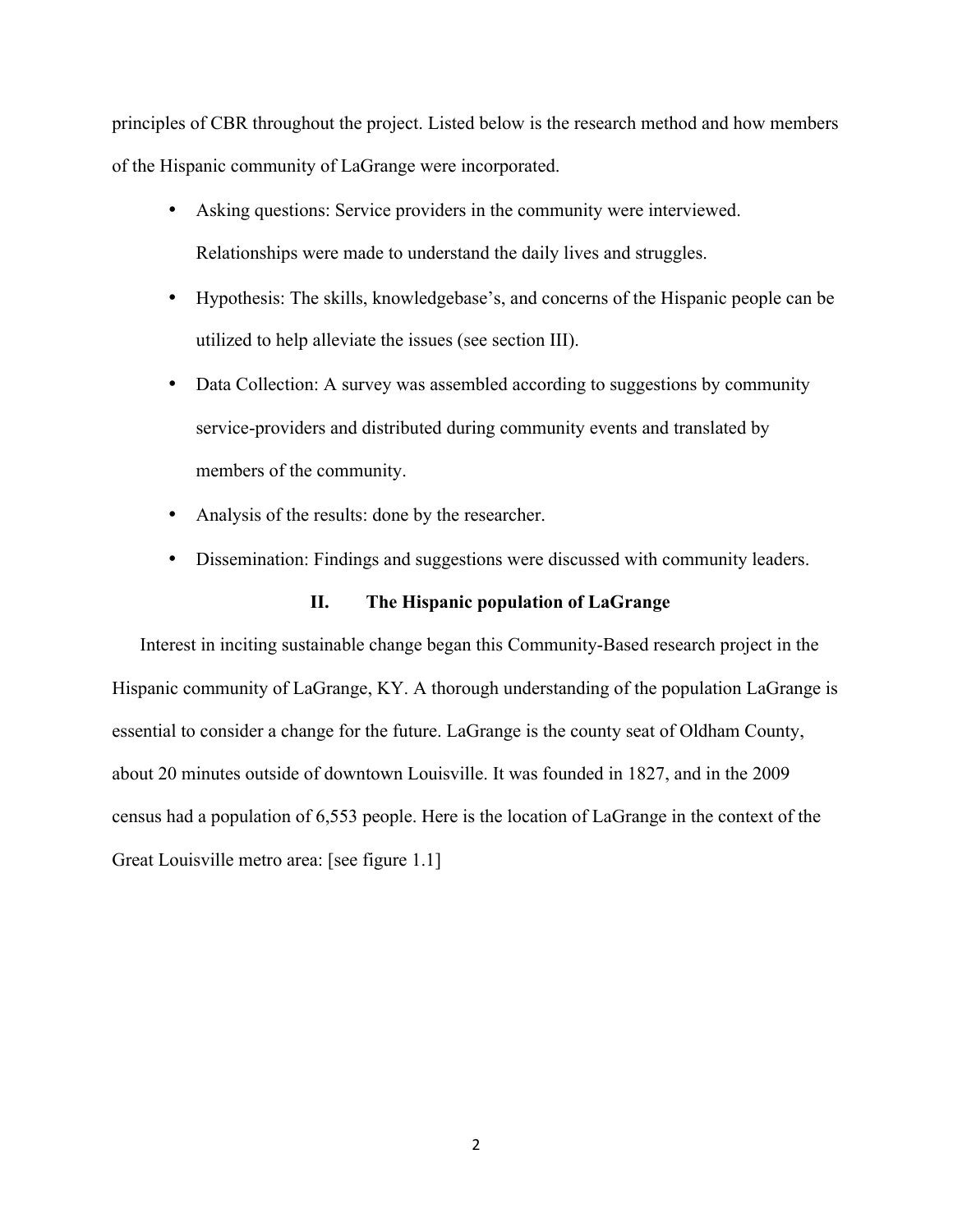principles of CBR throughout the project. Listed below is the research method and how members of the Hispanic community of LaGrange were incorporated.

- Asking questions: Service providers in the community were interviewed. Relationships were made to understand the daily lives and struggles.
- Hypothesis: The skills, knowledgebase's, and concerns of the Hispanic people can be utilized to help alleviate the issues (see section III).
- Data Collection: A survey was assembled according to suggestions by community service-providers and distributed during community events and translated by members of the community.
- Analysis of the results: done by the researcher.
- Dissemination: Findings and suggestions were discussed with community leaders.

#### **II. The Hispanic population of LaGrange**

Interest in inciting sustainable change began this Community-Based research project in the Hispanic community of LaGrange, KY. A thorough understanding of the population LaGrange is essential to consider a change for the future. LaGrange is the county seat of Oldham County, about 20 minutes outside of downtown Louisville. It was founded in 1827, and in the 2009 census had a population of 6,553 people. Here is the location of LaGrange in the context of the Great Louisville metro area: [see figure 1.1]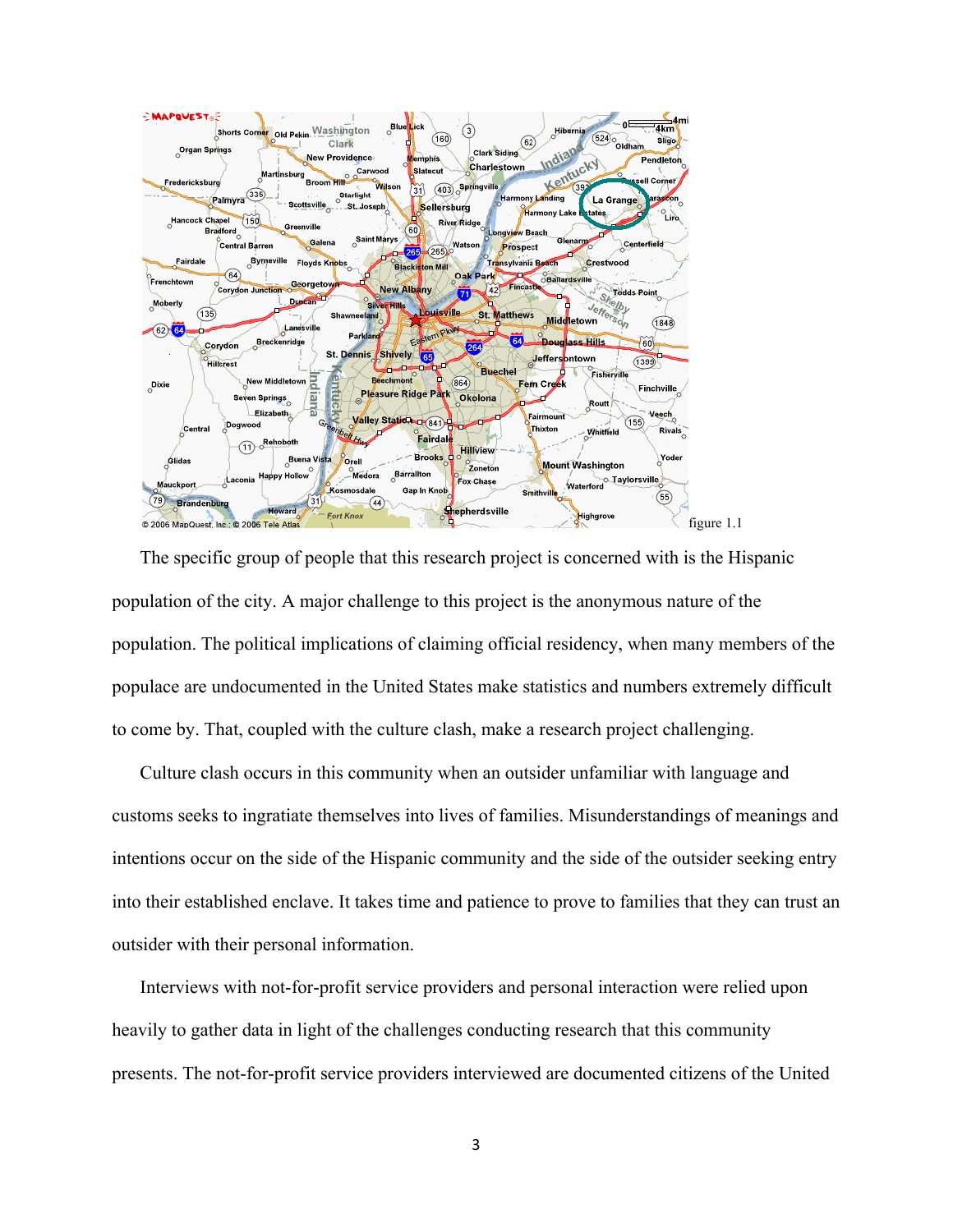

The specific group of people that this research project is concerned with is the Hispanic population of the city. A major challenge to this project is the anonymous nature of the population. The political implications of claiming official residency, when many members of the populace are undocumented in the United States make statistics and numbers extremely difficult to come by. That, coupled with the culture clash, make a research project challenging.

Culture clash occurs in this community when an outsider unfamiliar with language and customs seeks to ingratiate themselves into lives of families. Misunderstandings of meanings and intentions occur on the side of the Hispanic community and the side of the outsider seeking entry into their established enclave. It takes time and patience to prove to families that they can trust an outsider with their personal information.

Interviews with not-for-profit service providers and personal interaction were relied upon heavily to gather data in light of the challenges conducting research that this community presents. The not-for-profit service providers interviewed are documented citizens of the United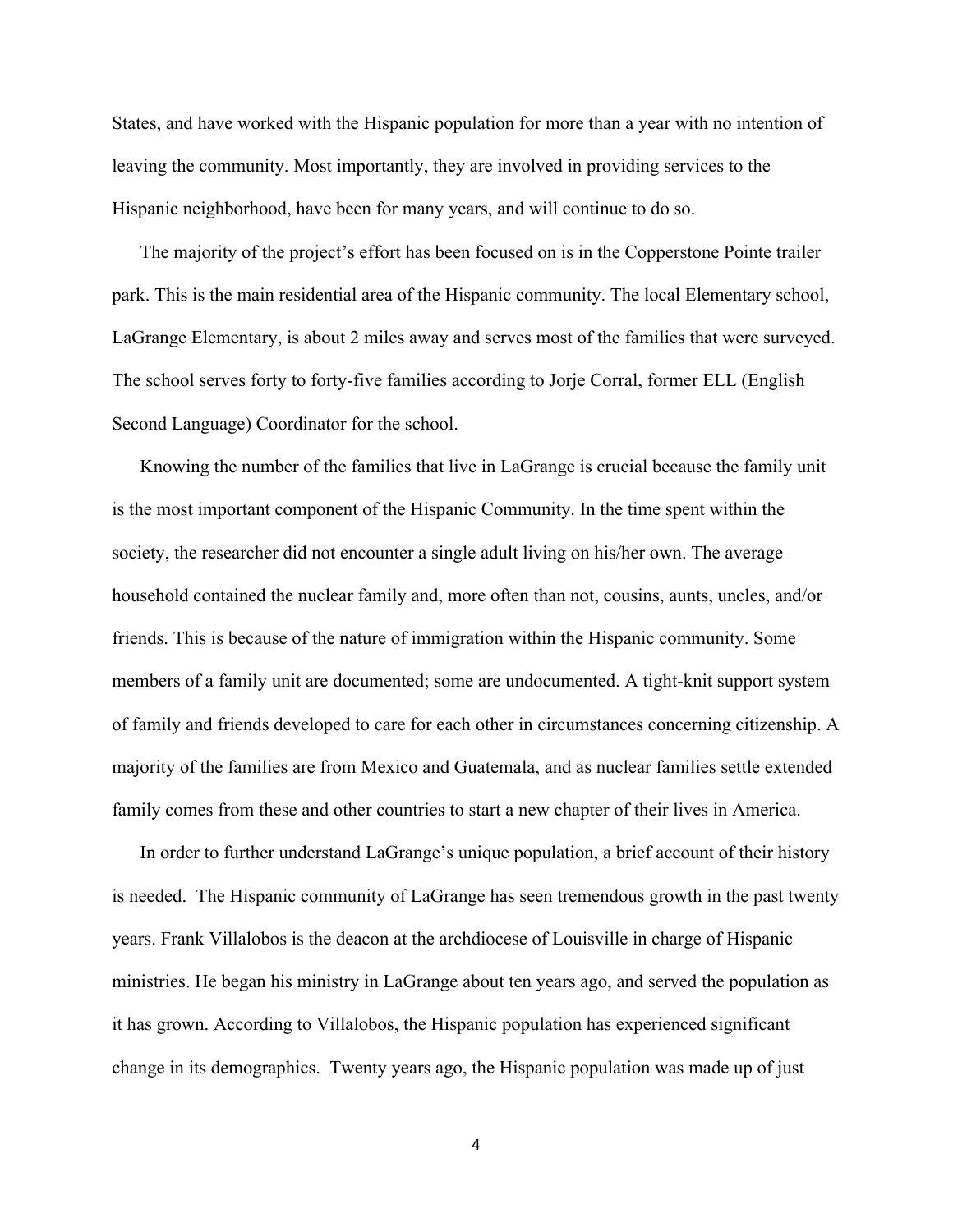States, and have worked with the Hispanic population for more than a year with no intention of leaving the community. Most importantly, they are involved in providing services to the Hispanic neighborhood, have been for many years, and will continue to do so.

The majority of the project's effort has been focused on is in the Copperstone Pointe trailer park. This is the main residential area of the Hispanic community. The local Elementary school, LaGrange Elementary, is about 2 miles away and serves most of the families that were surveyed. The school serves forty to forty-five families according to Jorje Corral, former ELL (English Second Language) Coordinator for the school.

Knowing the number of the families that live in LaGrange is crucial because the family unit is the most important component of the Hispanic Community. In the time spent within the society, the researcher did not encounter a single adult living on his/her own. The average household contained the nuclear family and, more often than not, cousins, aunts, uncles, and/or friends. This is because of the nature of immigration within the Hispanic community. Some members of a family unit are documented; some are undocumented. A tight-knit support system of family and friends developed to care for each other in circumstances concerning citizenship. A majority of the families are from Mexico and Guatemala, and as nuclear families settle extended family comes from these and other countries to start a new chapter of their lives in America.

In order to further understand LaGrange's unique population, a brief account of their history is needed. The Hispanic community of LaGrange has seen tremendous growth in the past twenty years. Frank Villalobos is the deacon at the archdiocese of Louisville in charge of Hispanic ministries. He began his ministry in LaGrange about ten years ago, and served the population as it has grown. According to Villalobos, the Hispanic population has experienced significant change in its demographics. Twenty years ago, the Hispanic population was made up of just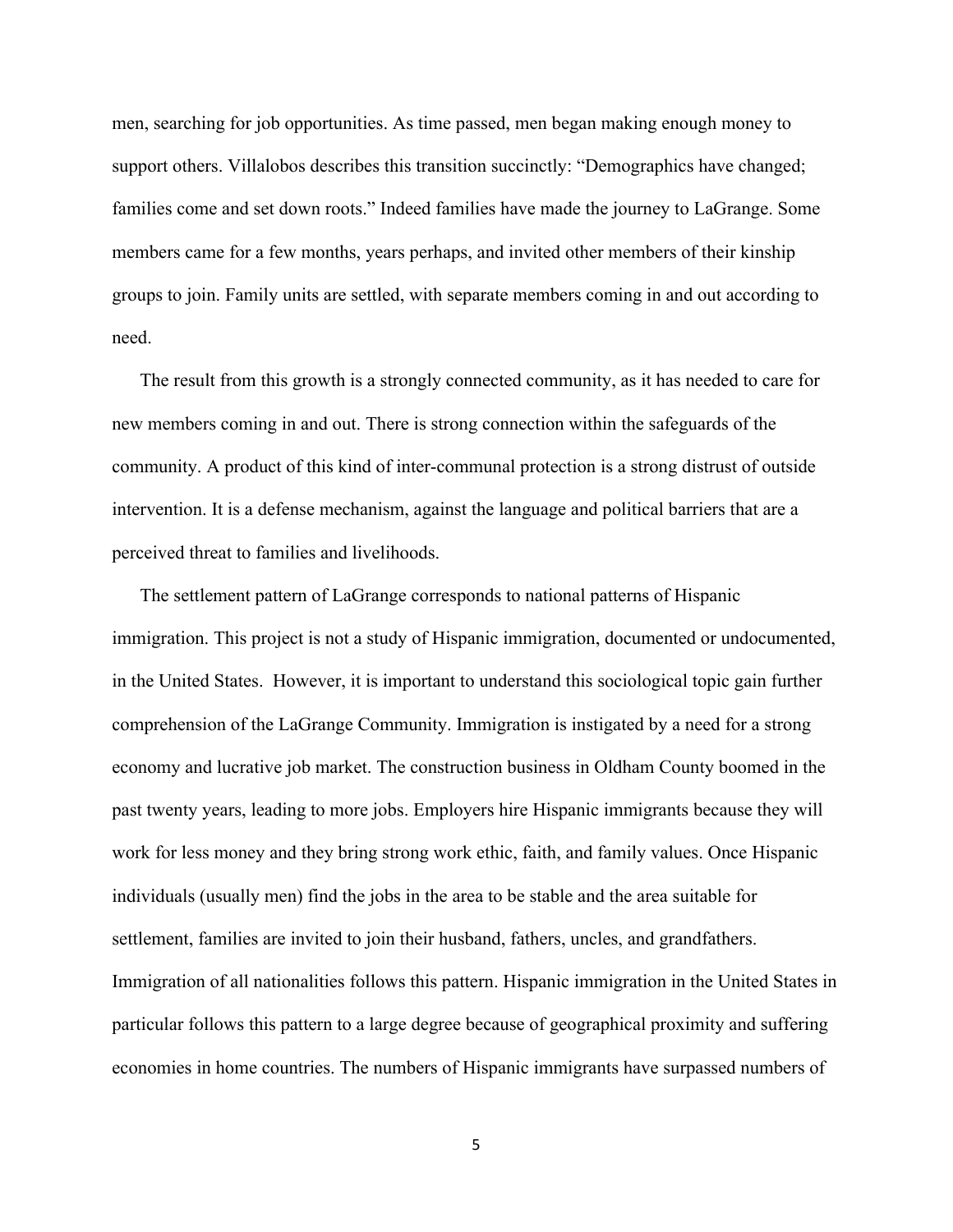men, searching for job opportunities. As time passed, men began making enough money to support others. Villalobos describes this transition succinctly: "Demographics have changed; families come and set down roots." Indeed families have made the journey to LaGrange. Some members came for a few months, years perhaps, and invited other members of their kinship groups to join. Family units are settled, with separate members coming in and out according to need.

The result from this growth is a strongly connected community, as it has needed to care for new members coming in and out. There is strong connection within the safeguards of the community. A product of this kind of inter-communal protection is a strong distrust of outside intervention. It is a defense mechanism, against the language and political barriers that are a perceived threat to families and livelihoods.

The settlement pattern of LaGrange corresponds to national patterns of Hispanic immigration. This project is not a study of Hispanic immigration, documented or undocumented, in the United States. However, it is important to understand this sociological topic gain further comprehension of the LaGrange Community. Immigration is instigated by a need for a strong economy and lucrative job market. The construction business in Oldham County boomed in the past twenty years, leading to more jobs. Employers hire Hispanic immigrants because they will work for less money and they bring strong work ethic, faith, and family values. Once Hispanic individuals (usually men) find the jobs in the area to be stable and the area suitable for settlement, families are invited to join their husband, fathers, uncles, and grandfathers. Immigration of all nationalities follows this pattern. Hispanic immigration in the United States in particular follows this pattern to a large degree because of geographical proximity and suffering economies in home countries. The numbers of Hispanic immigrants have surpassed numbers of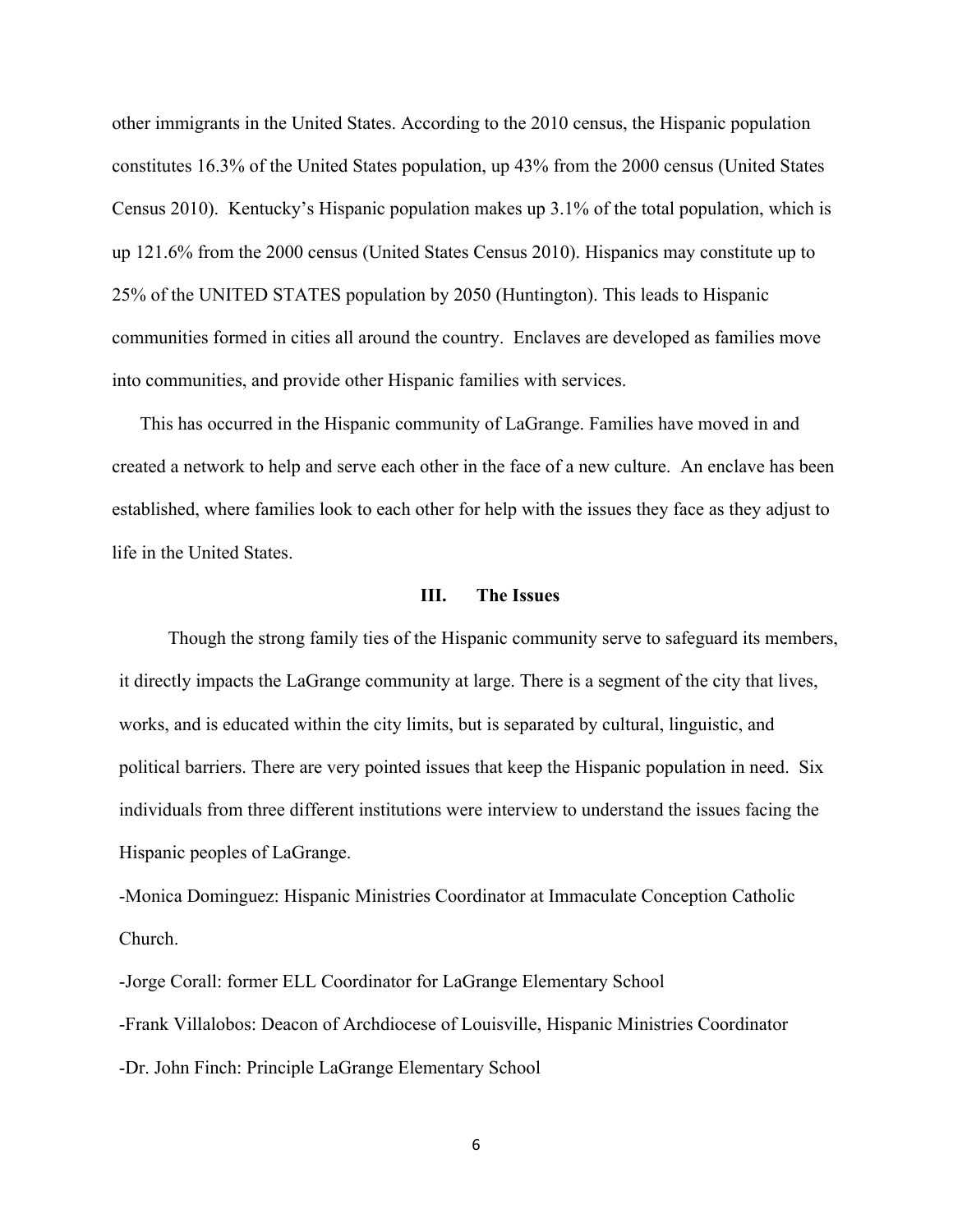other immigrants in the United States. According to the 2010 census, the Hispanic population constitutes 16.3% of the United States population, up 43% from the 2000 census (United States Census 2010). Kentucky's Hispanic population makes up 3.1% of the total population, which is up 121.6% from the 2000 census (United States Census 2010). Hispanics may constitute up to 25% of the UNITED STATES population by 2050 (Huntington). This leads to Hispanic communities formed in cities all around the country. Enclaves are developed as families move into communities, and provide other Hispanic families with services.

This has occurred in the Hispanic community of LaGrange. Families have moved in and created a network to help and serve each other in the face of a new culture. An enclave has been established, where families look to each other for help with the issues they face as they adjust to life in the United States.

#### **III. The Issues**

Though the strong family ties of the Hispanic community serve to safeguard its members, it directly impacts the LaGrange community at large. There is a segment of the city that lives, works, and is educated within the city limits, but is separated by cultural, linguistic, and political barriers. There are very pointed issues that keep the Hispanic population in need. Six individuals from three different institutions were interview to understand the issues facing the Hispanic peoples of LaGrange.

-Monica Dominguez: Hispanic Ministries Coordinator at Immaculate Conception Catholic Church.

-Jorge Corall: former ELL Coordinator for LaGrange Elementary School -Frank Villalobos: Deacon of Archdiocese of Louisville, Hispanic Ministries Coordinator -Dr. John Finch: Principle LaGrange Elementary School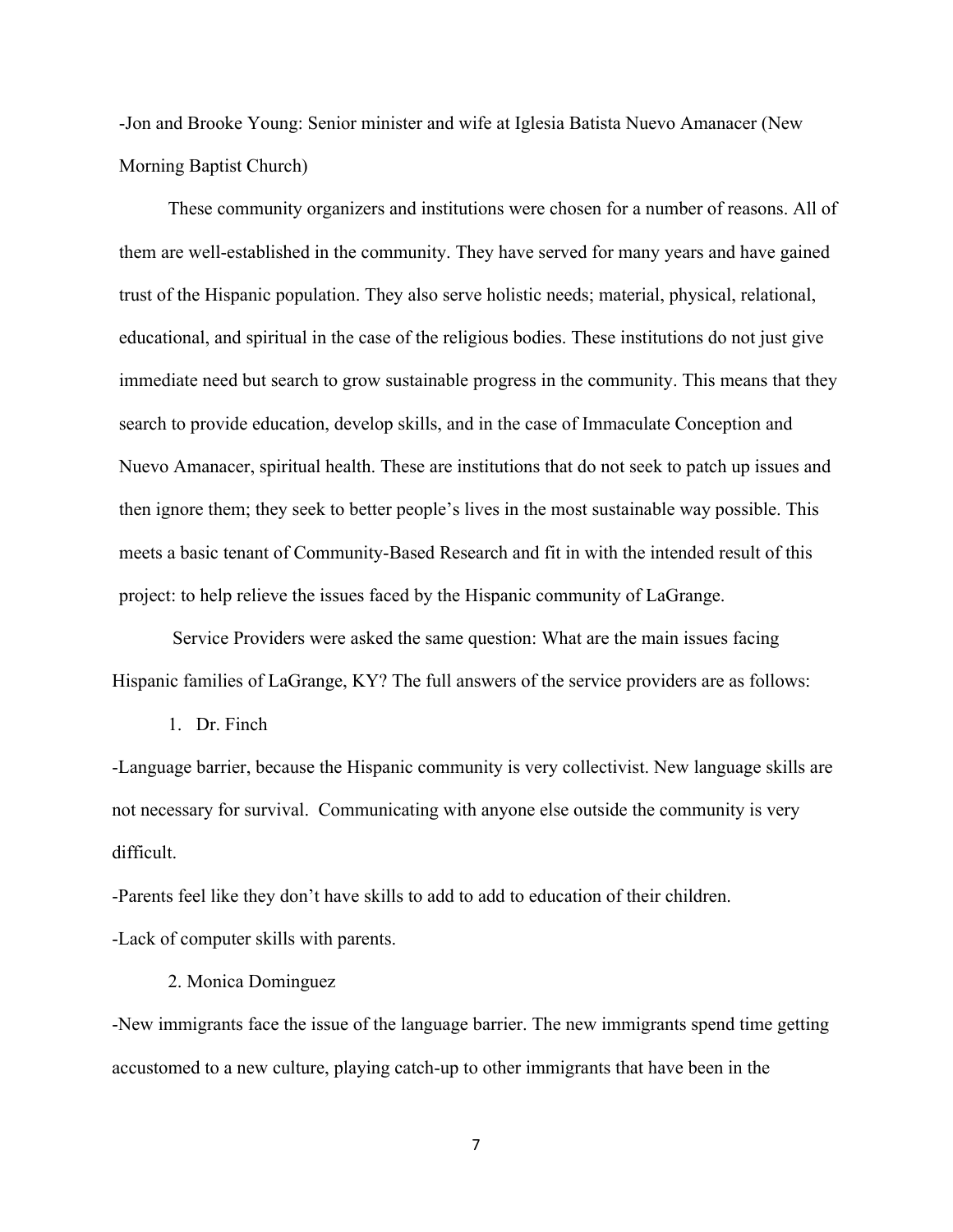-Jon and Brooke Young: Senior minister and wife at Iglesia Batista Nuevo Amanacer (New Morning Baptist Church)

These community organizers and institutions were chosen for a number of reasons. All of them are well-established in the community. They have served for many years and have gained trust of the Hispanic population. They also serve holistic needs; material, physical, relational, educational, and spiritual in the case of the religious bodies. These institutions do not just give immediate need but search to grow sustainable progress in the community. This means that they search to provide education, develop skills, and in the case of Immaculate Conception and Nuevo Amanacer, spiritual health. These are institutions that do not seek to patch up issues and then ignore them; they seek to better people's lives in the most sustainable way possible. This meets a basic tenant of Community-Based Research and fit in with the intended result of this project: to help relieve the issues faced by the Hispanic community of LaGrange.

Service Providers were asked the same question: What are the main issues facing Hispanic families of LaGrange, KY? The full answers of the service providers are as follows:

1. Dr. Finch

-Language barrier, because the Hispanic community is very collectivist. New language skills are not necessary for survival. Communicating with anyone else outside the community is very difficult.

-Parents feel like they don't have skills to add to add to education of their children. -Lack of computer skills with parents.

#### 2. Monica Dominguez

-New immigrants face the issue of the language barrier. The new immigrants spend time getting accustomed to a new culture, playing catch-up to other immigrants that have been in the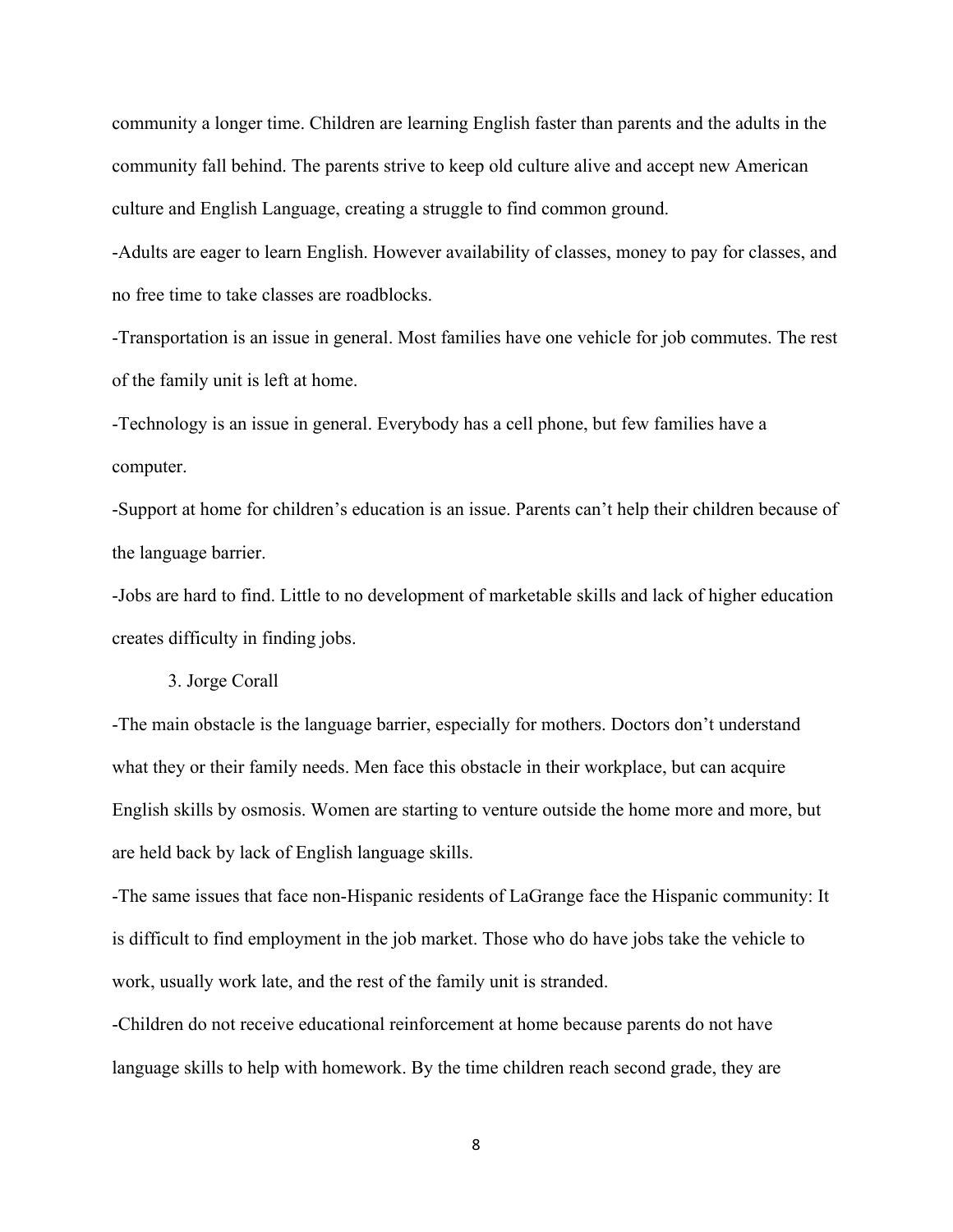community a longer time. Children are learning English faster than parents and the adults in the community fall behind. The parents strive to keep old culture alive and accept new American culture and English Language, creating a struggle to find common ground.

-Adults are eager to learn English. However availability of classes, money to pay for classes, and no free time to take classes are roadblocks.

-Transportation is an issue in general. Most families have one vehicle for job commutes. The rest of the family unit is left at home.

-Technology is an issue in general. Everybody has a cell phone, but few families have a computer.

-Support at home for children's education is an issue. Parents can't help their children because of the language barrier.

-Jobs are hard to find. Little to no development of marketable skills and lack of higher education creates difficulty in finding jobs.

3. Jorge Corall

-The main obstacle is the language barrier, especially for mothers. Doctors don't understand what they or their family needs. Men face this obstacle in their workplace, but can acquire English skills by osmosis. Women are starting to venture outside the home more and more, but are held back by lack of English language skills.

-The same issues that face non-Hispanic residents of LaGrange face the Hispanic community: It is difficult to find employment in the job market. Those who do have jobs take the vehicle to work, usually work late, and the rest of the family unit is stranded.

-Children do not receive educational reinforcement at home because parents do not have language skills to help with homework. By the time children reach second grade, they are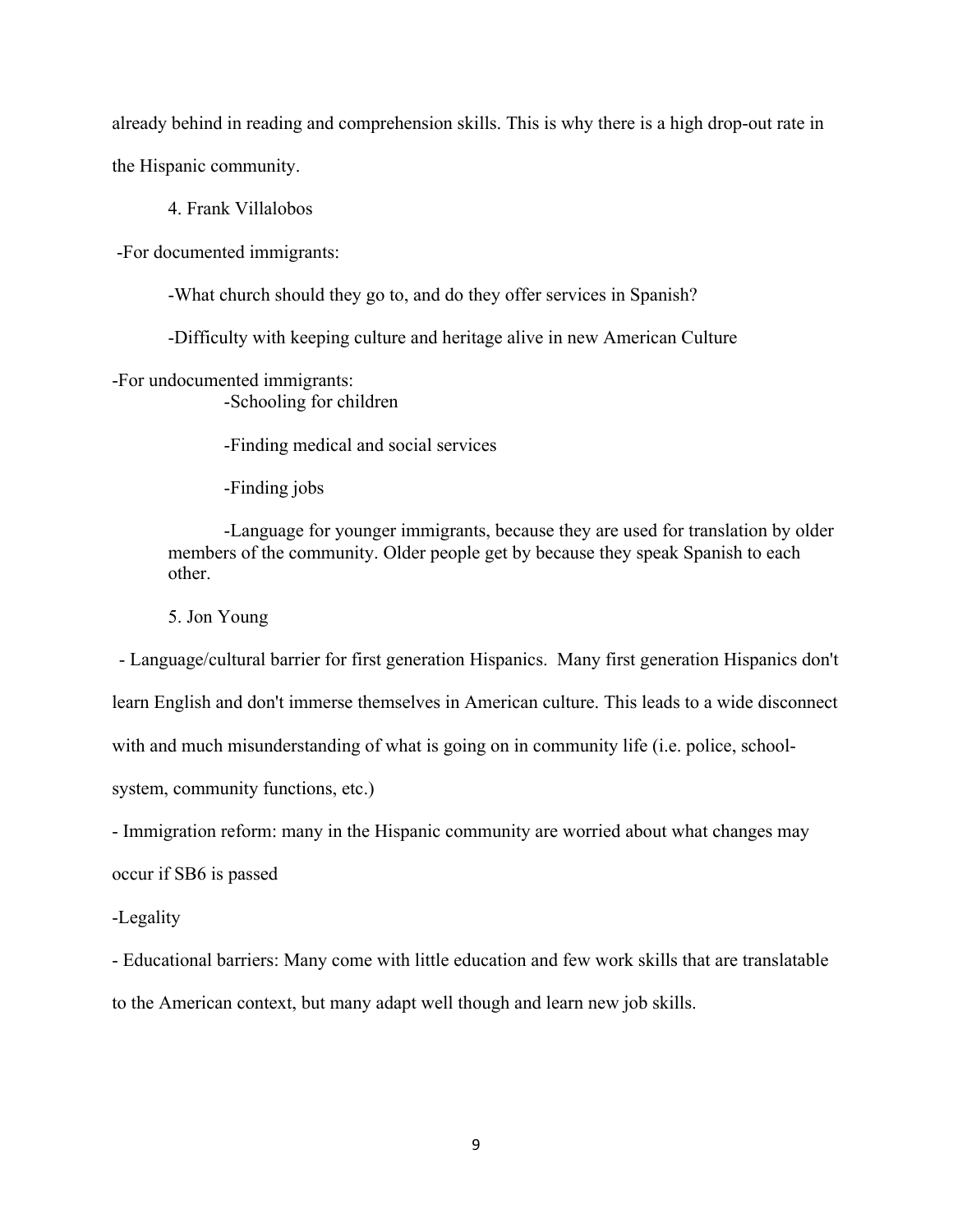already behind in reading and comprehension skills. This is why there is a high drop-out rate in the Hispanic community.

4. Frank Villalobos

-For documented immigrants:

-What church should they go to, and do they offer services in Spanish?

-Difficulty with keeping culture and heritage alive in new American Culture

-For undocumented immigrants: -Schooling for children

-Finding medical and social services

-Finding jobs

-Language for younger immigrants, because they are used for translation by older members of the community. Older people get by because they speak Spanish to each other.

5. Jon Young

- Language/cultural barrier for first generation Hispanics. Many first generation Hispanics don't

learn English and don't immerse themselves in American culture. This leads to a wide disconnect

with and much misunderstanding of what is going on in community life (i.e. police, school-

system, community functions, etc.)

- Immigration reform: many in the Hispanic community are worried about what changes may

occur if SB6 is passed

-Legality

- Educational barriers: Many come with little education and few work skills that are translatable to the American context, but many adapt well though and learn new job skills.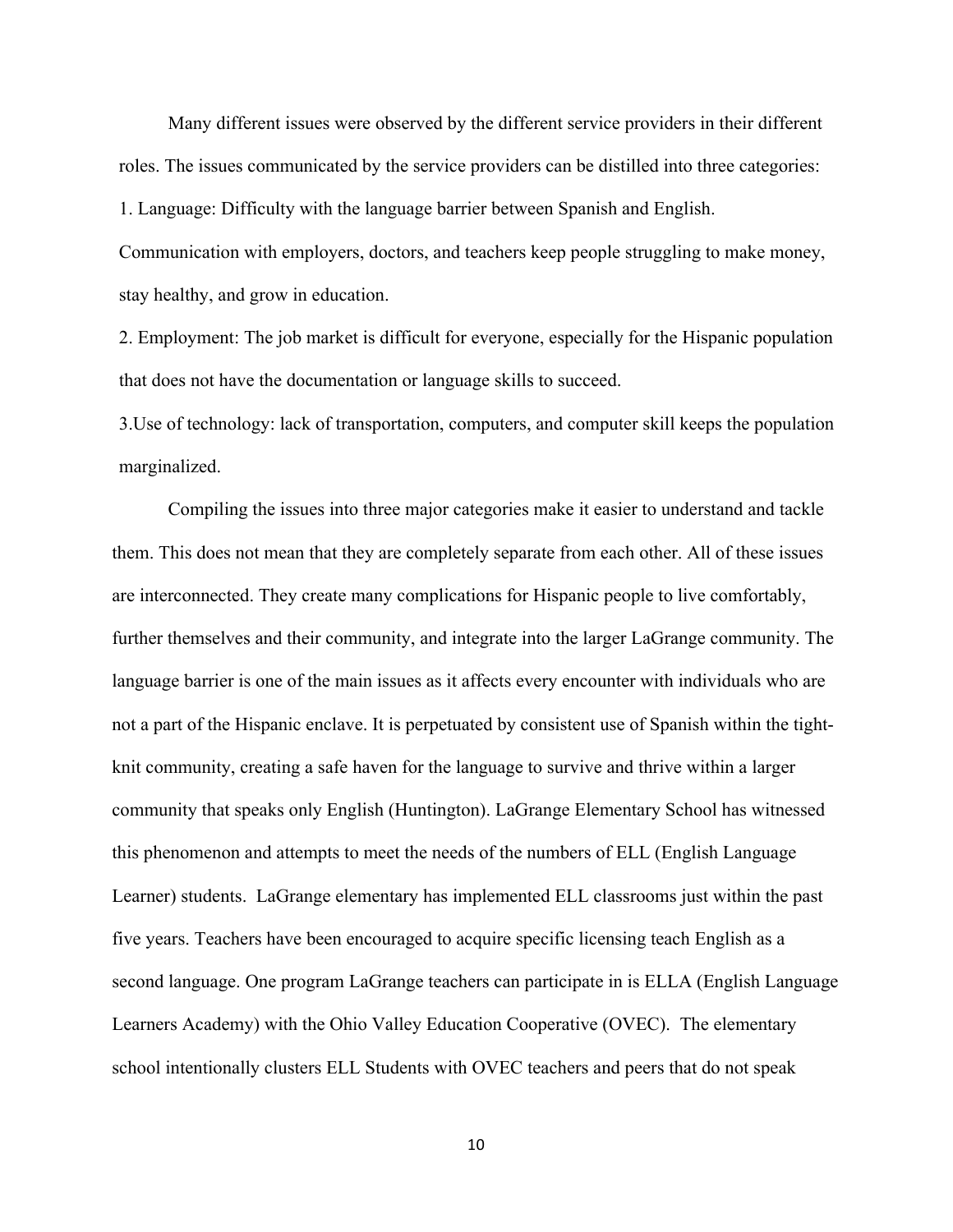Many different issues were observed by the different service providers in their different roles. The issues communicated by the service providers can be distilled into three categories: 1. Language: Difficulty with the language barrier between Spanish and English.

Communication with employers, doctors, and teachers keep people struggling to make money, stay healthy, and grow in education.

2. Employment: The job market is difficult for everyone, especially for the Hispanic population that does not have the documentation or language skills to succeed.

3.Use of technology: lack of transportation, computers, and computer skill keeps the population marginalized.

Compiling the issues into three major categories make it easier to understand and tackle them. This does not mean that they are completely separate from each other. All of these issues are interconnected. They create many complications for Hispanic people to live comfortably, further themselves and their community, and integrate into the larger LaGrange community. The language barrier is one of the main issues as it affects every encounter with individuals who are not a part of the Hispanic enclave. It is perpetuated by consistent use of Spanish within the tightknit community, creating a safe haven for the language to survive and thrive within a larger community that speaks only English (Huntington). LaGrange Elementary School has witnessed this phenomenon and attempts to meet the needs of the numbers of ELL (English Language Learner) students. LaGrange elementary has implemented ELL classrooms just within the past five years. Teachers have been encouraged to acquire specific licensing teach English as a second language. One program LaGrange teachers can participate in is ELLA (English Language Learners Academy) with the Ohio Valley Education Cooperative (OVEC). The elementary school intentionally clusters ELL Students with OVEC teachers and peers that do not speak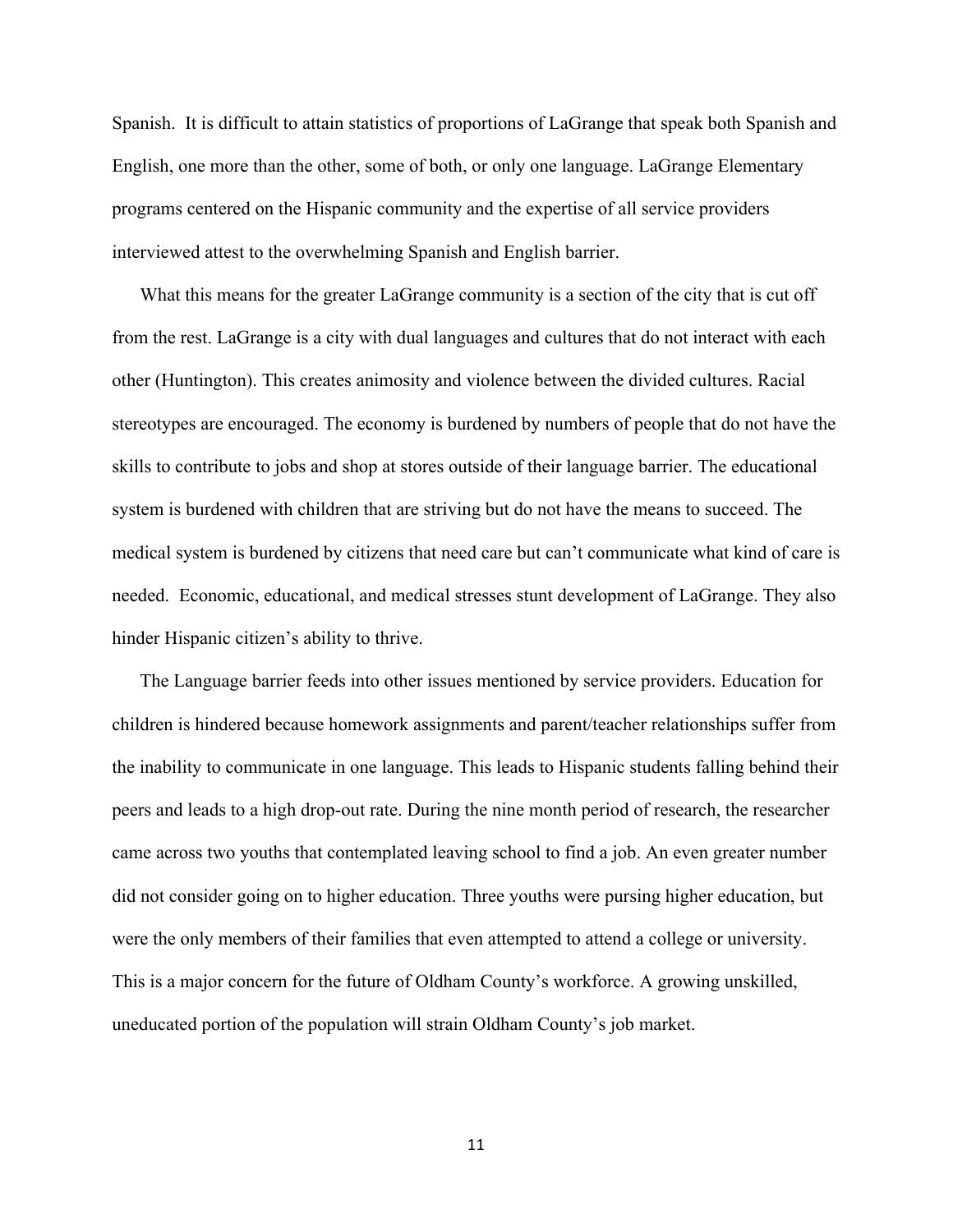Spanish. It is difficult to attain statistics of proportions of LaGrange that speak both Spanish and English, one more than the other, some of both, or only one language. LaGrange Elementary programs centered on the Hispanic community and the expertise of all service providers interviewed attest to the overwhelming Spanish and English barrier.

What this means for the greater LaGrange community is a section of the city that is cut off from the rest. LaGrange is a city with dual languages and cultures that do not interact with each other (Huntington). This creates animosity and violence between the divided cultures. Racial stereotypes are encouraged. The economy is burdened by numbers of people that do not have the skills to contribute to jobs and shop at stores outside of their language barrier. The educational system is burdened with children that are striving but do not have the means to succeed. The medical system is burdened by citizens that need care but can't communicate what kind of care is needed. Economic, educational, and medical stresses stunt development of LaGrange. They also hinder Hispanic citizen's ability to thrive.

The Language barrier feeds into other issues mentioned by service providers. Education for children is hindered because homework assignments and parent/teacher relationships suffer from the inability to communicate in one language. This leads to Hispanic students falling behind their peers and leads to a high drop-out rate. During the nine month period of research, the researcher came across two youths that contemplated leaving school to find a job. An even greater number did not consider going on to higher education. Three youths were pursing higher education, but were the only members of their families that even attempted to attend a college or university. This is a major concern for the future of Oldham County's workforce. A growing unskilled, uneducated portion of the population will strain Oldham County's job market.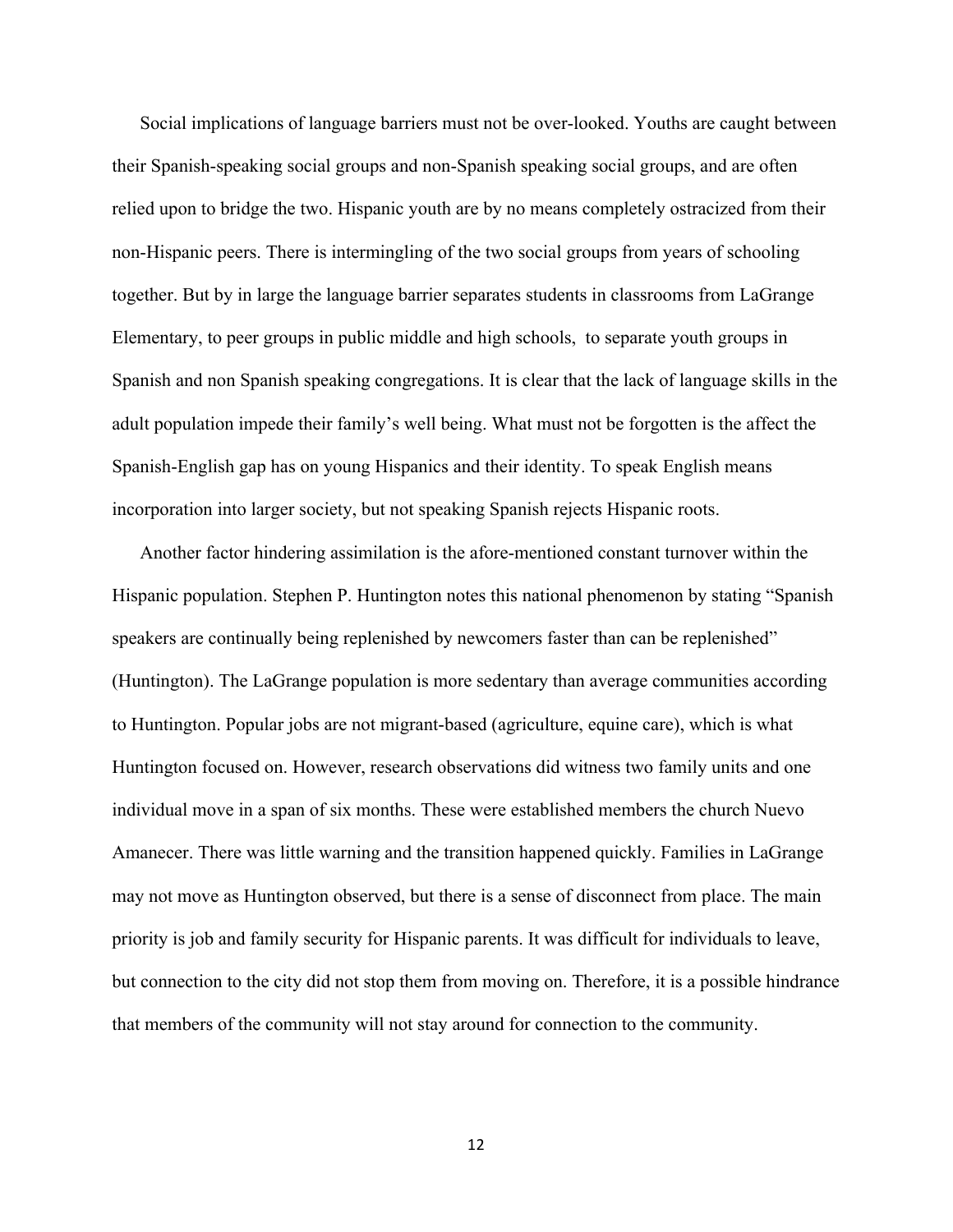Social implications of language barriers must not be over-looked. Youths are caught between their Spanish-speaking social groups and non-Spanish speaking social groups, and are often relied upon to bridge the two. Hispanic youth are by no means completely ostracized from their non-Hispanic peers. There is intermingling of the two social groups from years of schooling together. But by in large the language barrier separates students in classrooms from LaGrange Elementary, to peer groups in public middle and high schools, to separate youth groups in Spanish and non Spanish speaking congregations. It is clear that the lack of language skills in the adult population impede their family's well being. What must not be forgotten is the affect the Spanish-English gap has on young Hispanics and their identity. To speak English means incorporation into larger society, but not speaking Spanish rejects Hispanic roots.

Another factor hindering assimilation is the afore-mentioned constant turnover within the Hispanic population. Stephen P. Huntington notes this national phenomenon by stating "Spanish speakers are continually being replenished by newcomers faster than can be replenished" (Huntington). The LaGrange population is more sedentary than average communities according to Huntington. Popular jobs are not migrant-based (agriculture, equine care), which is what Huntington focused on. However, research observations did witness two family units and one individual move in a span of six months. These were established members the church Nuevo Amanecer. There was little warning and the transition happened quickly. Families in LaGrange may not move as Huntington observed, but there is a sense of disconnect from place. The main priority is job and family security for Hispanic parents. It was difficult for individuals to leave, but connection to the city did not stop them from moving on. Therefore, it is a possible hindrance that members of the community will not stay around for connection to the community.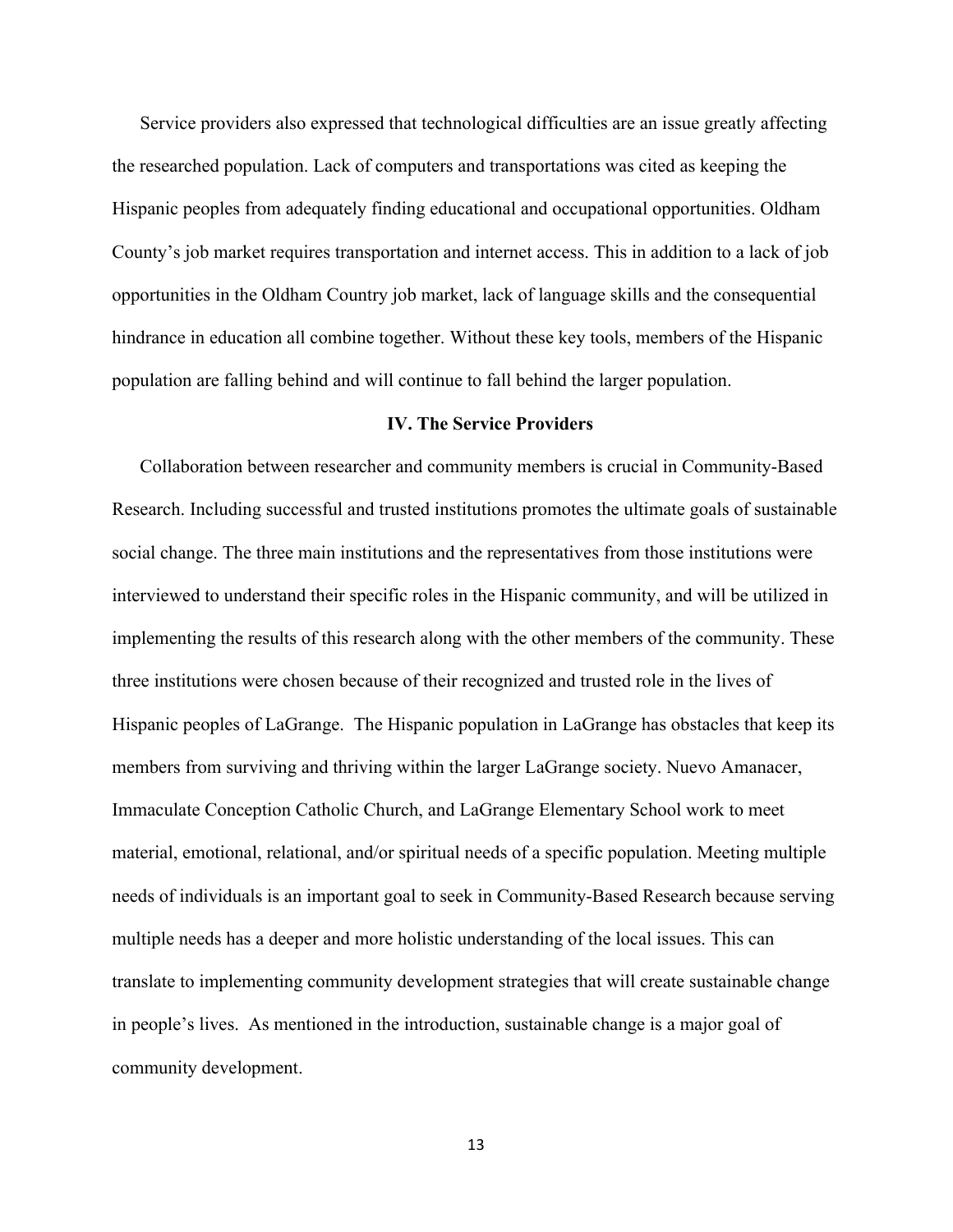Service providers also expressed that technological difficulties are an issue greatly affecting the researched population. Lack of computers and transportations was cited as keeping the Hispanic peoples from adequately finding educational and occupational opportunities. Oldham County's job market requires transportation and internet access. This in addition to a lack of job opportunities in the Oldham Country job market, lack of language skills and the consequential hindrance in education all combine together. Without these key tools, members of the Hispanic population are falling behind and will continue to fall behind the larger population.

#### **IV. The Service Providers**

Collaboration between researcher and community members is crucial in Community-Based Research. Including successful and trusted institutions promotes the ultimate goals of sustainable social change. The three main institutions and the representatives from those institutions were interviewed to understand their specific roles in the Hispanic community, and will be utilized in implementing the results of this research along with the other members of the community. These three institutions were chosen because of their recognized and trusted role in the lives of Hispanic peoples of LaGrange. The Hispanic population in LaGrange has obstacles that keep its members from surviving and thriving within the larger LaGrange society. Nuevo Amanacer, Immaculate Conception Catholic Church, and LaGrange Elementary School work to meet material, emotional, relational, and/or spiritual needs of a specific population. Meeting multiple needs of individuals is an important goal to seek in Community-Based Research because serving multiple needs has a deeper and more holistic understanding of the local issues. This can translate to implementing community development strategies that will create sustainable change in people's lives. As mentioned in the introduction, sustainable change is a major goal of community development.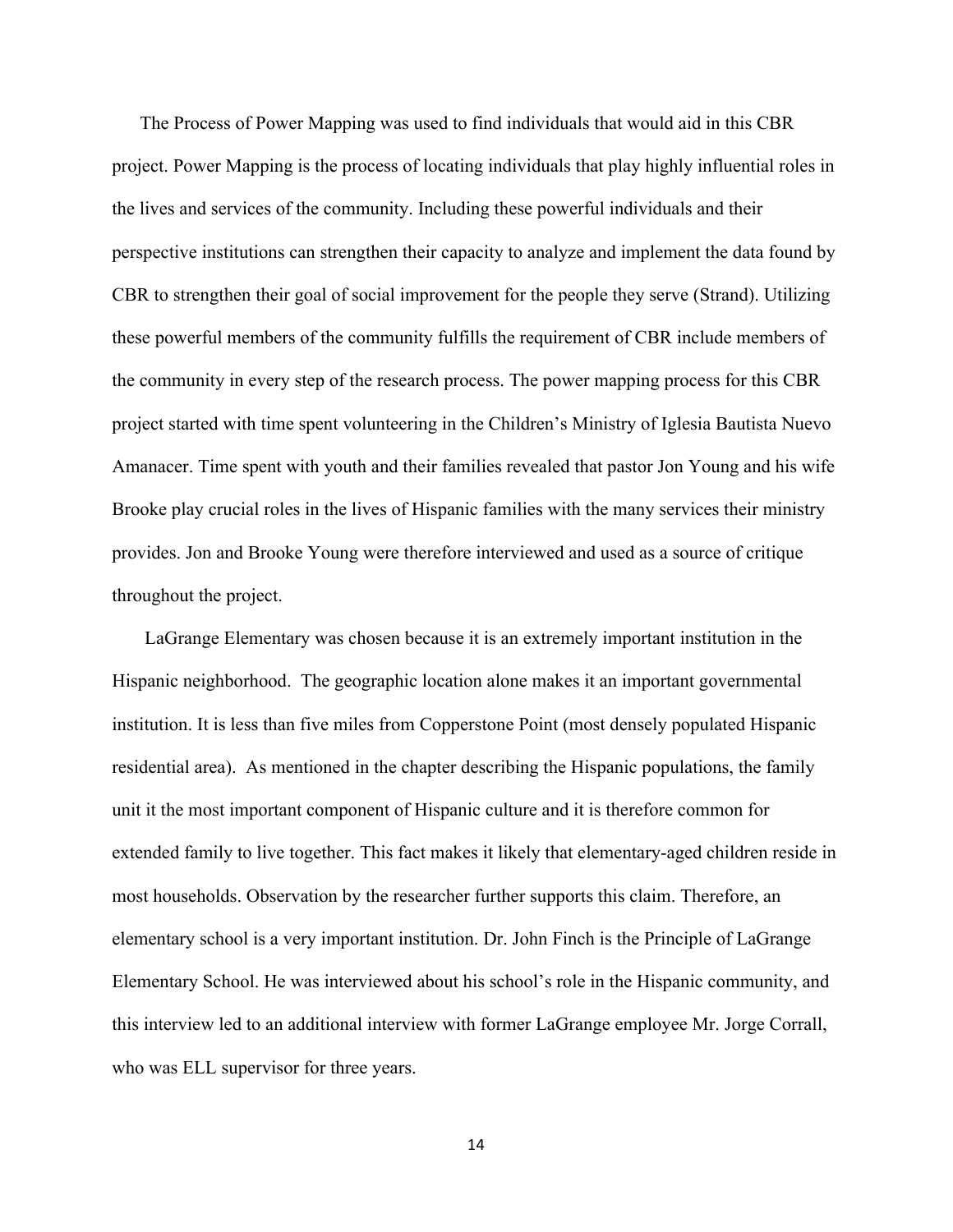The Process of Power Mapping was used to find individuals that would aid in this CBR project. Power Mapping is the process of locating individuals that play highly influential roles in the lives and services of the community. Including these powerful individuals and their perspective institutions can strengthen their capacity to analyze and implement the data found by CBR to strengthen their goal of social improvement for the people they serve (Strand). Utilizing these powerful members of the community fulfills the requirement of CBR include members of the community in every step of the research process. The power mapping process for this CBR project started with time spent volunteering in the Children's Ministry of Iglesia Bautista Nuevo Amanacer. Time spent with youth and their families revealed that pastor Jon Young and his wife Brooke play crucial roles in the lives of Hispanic families with the many services their ministry provides. Jon and Brooke Young were therefore interviewed and used as a source of critique throughout the project.

LaGrange Elementary was chosen because it is an extremely important institution in the Hispanic neighborhood. The geographic location alone makes it an important governmental institution. It is less than five miles from Copperstone Point (most densely populated Hispanic residential area). As mentioned in the chapter describing the Hispanic populations, the family unit it the most important component of Hispanic culture and it is therefore common for extended family to live together. This fact makes it likely that elementary-aged children reside in most households. Observation by the researcher further supports this claim. Therefore, an elementary school is a very important institution. Dr. John Finch is the Principle of LaGrange Elementary School. He was interviewed about his school's role in the Hispanic community, and this interview led to an additional interview with former LaGrange employee Mr. Jorge Corrall, who was ELL supervisor for three years.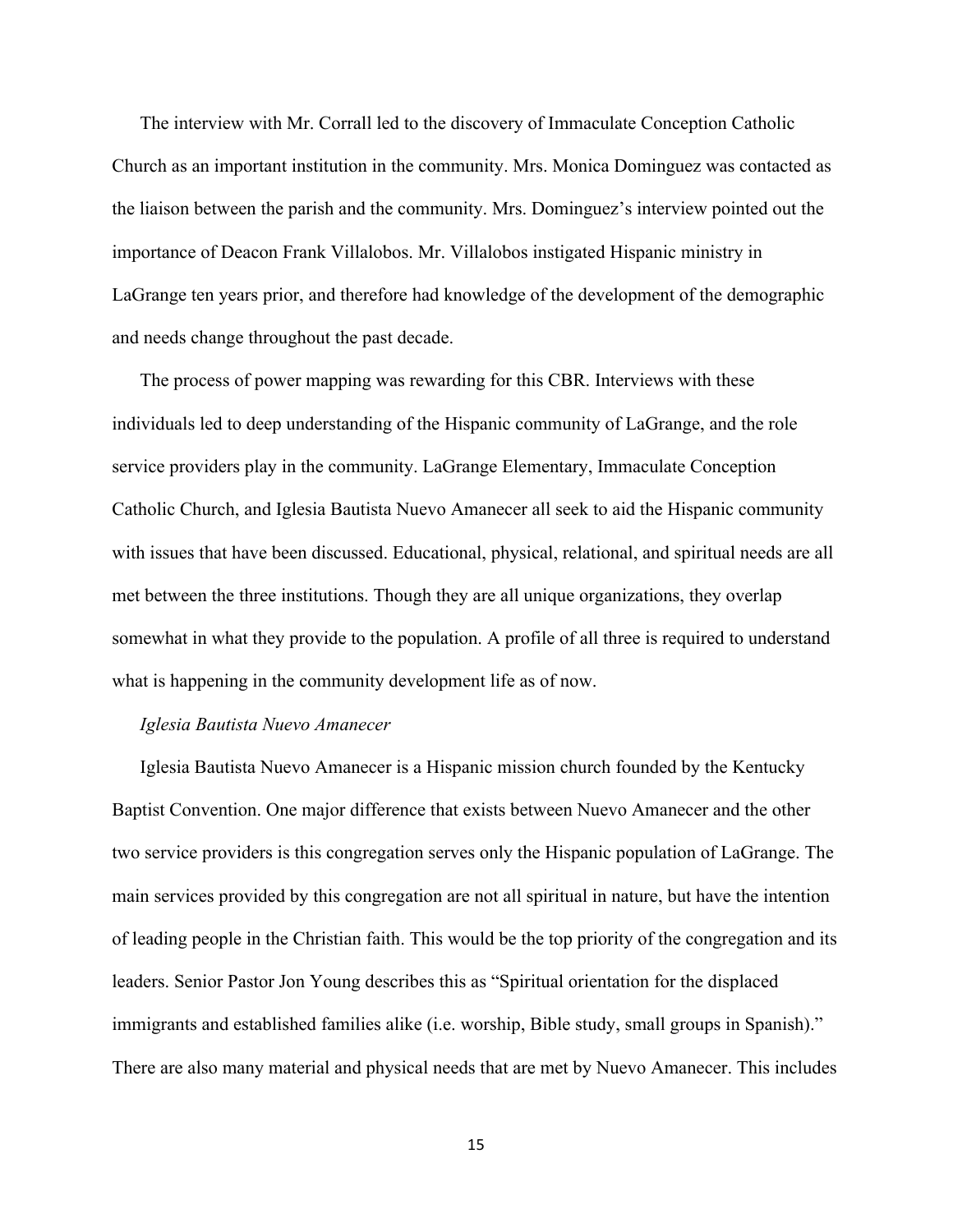The interview with Mr. Corrall led to the discovery of Immaculate Conception Catholic Church as an important institution in the community. Mrs. Monica Dominguez was contacted as the liaison between the parish and the community. Mrs. Dominguez's interview pointed out the importance of Deacon Frank Villalobos. Mr. Villalobos instigated Hispanic ministry in LaGrange ten years prior, and therefore had knowledge of the development of the demographic and needs change throughout the past decade.

The process of power mapping was rewarding for this CBR. Interviews with these individuals led to deep understanding of the Hispanic community of LaGrange, and the role service providers play in the community. LaGrange Elementary, Immaculate Conception Catholic Church, and Iglesia Bautista Nuevo Amanecer all seek to aid the Hispanic community with issues that have been discussed. Educational, physical, relational, and spiritual needs are all met between the three institutions. Though they are all unique organizations, they overlap somewhat in what they provide to the population. A profile of all three is required to understand what is happening in the community development life as of now.

#### *Iglesia Bautista Nuevo Amanecer*

Iglesia Bautista Nuevo Amanecer is a Hispanic mission church founded by the Kentucky Baptist Convention. One major difference that exists between Nuevo Amanecer and the other two service providers is this congregation serves only the Hispanic population of LaGrange. The main services provided by this congregation are not all spiritual in nature, but have the intention of leading people in the Christian faith. This would be the top priority of the congregation and its leaders. Senior Pastor Jon Young describes this as "Spiritual orientation for the displaced immigrants and established families alike (i.e. worship, Bible study, small groups in Spanish)." There are also many material and physical needs that are met by Nuevo Amanecer. This includes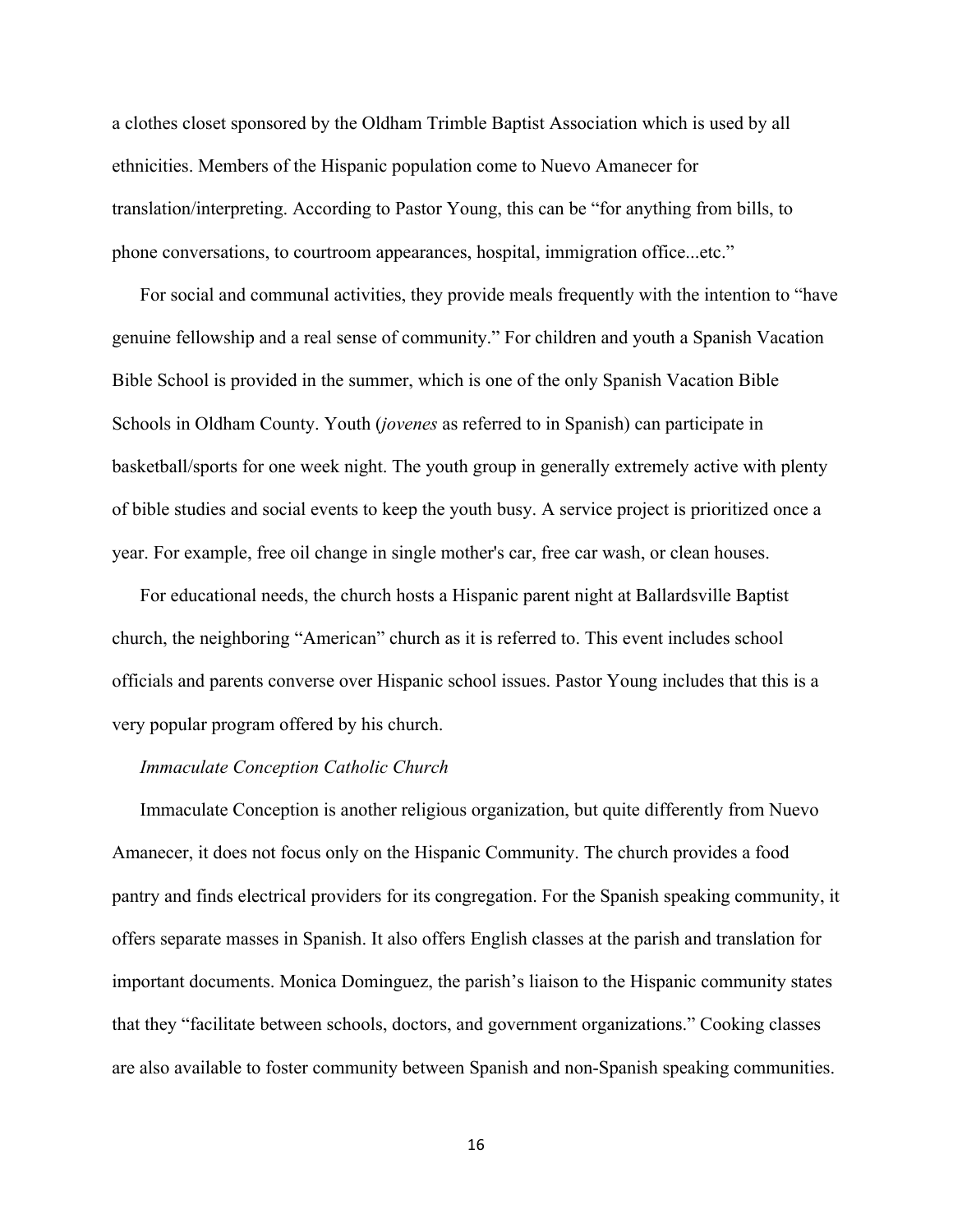a clothes closet sponsored by the Oldham Trimble Baptist Association which is used by all ethnicities. Members of the Hispanic population come to Nuevo Amanecer for translation/interpreting. According to Pastor Young, this can be "for anything from bills, to phone conversations, to courtroom appearances, hospital, immigration office...etc."

For social and communal activities, they provide meals frequently with the intention to "have genuine fellowship and a real sense of community." For children and youth a Spanish Vacation Bible School is provided in the summer, which is one of the only Spanish Vacation Bible Schools in Oldham County. Youth (*jovenes* as referred to in Spanish) can participate in basketball/sports for one week night. The youth group in generally extremely active with plenty of bible studies and social events to keep the youth busy. A service project is prioritized once a year. For example, free oil change in single mother's car, free car wash, or clean houses.

For educational needs, the church hosts a Hispanic parent night at Ballardsville Baptist church, the neighboring "American" church as it is referred to. This event includes school officials and parents converse over Hispanic school issues. Pastor Young includes that this is a very popular program offered by his church.

#### *Immaculate Conception Catholic Church*

Immaculate Conception is another religious organization, but quite differently from Nuevo Amanecer, it does not focus only on the Hispanic Community. The church provides a food pantry and finds electrical providers for its congregation. For the Spanish speaking community, it offers separate masses in Spanish. It also offers English classes at the parish and translation for important documents. Monica Dominguez, the parish's liaison to the Hispanic community states that they "facilitate between schools, doctors, and government organizations." Cooking classes are also available to foster community between Spanish and non-Spanish speaking communities.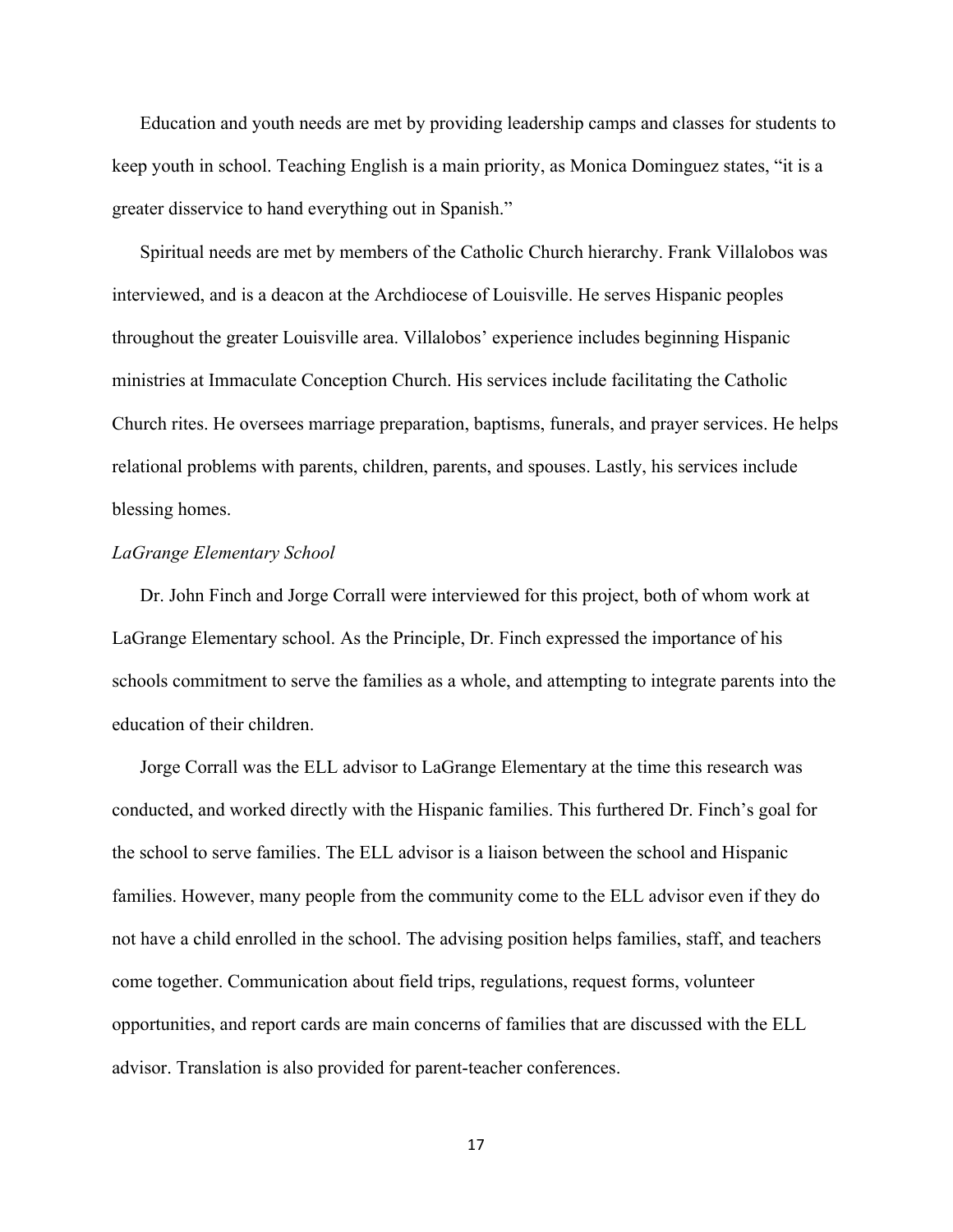Education and youth needs are met by providing leadership camps and classes for students to keep youth in school. Teaching English is a main priority, as Monica Dominguez states, "it is a greater disservice to hand everything out in Spanish."

Spiritual needs are met by members of the Catholic Church hierarchy. Frank Villalobos was interviewed, and is a deacon at the Archdiocese of Louisville. He serves Hispanic peoples throughout the greater Louisville area. Villalobos' experience includes beginning Hispanic ministries at Immaculate Conception Church. His services include facilitating the Catholic Church rites. He oversees marriage preparation, baptisms, funerals, and prayer services. He helps relational problems with parents, children, parents, and spouses. Lastly, his services include blessing homes.

#### *LaGrange Elementary School*

Dr. John Finch and Jorge Corrall were interviewed for this project, both of whom work at LaGrange Elementary school. As the Principle, Dr. Finch expressed the importance of his schools commitment to serve the families as a whole, and attempting to integrate parents into the education of their children.

Jorge Corrall was the ELL advisor to LaGrange Elementary at the time this research was conducted, and worked directly with the Hispanic families. This furthered Dr. Finch's goal for the school to serve families. The ELL advisor is a liaison between the school and Hispanic families. However, many people from the community come to the ELL advisor even if they do not have a child enrolled in the school. The advising position helps families, staff, and teachers come together. Communication about field trips, regulations, request forms, volunteer opportunities, and report cards are main concerns of families that are discussed with the ELL advisor. Translation is also provided for parent-teacher conferences.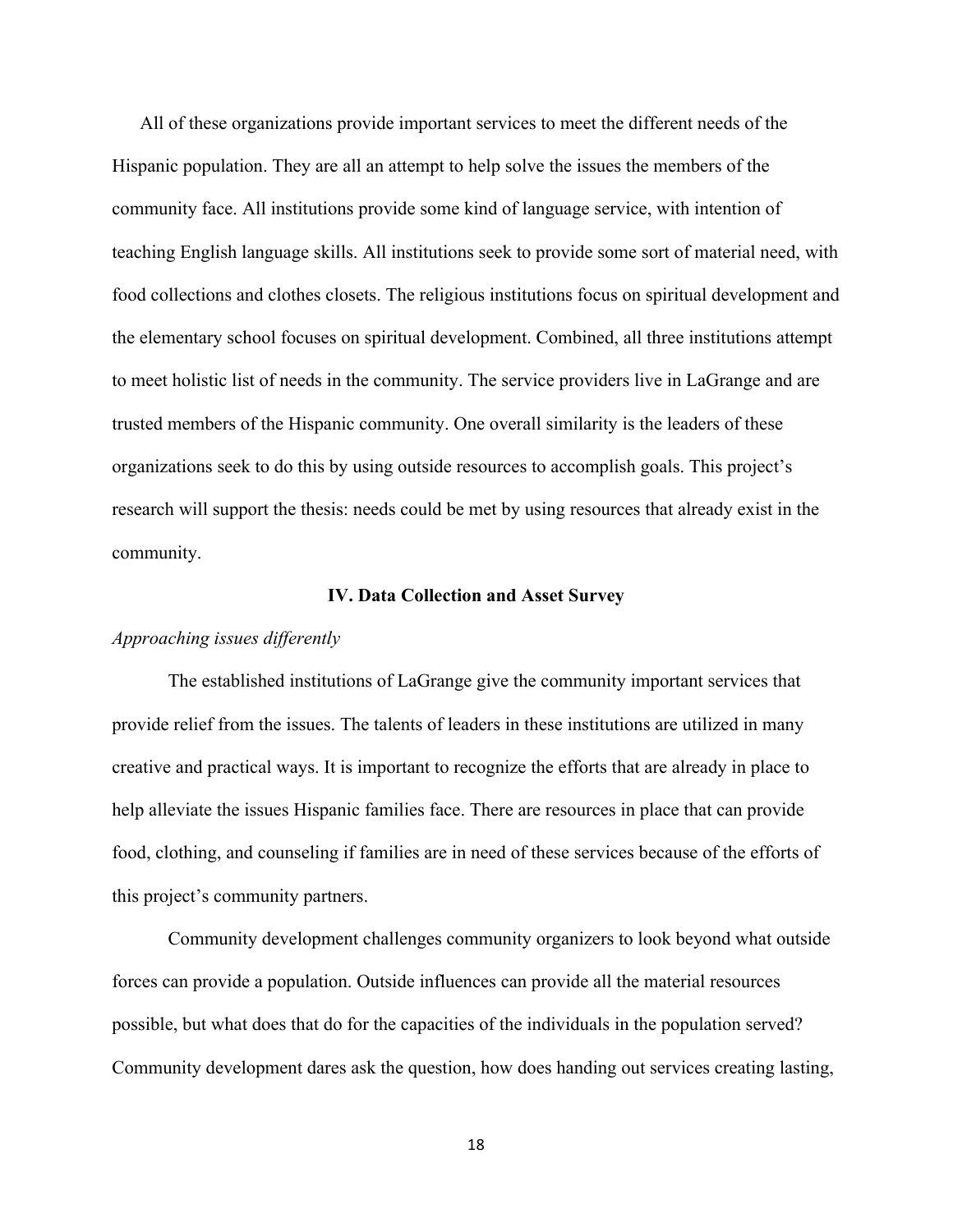All of these organizations provide important services to meet the different needs of the Hispanic population. They are all an attempt to help solve the issues the members of the community face. All institutions provide some kind of language service, with intention of teaching English language skills. All institutions seek to provide some sort of material need, with food collections and clothes closets. The religious institutions focus on spiritual development and the elementary school focuses on spiritual development. Combined, all three institutions attempt to meet holistic list of needs in the community. The service providers live in LaGrange and are trusted members of the Hispanic community. One overall similarity is the leaders of these organizations seek to do this by using outside resources to accomplish goals. This project's research will support the thesis: needs could be met by using resources that already exist in the community.

#### **IV. Data Collection and Asset Survey**

#### *Approaching issues differently*

The established institutions of LaGrange give the community important services that provide relief from the issues. The talents of leaders in these institutions are utilized in many creative and practical ways. It is important to recognize the efforts that are already in place to help alleviate the issues Hispanic families face. There are resources in place that can provide food, clothing, and counseling if families are in need of these services because of the efforts of this project's community partners.

Community development challenges community organizers to look beyond what outside forces can provide a population. Outside influences can provide all the material resources possible, but what does that do for the capacities of the individuals in the population served? Community development dares ask the question, how does handing out services creating lasting,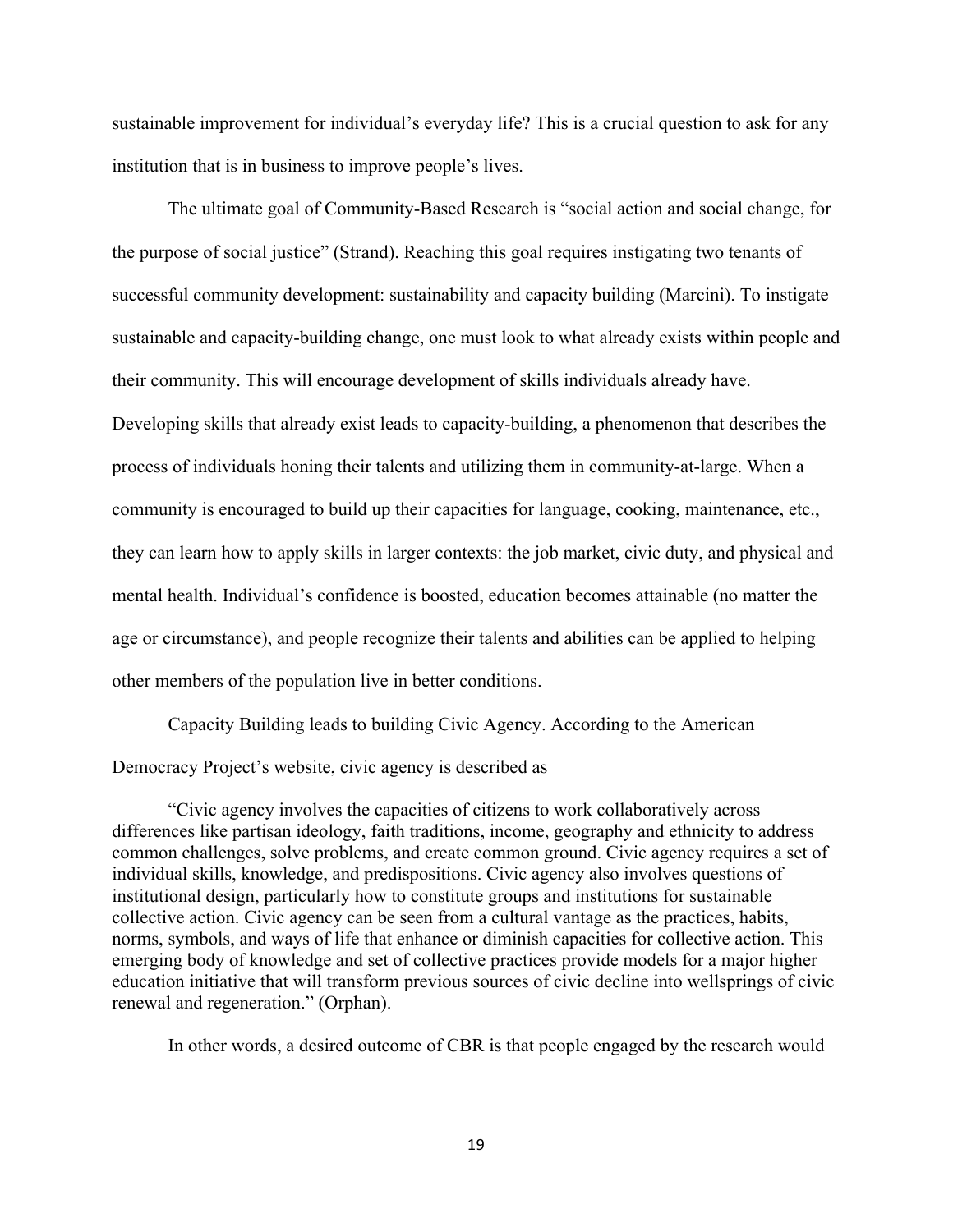sustainable improvement for individual's everyday life? This is a crucial question to ask for any institution that is in business to improve people's lives.

The ultimate goal of Community-Based Research is "social action and social change, for the purpose of social justice" (Strand). Reaching this goal requires instigating two tenants of successful community development: sustainability and capacity building (Marcini). To instigate sustainable and capacity-building change, one must look to what already exists within people and their community. This will encourage development of skills individuals already have. Developing skills that already exist leads to capacity-building, a phenomenon that describes the process of individuals honing their talents and utilizing them in community-at-large. When a community is encouraged to build up their capacities for language, cooking, maintenance, etc., they can learn how to apply skills in larger contexts: the job market, civic duty, and physical and mental health. Individual's confidence is boosted, education becomes attainable (no matter the age or circumstance), and people recognize their talents and abilities can be applied to helping other members of the population live in better conditions.

Capacity Building leads to building Civic Agency. According to the American Democracy Project's website, civic agency is described as

"Civic agency involves the capacities of citizens to work collaboratively across differences like partisan ideology, faith traditions, income, geography and ethnicity to address common challenges, solve problems, and create common ground. Civic agency requires a set of individual skills, knowledge, and predispositions. Civic agency also involves questions of institutional design, particularly how to constitute groups and institutions for sustainable collective action. Civic agency can be seen from a cultural vantage as the practices, habits, norms, symbols, and ways of life that enhance or diminish capacities for collective action. This emerging body of knowledge and set of collective practices provide models for a major higher education initiative that will transform previous sources of civic decline into wellsprings of civic renewal and regeneration." (Orphan).

In other words, a desired outcome of CBR is that people engaged by the research would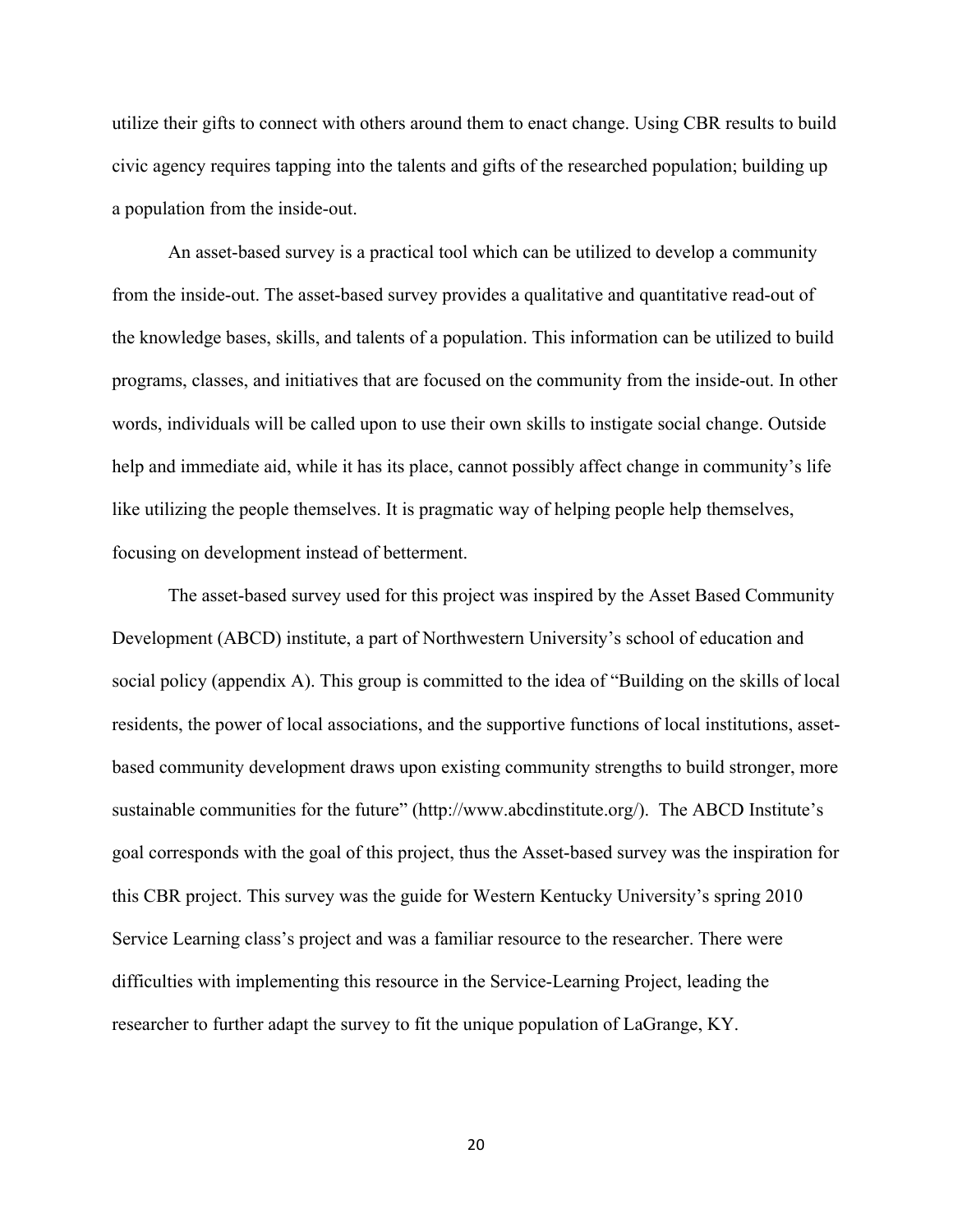utilize their gifts to connect with others around them to enact change. Using CBR results to build civic agency requires tapping into the talents and gifts of the researched population; building up a population from the inside-out.

An asset-based survey is a practical tool which can be utilized to develop a community from the inside-out. The asset-based survey provides a qualitative and quantitative read-out of the knowledge bases, skills, and talents of a population. This information can be utilized to build programs, classes, and initiatives that are focused on the community from the inside-out. In other words, individuals will be called upon to use their own skills to instigate social change. Outside help and immediate aid, while it has its place, cannot possibly affect change in community's life like utilizing the people themselves. It is pragmatic way of helping people help themselves, focusing on development instead of betterment.

The asset-based survey used for this project was inspired by the Asset Based Community Development (ABCD) institute, a part of Northwestern University's school of education and social policy (appendix A). This group is committed to the idea of "Building on the skills of local residents, the power of local associations, and the supportive functions of local institutions, assetbased community development draws upon existing community strengths to build stronger, more sustainable communities for the future" (http://www.abcdinstitute.org/). The ABCD Institute's goal corresponds with the goal of this project, thus the Asset-based survey was the inspiration for this CBR project. This survey was the guide for Western Kentucky University's spring 2010 Service Learning class's project and was a familiar resource to the researcher. There were difficulties with implementing this resource in the Service-Learning Project, leading the researcher to further adapt the survey to fit the unique population of LaGrange, KY.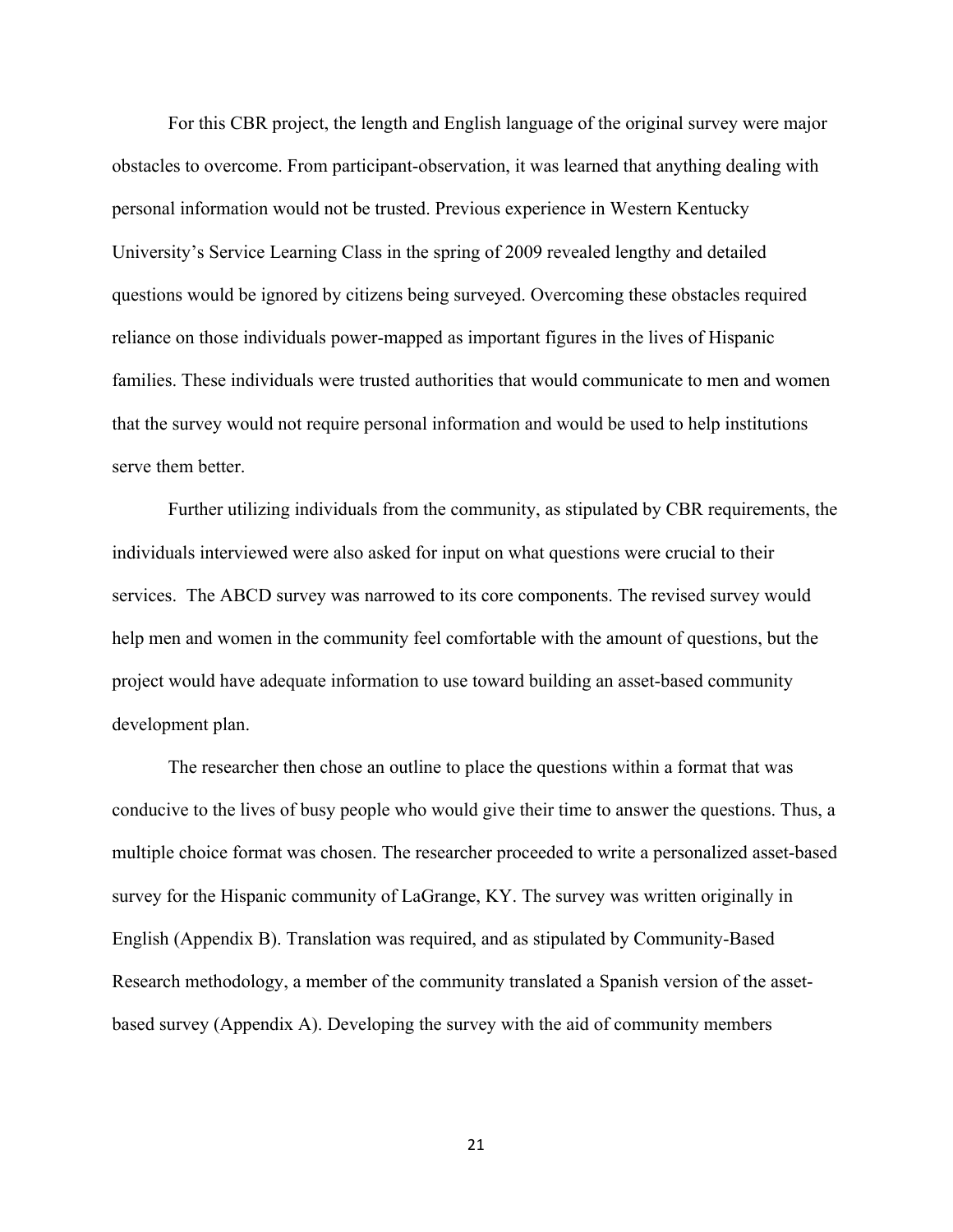For this CBR project, the length and English language of the original survey were major obstacles to overcome. From participant-observation, it was learned that anything dealing with personal information would not be trusted. Previous experience in Western Kentucky University's Service Learning Class in the spring of 2009 revealed lengthy and detailed questions would be ignored by citizens being surveyed. Overcoming these obstacles required reliance on those individuals power-mapped as important figures in the lives of Hispanic families. These individuals were trusted authorities that would communicate to men and women that the survey would not require personal information and would be used to help institutions serve them better.

Further utilizing individuals from the community, as stipulated by CBR requirements, the individuals interviewed were also asked for input on what questions were crucial to their services. The ABCD survey was narrowed to its core components. The revised survey would help men and women in the community feel comfortable with the amount of questions, but the project would have adequate information to use toward building an asset-based community development plan.

The researcher then chose an outline to place the questions within a format that was conducive to the lives of busy people who would give their time to answer the questions. Thus, a multiple choice format was chosen. The researcher proceeded to write a personalized asset-based survey for the Hispanic community of LaGrange, KY. The survey was written originally in English (Appendix B). Translation was required, and as stipulated by Community-Based Research methodology, a member of the community translated a Spanish version of the assetbased survey (Appendix A). Developing the survey with the aid of community members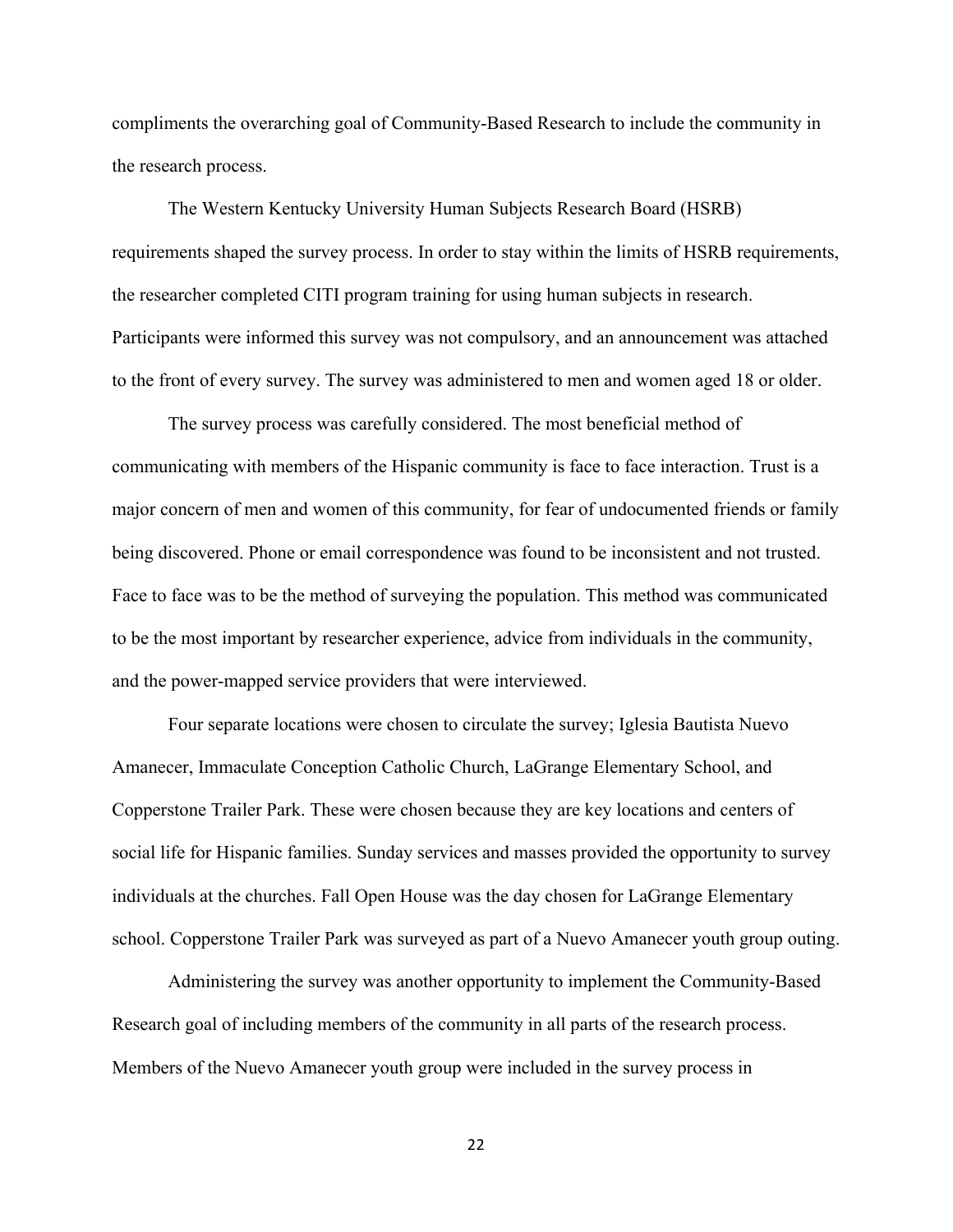compliments the overarching goal of Community-Based Research to include the community in the research process.

The Western Kentucky University Human Subjects Research Board (HSRB) requirements shaped the survey process. In order to stay within the limits of HSRB requirements, the researcher completed CITI program training for using human subjects in research. Participants were informed this survey was not compulsory, and an announcement was attached to the front of every survey. The survey was administered to men and women aged 18 or older.

The survey process was carefully considered. The most beneficial method of communicating with members of the Hispanic community is face to face interaction. Trust is a major concern of men and women of this community, for fear of undocumented friends or family being discovered. Phone or email correspondence was found to be inconsistent and not trusted. Face to face was to be the method of surveying the population. This method was communicated to be the most important by researcher experience, advice from individuals in the community, and the power-mapped service providers that were interviewed.

Four separate locations were chosen to circulate the survey; Iglesia Bautista Nuevo Amanecer, Immaculate Conception Catholic Church, LaGrange Elementary School, and Copperstone Trailer Park. These were chosen because they are key locations and centers of social life for Hispanic families. Sunday services and masses provided the opportunity to survey individuals at the churches. Fall Open House was the day chosen for LaGrange Elementary school. Copperstone Trailer Park was surveyed as part of a Nuevo Amanecer youth group outing.

Administering the survey was another opportunity to implement the Community-Based Research goal of including members of the community in all parts of the research process. Members of the Nuevo Amanecer youth group were included in the survey process in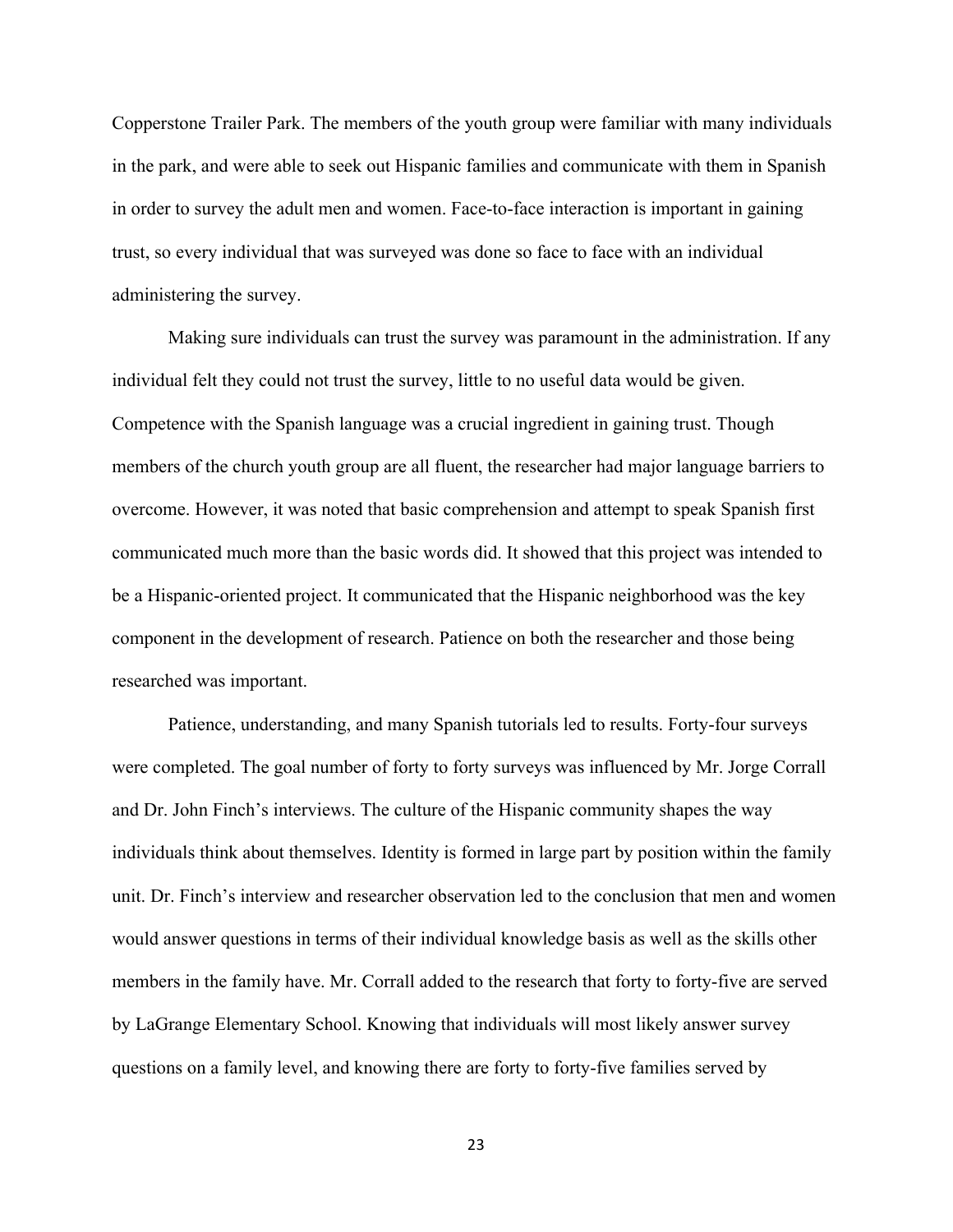Copperstone Trailer Park. The members of the youth group were familiar with many individuals in the park, and were able to seek out Hispanic families and communicate with them in Spanish in order to survey the adult men and women. Face-to-face interaction is important in gaining trust, so every individual that was surveyed was done so face to face with an individual administering the survey.

Making sure individuals can trust the survey was paramount in the administration. If any individual felt they could not trust the survey, little to no useful data would be given. Competence with the Spanish language was a crucial ingredient in gaining trust. Though members of the church youth group are all fluent, the researcher had major language barriers to overcome. However, it was noted that basic comprehension and attempt to speak Spanish first communicated much more than the basic words did. It showed that this project was intended to be a Hispanic-oriented project. It communicated that the Hispanic neighborhood was the key component in the development of research. Patience on both the researcher and those being researched was important.

Patience, understanding, and many Spanish tutorials led to results. Forty-four surveys were completed. The goal number of forty to forty surveys was influenced by Mr. Jorge Corrall and Dr. John Finch's interviews. The culture of the Hispanic community shapes the way individuals think about themselves. Identity is formed in large part by position within the family unit. Dr. Finch's interview and researcher observation led to the conclusion that men and women would answer questions in terms of their individual knowledge basis as well as the skills other members in the family have. Mr. Corrall added to the research that forty to forty-five are served by LaGrange Elementary School. Knowing that individuals will most likely answer survey questions on a family level, and knowing there are forty to forty-five families served by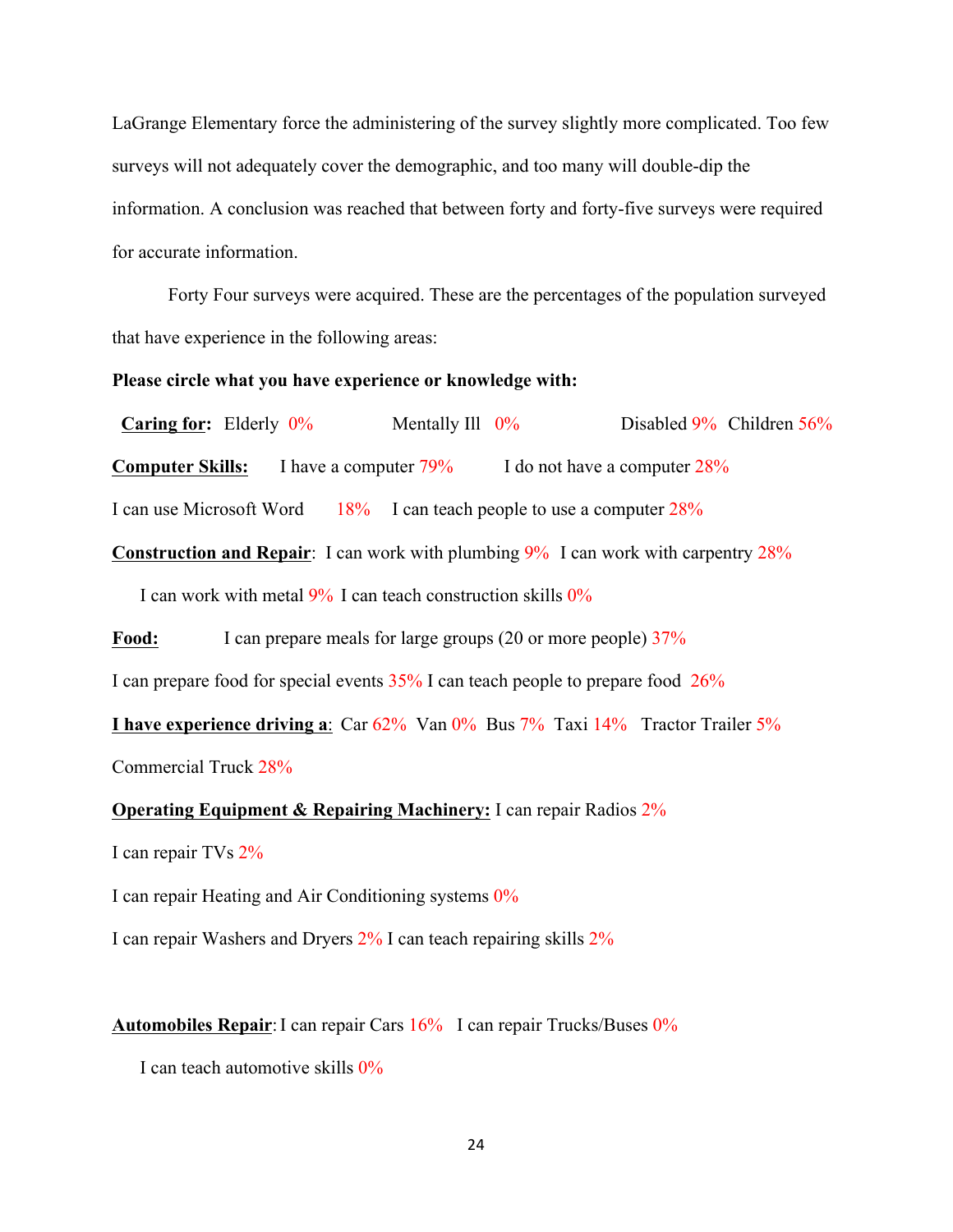LaGrange Elementary force the administering of the survey slightly more complicated. Too few surveys will not adequately cover the demographic, and too many will double-dip the information. A conclusion was reached that between forty and forty-five surveys were required for accurate information.

Forty Four surveys were acquired. These are the percentages of the population surveyed that have experience in the following areas:

#### **Please circle what you have experience or knowledge with:**

**Caring for:** Elderly  $0\%$  Mentally Ill  $0\%$  Disabled 9% Children 56% **Computer Skills:** I have a computer  $79\%$  I do not have a computer  $28\%$ 

I can use Microsoft Word 18% I can teach people to use a computer  $28\%$ 

**Construction and Repair**: I can work with plumbing 9% I can work with carpentry 28%

I can work with metal  $9\%$  I can teach construction skills  $0\%$ 

Food: I can prepare meals for large groups (20 or more people)  $37\%$ 

I can prepare food for special events 35% I can teach people to prepare food 26%

**I have experience driving a**: Car 62% Van 0% Bus 7% Taxi 14% Tractor Trailer 5%

Commercial Truck 28%

**Operating Equipment & Repairing Machinery:** I can repair Radios 2%

I can repair TVs 2%

I can repair Heating and Air Conditioning systems 0%

I can repair Washers and Dryers 2% I can teach repairing skills 2%

**Automobiles Repair**:I can repair Cars 16% I can repair Trucks/Buses 0%

I can teach automotive skills 0%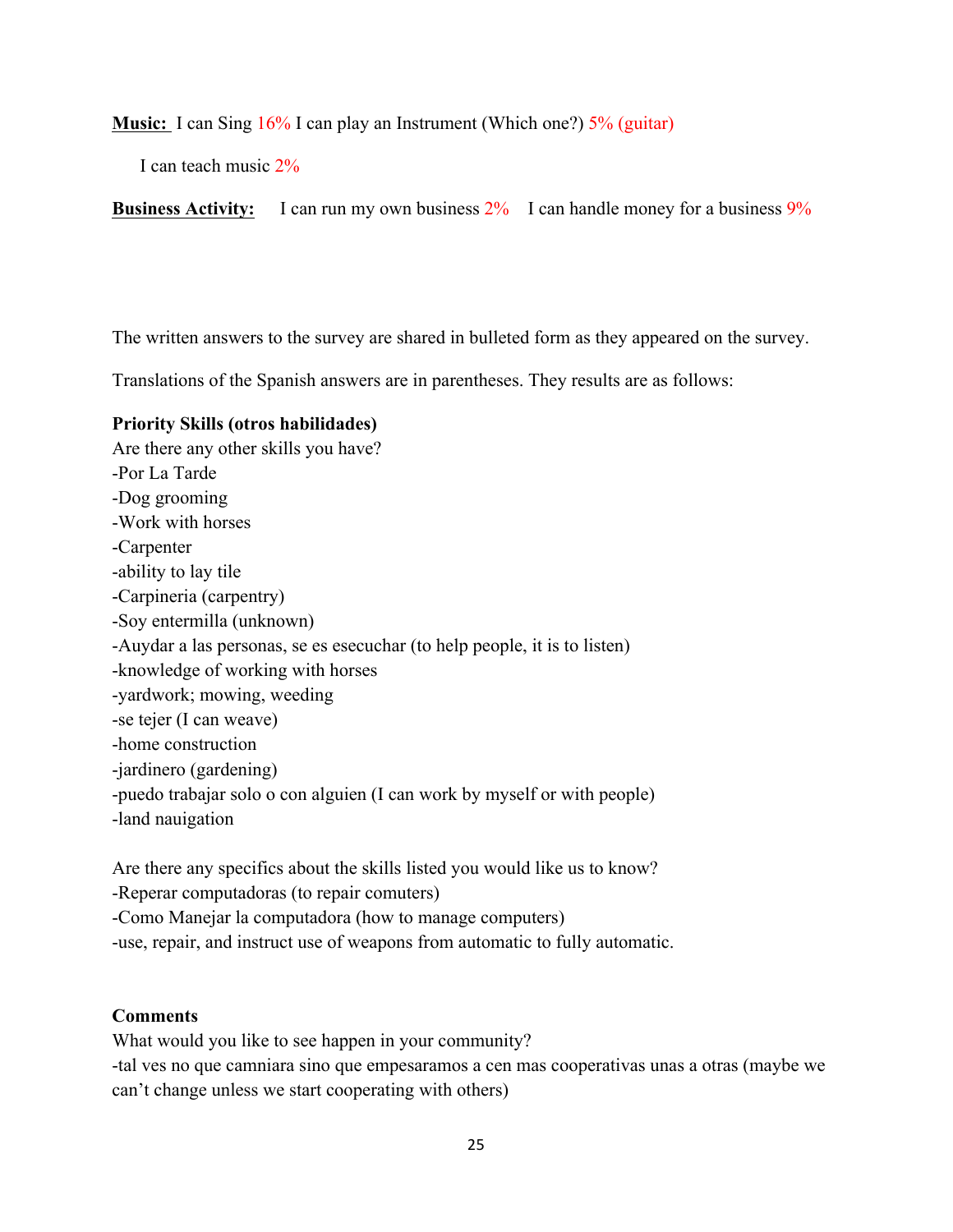#### **Music:** I can Sing 16% I can play an Instrument (Which one?) 5% (guitar)

I can teach music 2%

**Business Activity:** I can run my own business  $2\%$  I can handle money for a business  $9\%$ 

The written answers to the survey are shared in bulleted form as they appeared on the survey.

Translations of the Spanish answers are in parentheses. They results are as follows:

#### **Priority Skills (otros habilidades)**

Are there any other skills you have? -Por La Tarde -Dog grooming -Work with horses -Carpenter -ability to lay tile -Carpineria (carpentry) -Soy entermilla (unknown) -Auydar a las personas, se es esecuchar (to help people, it is to listen) -knowledge of working with horses -yardwork; mowing, weeding -se tejer (I can weave) -home construction -jardinero (gardening) -puedo trabajar solo o con alguien (I can work by myself or with people) -land nauigation

Are there any specifics about the skills listed you would like us to know? -Reperar computadoras (to repair comuters) -Como Manejar la computadora (how to manage computers) -use, repair, and instruct use of weapons from automatic to fully automatic.

## **Comments**

What would you like to see happen in your community? -tal ves no que camniara sino que empesaramos a cen mas cooperativas unas a otras (maybe we can't change unless we start cooperating with others)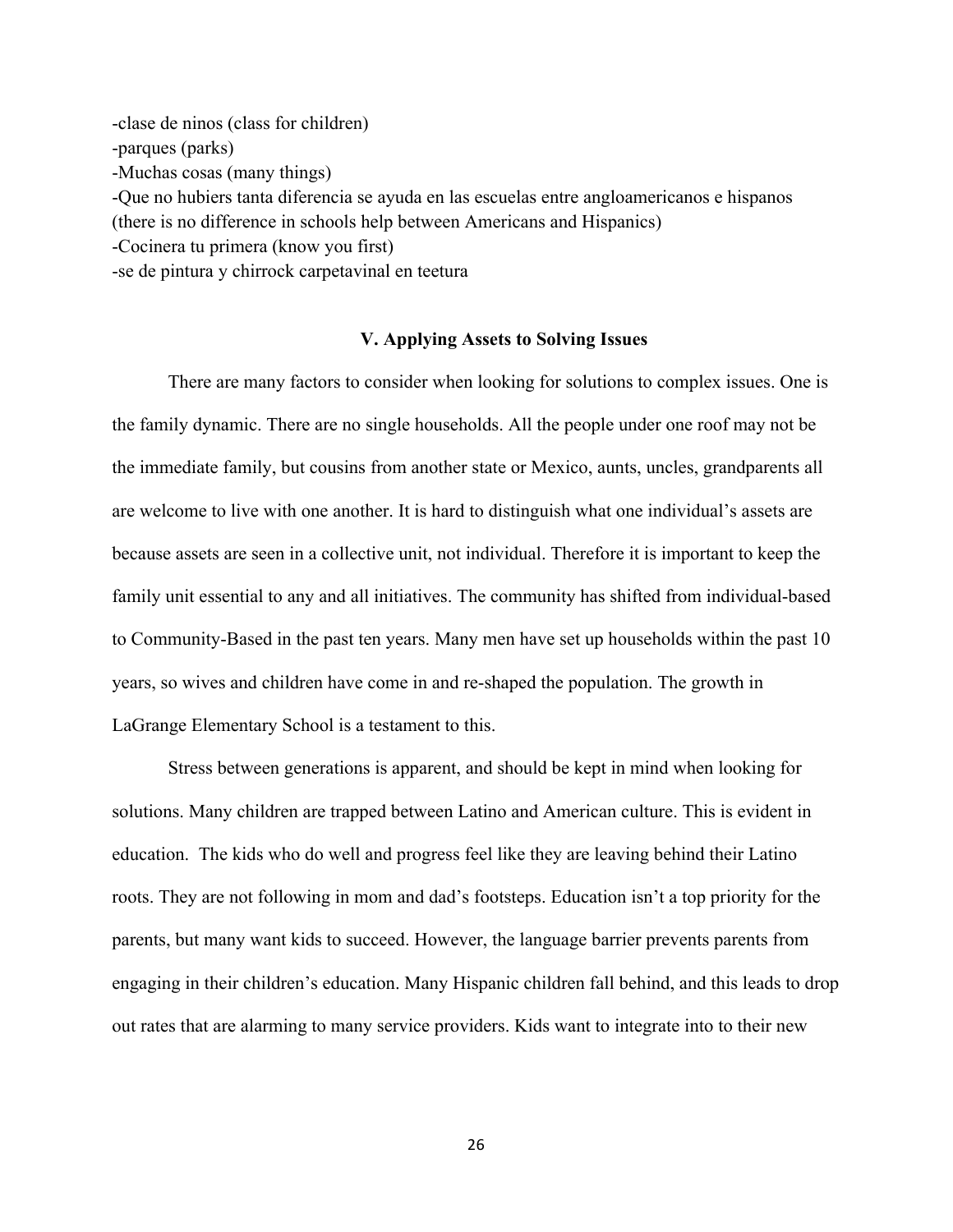-clase de ninos (class for children) -parques (parks) -Muchas cosas (many things) -Que no hubiers tanta diferencia se ayuda en las escuelas entre angloamericanos e hispanos (there is no difference in schools help between Americans and Hispanics) -Cocinera tu primera (know you first) -se de pintura y chirrock carpetavinal en teetura

#### **V. Applying Assets to Solving Issues**

There are many factors to consider when looking for solutions to complex issues. One is the family dynamic. There are no single households. All the people under one roof may not be the immediate family, but cousins from another state or Mexico, aunts, uncles, grandparents all are welcome to live with one another. It is hard to distinguish what one individual's assets are because assets are seen in a collective unit, not individual. Therefore it is important to keep the family unit essential to any and all initiatives. The community has shifted from individual-based to Community-Based in the past ten years. Many men have set up households within the past 10 years, so wives and children have come in and re-shaped the population. The growth in LaGrange Elementary School is a testament to this.

Stress between generations is apparent, and should be kept in mind when looking for solutions. Many children are trapped between Latino and American culture. This is evident in education. The kids who do well and progress feel like they are leaving behind their Latino roots. They are not following in mom and dad's footsteps. Education isn't a top priority for the parents, but many want kids to succeed. However, the language barrier prevents parents from engaging in their children's education. Many Hispanic children fall behind, and this leads to drop out rates that are alarming to many service providers. Kids want to integrate into to their new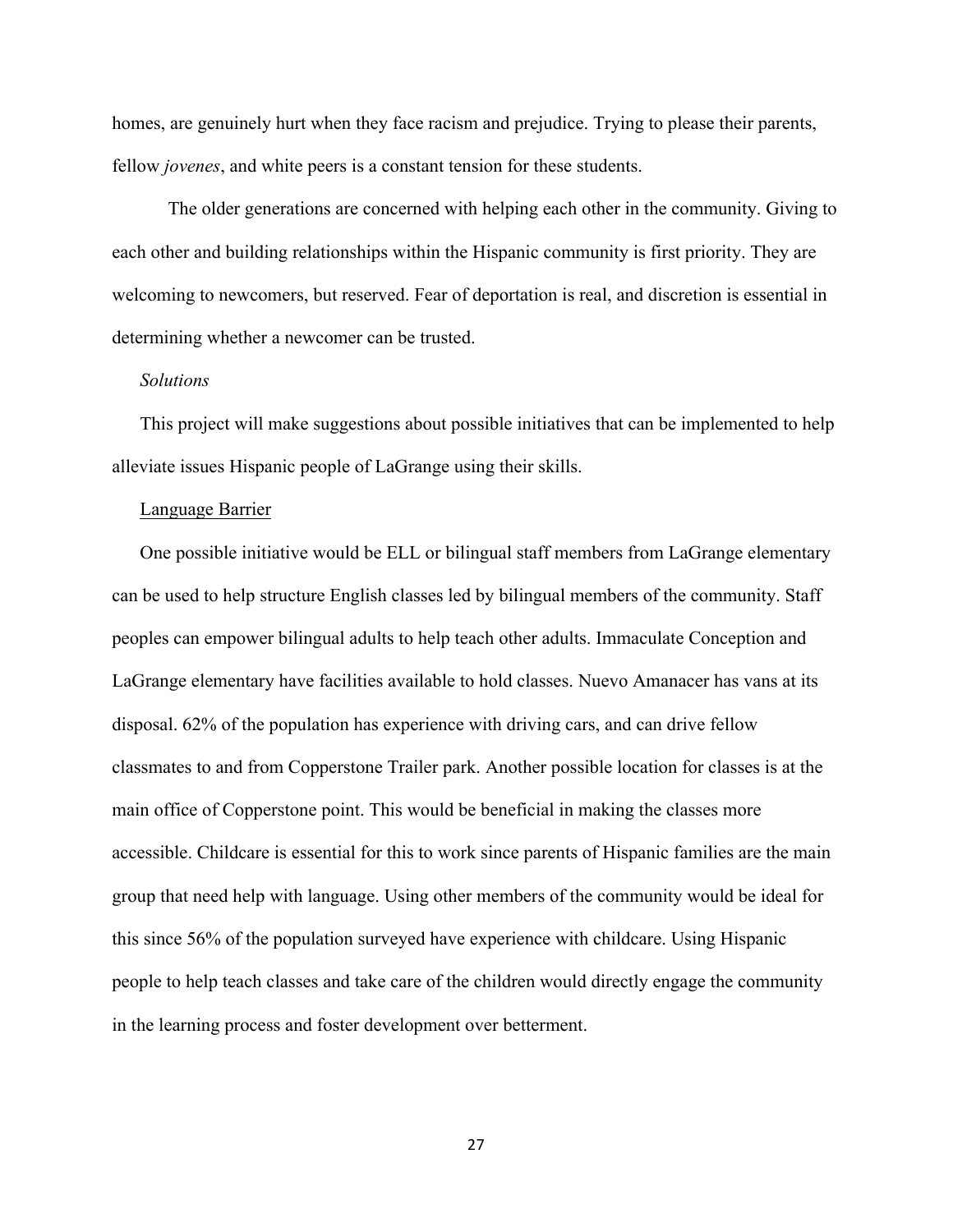homes, are genuinely hurt when they face racism and prejudice. Trying to please their parents, fellow *jovenes*, and white peers is a constant tension for these students.

The older generations are concerned with helping each other in the community. Giving to each other and building relationships within the Hispanic community is first priority. They are welcoming to newcomers, but reserved. Fear of deportation is real, and discretion is essential in determining whether a newcomer can be trusted.

#### *Solutions*

This project will make suggestions about possible initiatives that can be implemented to help alleviate issues Hispanic people of LaGrange using their skills.

#### Language Barrier

One possible initiative would be ELL or bilingual staff members from LaGrange elementary can be used to help structure English classes led by bilingual members of the community. Staff peoples can empower bilingual adults to help teach other adults. Immaculate Conception and LaGrange elementary have facilities available to hold classes. Nuevo Amanacer has vans at its disposal. 62% of the population has experience with driving cars, and can drive fellow classmates to and from Copperstone Trailer park. Another possible location for classes is at the main office of Copperstone point. This would be beneficial in making the classes more accessible. Childcare is essential for this to work since parents of Hispanic families are the main group that need help with language. Using other members of the community would be ideal for this since 56% of the population surveyed have experience with childcare. Using Hispanic people to help teach classes and take care of the children would directly engage the community in the learning process and foster development over betterment.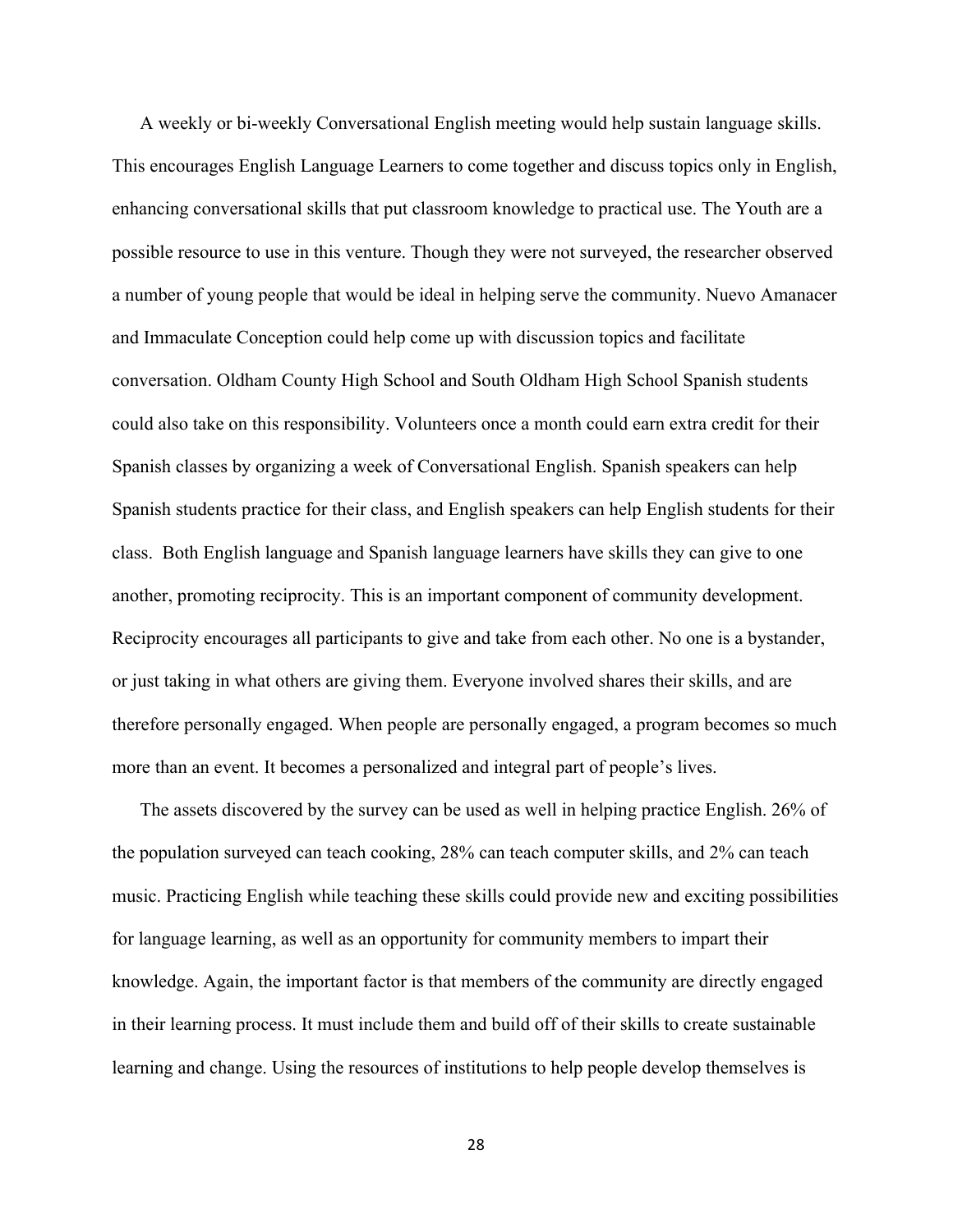A weekly or bi-weekly Conversational English meeting would help sustain language skills. This encourages English Language Learners to come together and discuss topics only in English, enhancing conversational skills that put classroom knowledge to practical use. The Youth are a possible resource to use in this venture. Though they were not surveyed, the researcher observed a number of young people that would be ideal in helping serve the community. Nuevo Amanacer and Immaculate Conception could help come up with discussion topics and facilitate conversation. Oldham County High School and South Oldham High School Spanish students could also take on this responsibility. Volunteers once a month could earn extra credit for their Spanish classes by organizing a week of Conversational English. Spanish speakers can help Spanish students practice for their class, and English speakers can help English students for their class. Both English language and Spanish language learners have skills they can give to one another, promoting reciprocity. This is an important component of community development. Reciprocity encourages all participants to give and take from each other. No one is a bystander, or just taking in what others are giving them. Everyone involved shares their skills, and are therefore personally engaged. When people are personally engaged, a program becomes so much more than an event. It becomes a personalized and integral part of people's lives.

The assets discovered by the survey can be used as well in helping practice English. 26% of the population surveyed can teach cooking, 28% can teach computer skills, and 2% can teach music. Practicing English while teaching these skills could provide new and exciting possibilities for language learning, as well as an opportunity for community members to impart their knowledge. Again, the important factor is that members of the community are directly engaged in their learning process. It must include them and build off of their skills to create sustainable learning and change. Using the resources of institutions to help people develop themselves is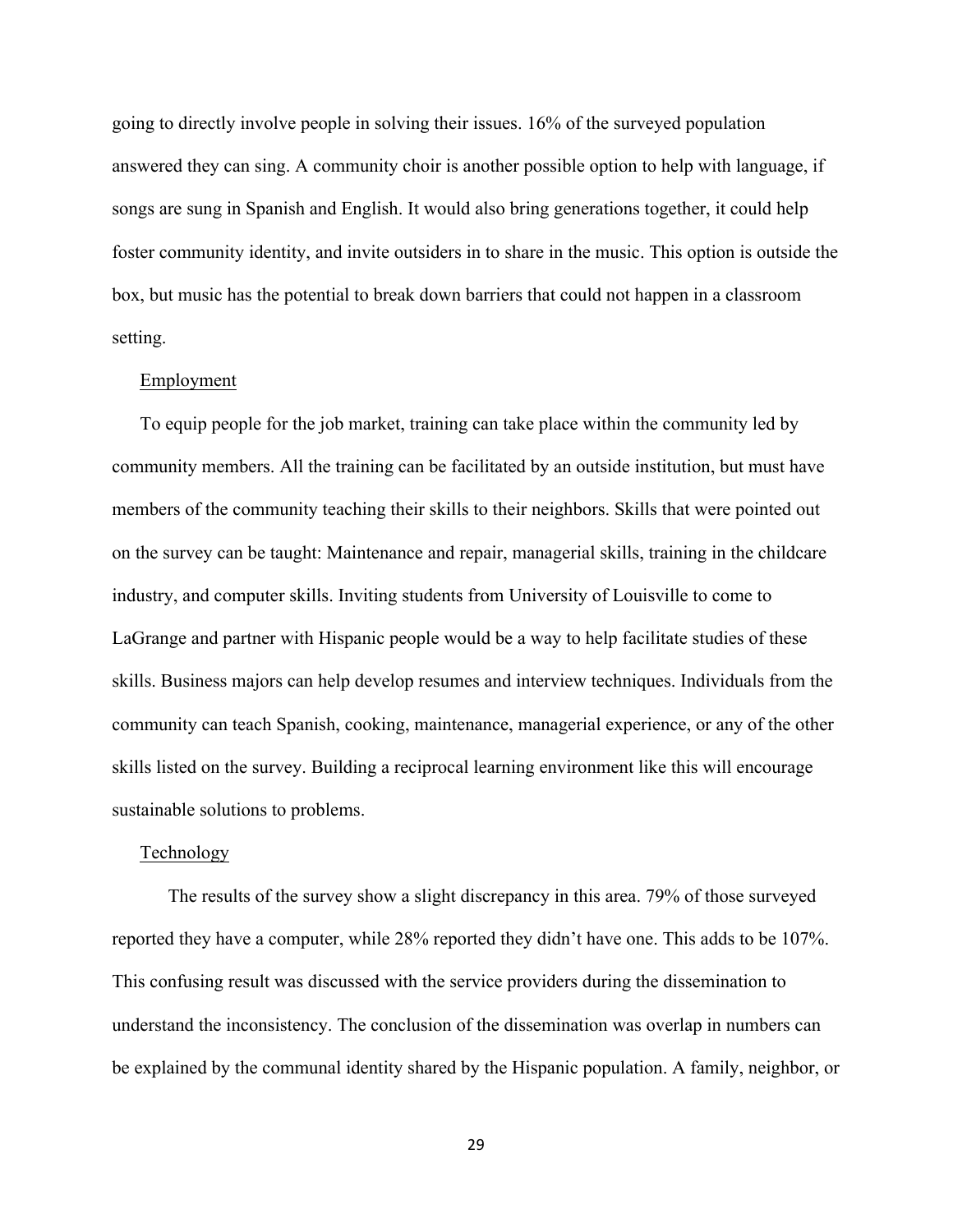going to directly involve people in solving their issues. 16% of the surveyed population answered they can sing. A community choir is another possible option to help with language, if songs are sung in Spanish and English. It would also bring generations together, it could help foster community identity, and invite outsiders in to share in the music. This option is outside the box, but music has the potential to break down barriers that could not happen in a classroom setting.

#### Employment

To equip people for the job market, training can take place within the community led by community members. All the training can be facilitated by an outside institution, but must have members of the community teaching their skills to their neighbors. Skills that were pointed out on the survey can be taught: Maintenance and repair, managerial skills, training in the childcare industry, and computer skills. Inviting students from University of Louisville to come to LaGrange and partner with Hispanic people would be a way to help facilitate studies of these skills. Business majors can help develop resumes and interview techniques. Individuals from the community can teach Spanish, cooking, maintenance, managerial experience, or any of the other skills listed on the survey. Building a reciprocal learning environment like this will encourage sustainable solutions to problems.

#### Technology

The results of the survey show a slight discrepancy in this area. 79% of those surveyed reported they have a computer, while 28% reported they didn't have one. This adds to be 107%. This confusing result was discussed with the service providers during the dissemination to understand the inconsistency. The conclusion of the dissemination was overlap in numbers can be explained by the communal identity shared by the Hispanic population. A family, neighbor, or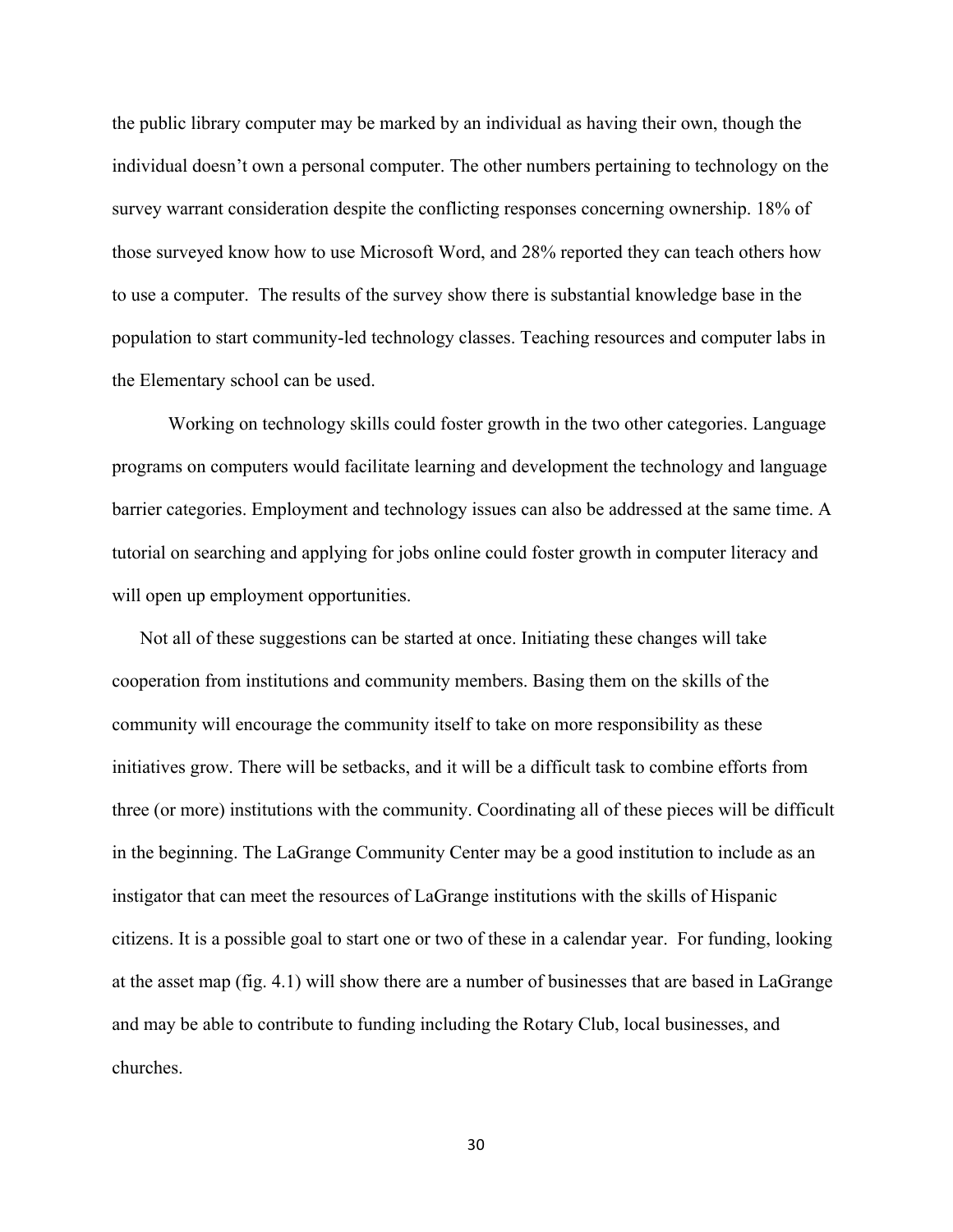the public library computer may be marked by an individual as having their own, though the individual doesn't own a personal computer. The other numbers pertaining to technology on the survey warrant consideration despite the conflicting responses concerning ownership. 18% of those surveyed know how to use Microsoft Word, and 28% reported they can teach others how to use a computer. The results of the survey show there is substantial knowledge base in the population to start community-led technology classes. Teaching resources and computer labs in the Elementary school can be used.

Working on technology skills could foster growth in the two other categories. Language programs on computers would facilitate learning and development the technology and language barrier categories. Employment and technology issues can also be addressed at the same time. A tutorial on searching and applying for jobs online could foster growth in computer literacy and will open up employment opportunities.

Not all of these suggestions can be started at once. Initiating these changes will take cooperation from institutions and community members. Basing them on the skills of the community will encourage the community itself to take on more responsibility as these initiatives grow. There will be setbacks, and it will be a difficult task to combine efforts from three (or more) institutions with the community. Coordinating all of these pieces will be difficult in the beginning. The LaGrange Community Center may be a good institution to include as an instigator that can meet the resources of LaGrange institutions with the skills of Hispanic citizens. It is a possible goal to start one or two of these in a calendar year. For funding, looking at the asset map (fig. 4.1) will show there are a number of businesses that are based in LaGrange and may be able to contribute to funding including the Rotary Club, local businesses, and churches.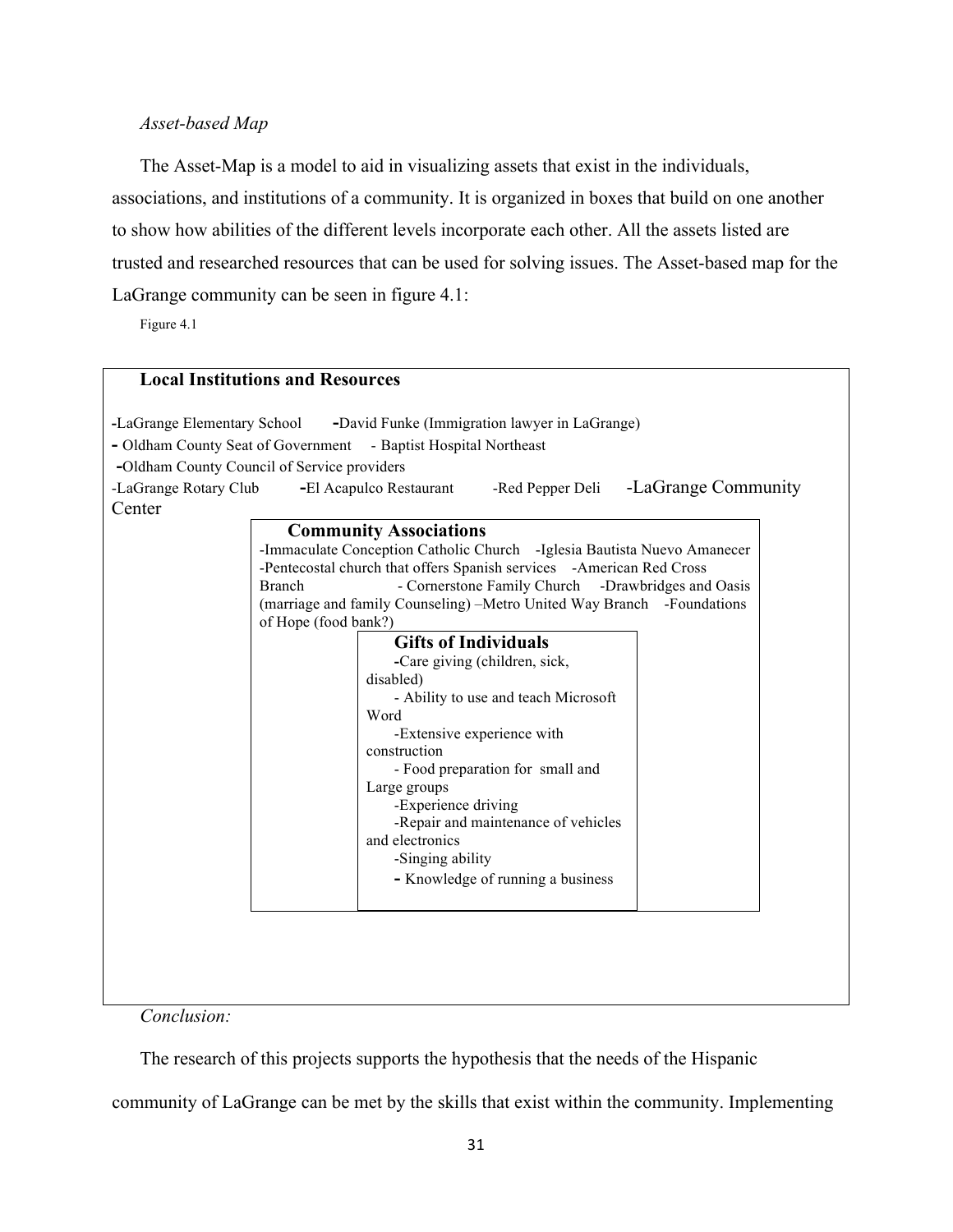#### *Asset-based Map*

The Asset-Map is a model to aid in visualizing assets that exist in the individuals, associations, and institutions of a community. It is organized in boxes that build on one another to show how abilities of the different levels incorporate each other. All the assets listed are trusted and researched resources that can be used for solving issues. The Asset-based map for the LaGrange community can be seen in figure 4.1:

Figure 4.1

|                                             | <b>Local Institutions and Resources</b>                                  |  |
|---------------------------------------------|--------------------------------------------------------------------------|--|
| -LaGrange Elementary School                 | -David Funke (Immigration lawyer in LaGrange)                            |  |
|                                             | - Oldham County Seat of Government - Baptist Hospital Northeast          |  |
| -Oldham County Council of Service providers |                                                                          |  |
| -LaGrange Rotary Club                       | -LaGrange Community<br>-El Acapulco Restaurant<br>-Red Pepper Deli       |  |
| Center                                      |                                                                          |  |
|                                             | <b>Community Associations</b>                                            |  |
|                                             | -Immaculate Conception Catholic Church -Iglesia Bautista Nuevo Amanecer  |  |
|                                             | -Pentecostal church that offers Spanish services -American Red Cross     |  |
|                                             | - Cornerstone Family Church - Drawbridges and Oasis<br><b>Branch</b>     |  |
|                                             | (marriage and family Counseling) – Metro United Way Branch - Foundations |  |
|                                             | of Hope (food bank?)                                                     |  |
|                                             | <b>Gifts of Individuals</b>                                              |  |
|                                             | -Care giving (children, sick,                                            |  |
|                                             | disabled)                                                                |  |
|                                             | - Ability to use and teach Microsoft                                     |  |
|                                             | Word                                                                     |  |
|                                             | -Extensive experience with<br>construction                               |  |
|                                             | - Food preparation for small and                                         |  |
|                                             | Large groups                                                             |  |
|                                             | -Experience driving                                                      |  |
|                                             | -Repair and maintenance of vehicles                                      |  |
|                                             | and electronics                                                          |  |
|                                             | -Singing ability                                                         |  |
|                                             | - Knowledge of running a business                                        |  |
|                                             |                                                                          |  |
|                                             |                                                                          |  |
|                                             |                                                                          |  |
|                                             |                                                                          |  |
|                                             |                                                                          |  |
|                                             |                                                                          |  |

*Conclusion:*

The research of this projects supports the hypothesis that the needs of the Hispanic

community of LaGrange can be met by the skills that exist within the community. Implementing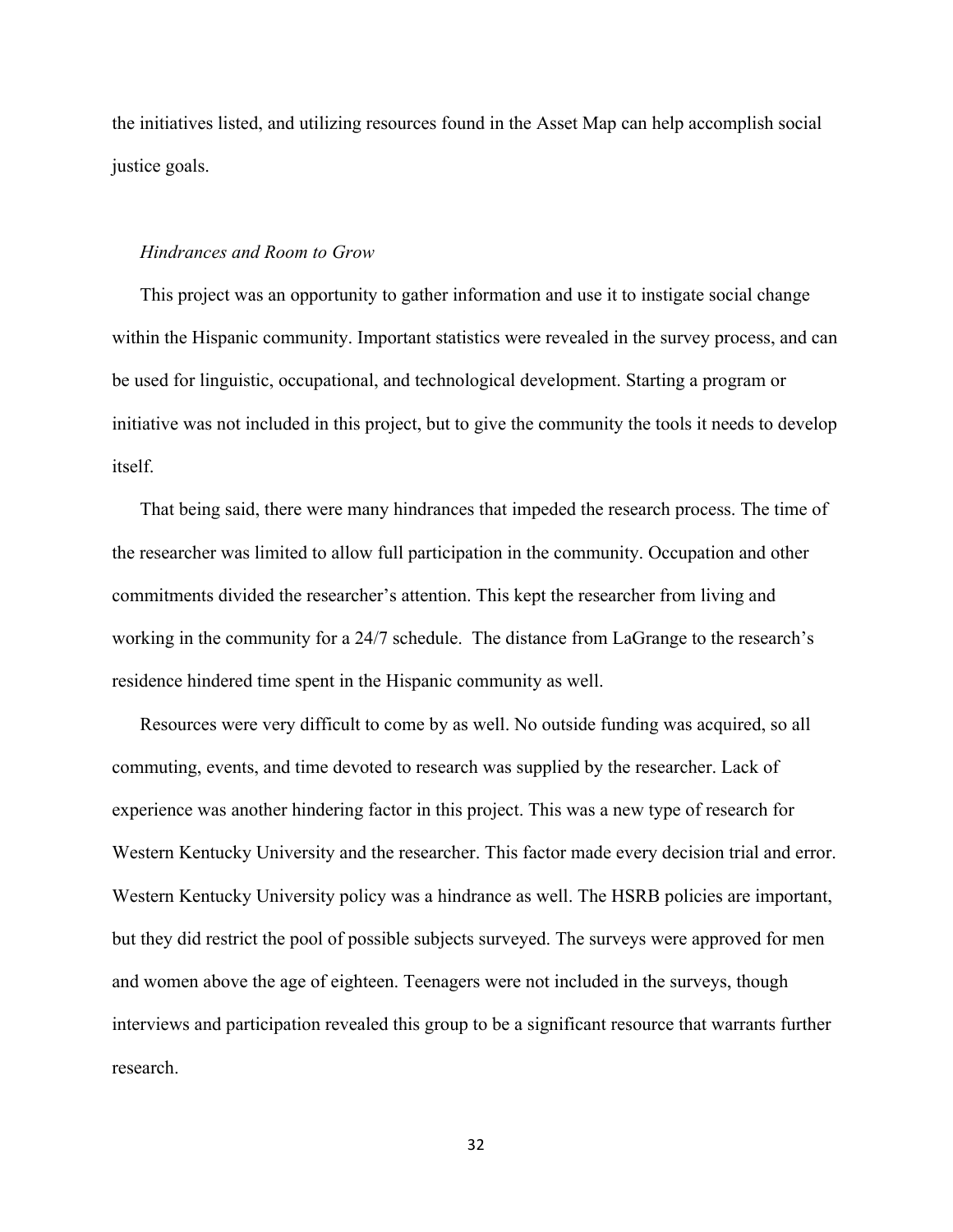the initiatives listed, and utilizing resources found in the Asset Map can help accomplish social justice goals.

#### *Hindrances and Room to Grow*

This project was an opportunity to gather information and use it to instigate social change within the Hispanic community. Important statistics were revealed in the survey process, and can be used for linguistic, occupational, and technological development. Starting a program or initiative was not included in this project, but to give the community the tools it needs to develop itself.

That being said, there were many hindrances that impeded the research process. The time of the researcher was limited to allow full participation in the community. Occupation and other commitments divided the researcher's attention. This kept the researcher from living and working in the community for a 24/7 schedule. The distance from LaGrange to the research's residence hindered time spent in the Hispanic community as well.

Resources were very difficult to come by as well. No outside funding was acquired, so all commuting, events, and time devoted to research was supplied by the researcher. Lack of experience was another hindering factor in this project. This was a new type of research for Western Kentucky University and the researcher. This factor made every decision trial and error. Western Kentucky University policy was a hindrance as well. The HSRB policies are important, but they did restrict the pool of possible subjects surveyed. The surveys were approved for men and women above the age of eighteen. Teenagers were not included in the surveys, though interviews and participation revealed this group to be a significant resource that warrants further research.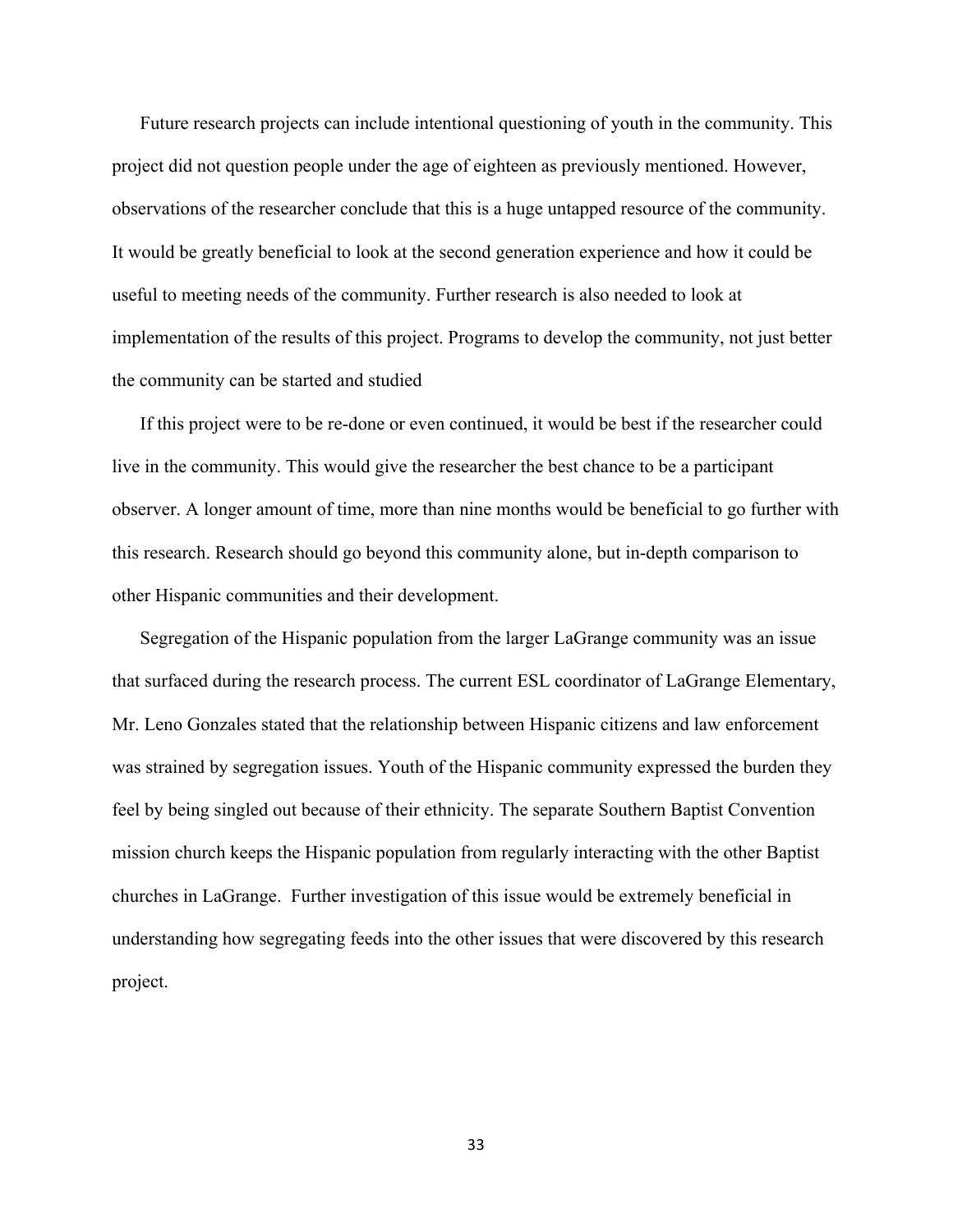Future research projects can include intentional questioning of youth in the community. This project did not question people under the age of eighteen as previously mentioned. However, observations of the researcher conclude that this is a huge untapped resource of the community. It would be greatly beneficial to look at the second generation experience and how it could be useful to meeting needs of the community. Further research is also needed to look at implementation of the results of this project. Programs to develop the community, not just better the community can be started and studied

If this project were to be re-done or even continued, it would be best if the researcher could live in the community. This would give the researcher the best chance to be a participant observer. A longer amount of time, more than nine months would be beneficial to go further with this research. Research should go beyond this community alone, but in-depth comparison to other Hispanic communities and their development.

Segregation of the Hispanic population from the larger LaGrange community was an issue that surfaced during the research process. The current ESL coordinator of LaGrange Elementary, Mr. Leno Gonzales stated that the relationship between Hispanic citizens and law enforcement was strained by segregation issues. Youth of the Hispanic community expressed the burden they feel by being singled out because of their ethnicity. The separate Southern Baptist Convention mission church keeps the Hispanic population from regularly interacting with the other Baptist churches in LaGrange. Further investigation of this issue would be extremely beneficial in understanding how segregating feeds into the other issues that were discovered by this research project.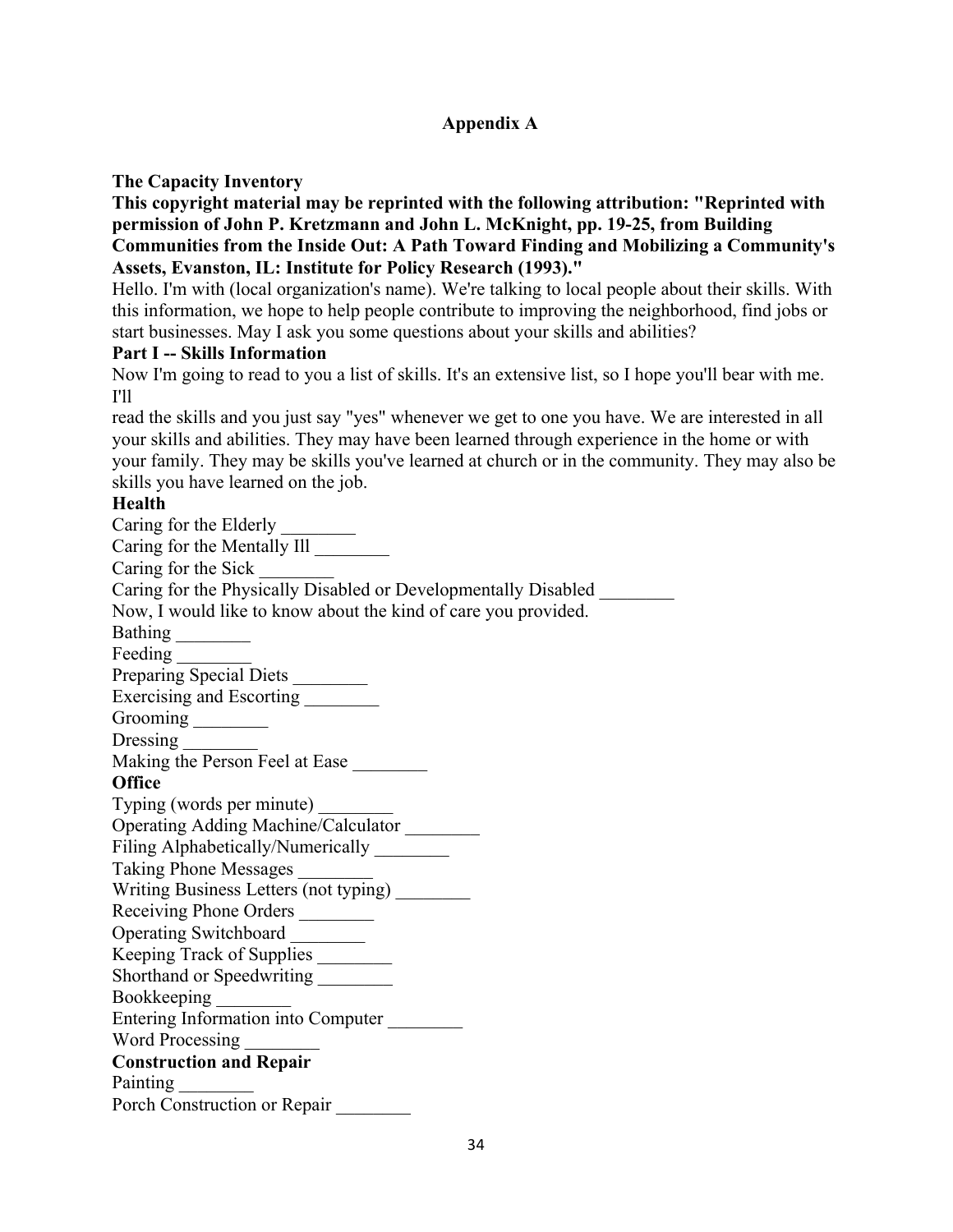## **Appendix A**

## **The Capacity Inventory**

**This copyright material may be reprinted with the following attribution: "Reprinted with permission of John P. Kretzmann and John L. McKnight, pp. 19-25, from Building Communities from the Inside Out: A Path Toward Finding and Mobilizing a Community's Assets, Evanston, IL: Institute for Policy Research (1993)."**

Hello. I'm with (local organization's name). We're talking to local people about their skills. With this information, we hope to help people contribute to improving the neighborhood, find jobs or start businesses. May I ask you some questions about your skills and abilities?

#### **Part I -- Skills Information**

Now I'm going to read to you a list of skills. It's an extensive list, so I hope you'll bear with me. I'll

read the skills and you just say "yes" whenever we get to one you have. We are interested in all your skills and abilities. They may have been learned through experience in the home or with your family. They may be skills you've learned at church or in the community. They may also be skills you have learned on the job.

## **Health**

Caring for the Elderly Caring for the Mentally Ill \_\_\_\_\_\_\_\_ Caring for the Sick \_\_\_\_\_\_\_\_ Caring for the Physically Disabled or Developmentally Disabled \_\_\_\_\_\_\_\_ Now, I would like to know about the kind of care you provided. Bathing \_\_\_\_\_\_\_\_ Feeding Preparing Special Diets \_\_\_\_\_\_\_\_\_ Exercising and Escorting \_\_\_\_\_\_\_\_\_ Grooming Dressing Making the Person Feel at Ease \_\_\_\_\_\_\_\_ **Office** Typing (words per minute) \_\_\_\_\_\_\_\_ Operating Adding Machine/Calculator \_\_\_\_\_\_\_\_ Filing Alphabetically/Numerically \_\_\_\_\_\_\_\_ Taking Phone Messages \_\_\_\_\_\_\_\_ Writing Business Letters (not typing) \_\_\_\_\_\_\_\_ Receiving Phone Orders \_\_\_\_\_\_\_\_\_ Operating Switchboard \_\_\_\_\_\_\_\_ Keeping Track of Supplies \_\_\_\_\_\_\_\_ Shorthand or Speedwriting Bookkeeping Entering Information into Computer \_\_\_\_\_\_\_\_ Word Processing **Construction and Repair** Painting \_\_\_\_\_\_\_\_ Porch Construction or Repair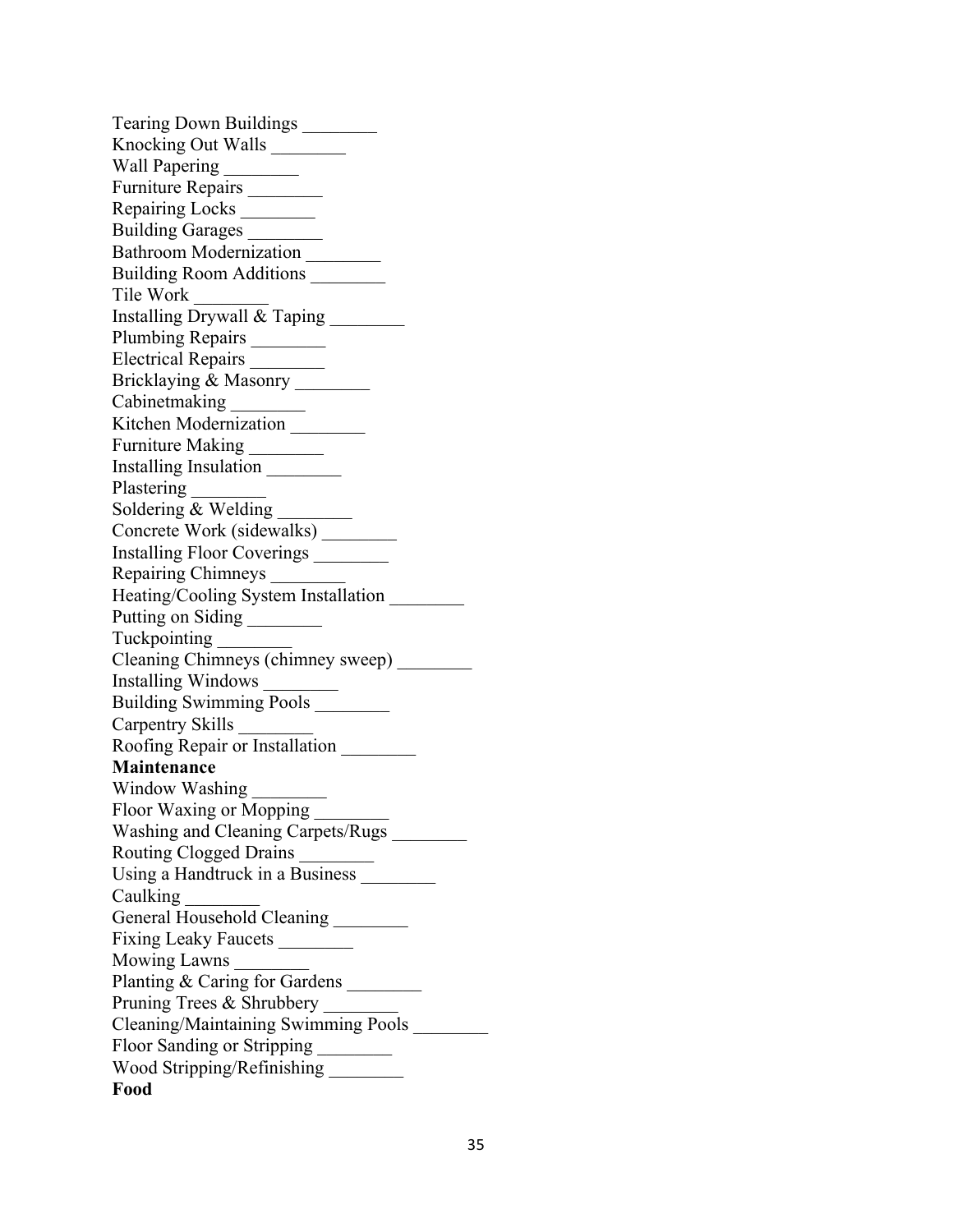Tearing Down Buildings \_\_\_\_\_\_\_\_ Knocking Out Walls \_\_\_\_\_\_\_\_ Wall Papering \_\_\_\_\_\_\_\_ Furniture Repairs \_\_\_\_\_\_\_\_ Repairing Locks \_\_\_\_\_\_\_\_ Building Garages \_\_\_\_\_\_\_\_ Bathroom Modernization \_\_\_\_\_\_\_\_ Building Room Additions \_\_\_\_\_\_\_\_ Tile Work \_\_\_\_\_\_\_\_ Installing Drywall & Taping \_\_\_\_\_\_\_\_ Plumbing Repairs \_\_\_\_\_\_\_\_ Electrical Repairs \_\_\_\_\_\_\_\_\_ Bricklaying & Masonry \_\_\_\_\_\_\_\_\_ Cabinetmaking Kitchen Modernization \_\_\_\_\_\_\_\_\_ Furniture Making \_\_\_\_\_\_\_\_\_ Installing Insulation \_\_\_\_\_\_\_\_ Plastering \_\_\_\_\_\_\_\_ Soldering & Welding Concrete Work (sidewalks) \_\_\_\_\_\_\_\_ Installing Floor Coverings \_\_\_\_\_\_\_\_ Repairing Chimneys \_\_\_\_\_\_\_\_ Heating/Cooling System Installation \_\_\_\_\_\_\_\_\_ Putting on Siding \_\_\_\_\_\_\_\_ Tuckpointing \_\_\_\_\_\_\_\_ Cleaning Chimneys (chimney sweep) \_\_\_\_\_\_\_\_ Installing Windows \_\_\_\_\_\_\_\_ Building Swimming Pools \_\_\_\_\_\_\_\_ Carpentry Skills \_\_\_\_\_\_\_\_ Roofing Repair or Installation \_\_\_\_\_\_\_\_ **Maintenance** Window Washing Floor Waxing or Mopping \_\_\_\_\_\_\_\_ Washing and Cleaning Carpets/Rugs \_\_\_\_\_\_\_\_ Routing Clogged Drains \_\_\_\_\_\_\_\_ Using a Handtruck in a Business \_\_\_\_\_\_\_\_ Caulking General Household Cleaning Fixing Leaky Faucets \_\_\_\_\_\_\_\_\_ Mowing Lawns Planting & Caring for Gardens \_\_\_\_\_\_\_\_\_\_ Pruning Trees & Shrubbery Cleaning/Maintaining Swimming Pools \_\_\_\_\_\_\_\_ Floor Sanding or Stripping \_\_\_\_\_\_\_\_ Wood Stripping/Refinishing **Food**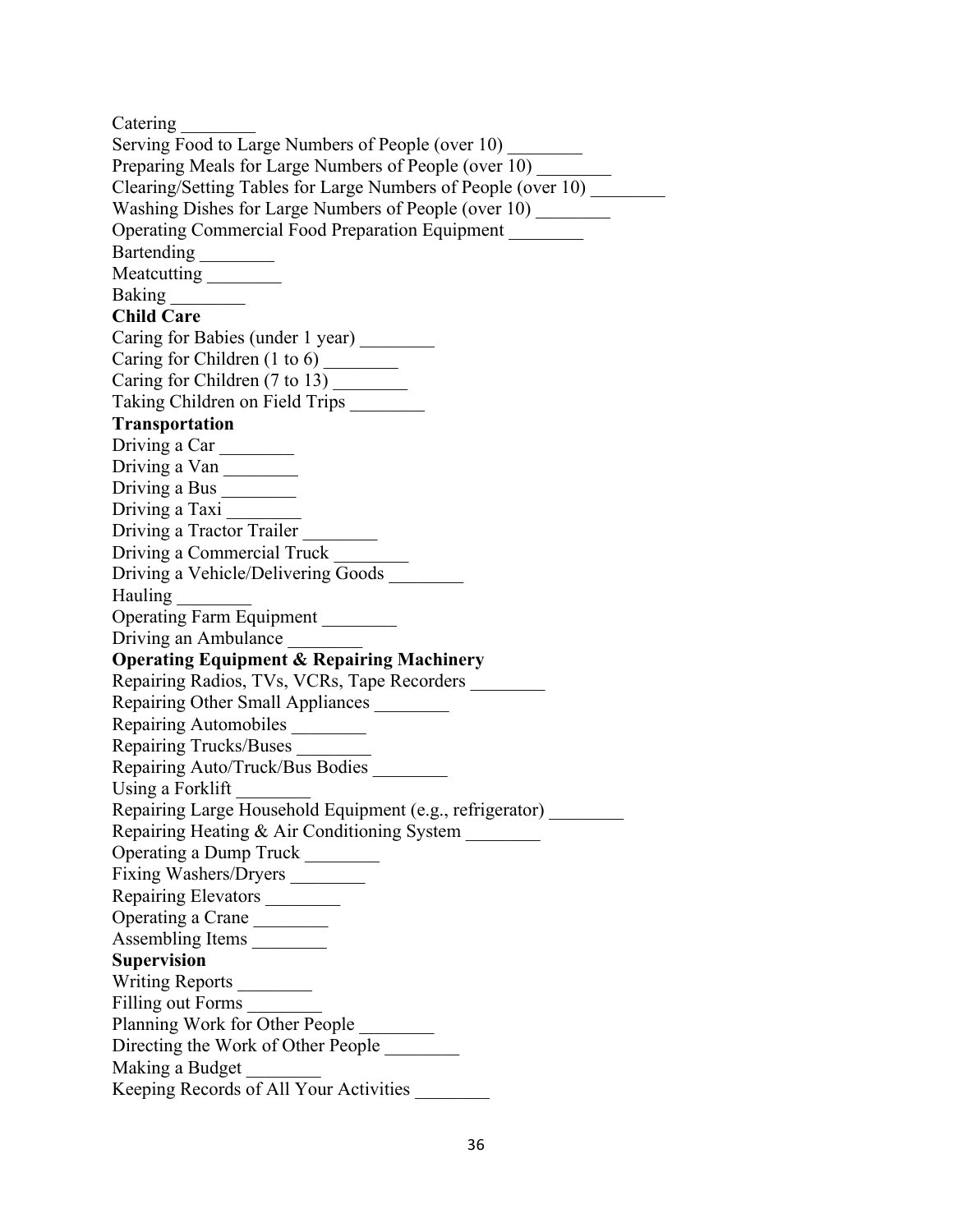Catering \_\_\_\_\_\_\_\_ Serving Food to Large Numbers of People (over 10) Preparing Meals for Large Numbers of People (over 10) Clearing/Setting Tables for Large Numbers of People (over 10) \_\_\_\_\_\_\_\_ Washing Dishes for Large Numbers of People (over 10) Operating Commercial Food Preparation Equipment \_\_\_\_\_\_\_\_ Bartending Meatcutting \_\_\_\_\_\_\_\_ Baking \_\_\_\_\_\_\_\_ **Child Care** Caring for Babies (under 1 year) \_\_\_\_\_\_\_\_ Caring for Children (1 to 6) \_\_\_\_\_\_\_\_ Caring for Children (7 to 13) Taking Children on Field Trips \_\_\_\_\_\_\_\_ **Transportation** Driving a Car Driving a Van \_\_\_\_\_\_\_\_ Driving a Bus \_\_\_\_\_\_\_\_ Driving a Taxi Driving a Tractor Trailer Driving a Commercial Truck \_\_\_\_\_\_\_\_ Driving a Vehicle/Delivering Goods \_\_\_\_\_\_\_\_ Hauling \_\_\_\_\_\_\_\_ Operating Farm Equipment \_\_\_\_\_\_\_\_ Driving an Ambulance **Operating Equipment & Repairing Machinery** Repairing Radios, TVs, VCRs, Tape Recorders \_\_\_\_\_\_\_\_ Repairing Other Small Appliances \_\_\_\_\_\_\_\_ Repairing Automobiles Repairing Trucks/Buses \_\_\_\_\_\_\_\_ Repairing Auto/Truck/Bus Bodies \_\_\_\_\_\_\_\_ Using a Forklift Repairing Large Household Equipment (e.g., refrigerator) \_\_\_\_\_\_\_\_ Repairing Heating & Air Conditioning System \_\_\_\_\_\_\_\_ Operating a Dump Truck \_\_\_\_\_\_\_\_ Fixing Washers/Dryers \_\_\_\_\_\_\_\_\_ Repairing Elevators \_\_\_\_\_\_\_\_\_ Operating a Crane Assembling Items \_\_\_\_\_\_\_\_ **Supervision** Writing Reports \_\_\_\_\_\_\_\_ Filling out Forms \_\_\_\_\_\_\_\_ Planning Work for Other People \_\_\_\_\_\_\_\_ Directing the Work of Other People Making a Budget Keeping Records of All Your Activities \_\_\_\_\_\_\_\_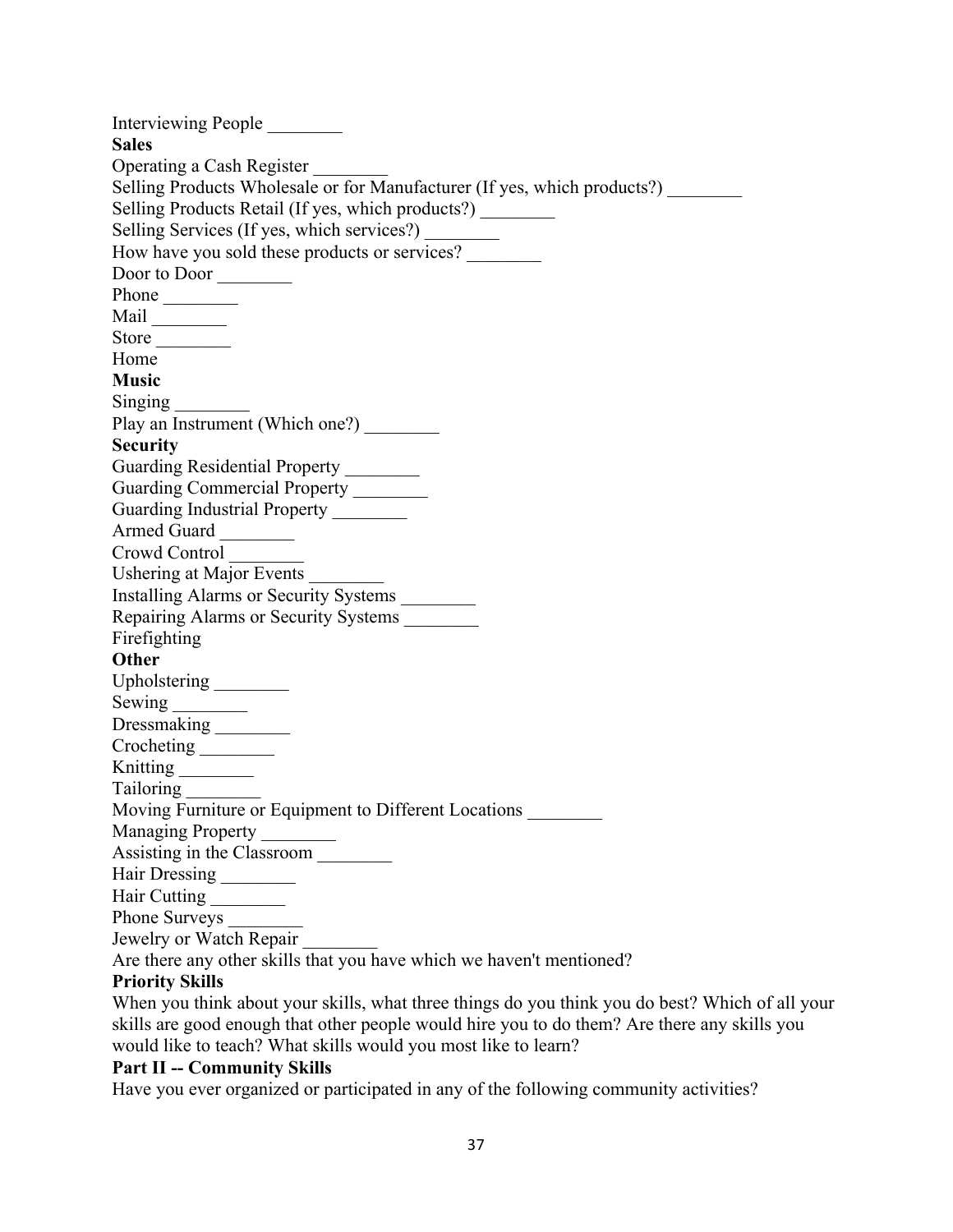Interviewing People \_\_\_\_\_\_\_\_ **Sales** Operating a Cash Register \_\_\_\_\_\_\_\_ Selling Products Wholesale or for Manufacturer (If yes, which products?) Selling Products Retail (If yes, which products?) Selling Services (If yes, which services?) How have you sold these products or services? \_\_\_\_\_\_\_\_ Door to Door Phone \_\_\_\_\_\_\_\_ Mail \_\_\_\_\_\_\_\_ Store Home **Music** Singing \_\_\_\_\_\_\_\_ Play an Instrument (Which one?) **Security** Guarding Residential Property Guarding Commercial Property \_\_\_\_\_\_\_\_\_ Guarding Industrial Property \_\_\_\_\_\_\_\_ Armed Guard Crowd Control \_\_\_\_\_\_\_\_ Ushering at Major Events \_\_\_\_\_\_\_\_ Installing Alarms or Security Systems \_\_\_\_\_\_\_\_ Repairing Alarms or Security Systems \_\_\_\_\_\_\_\_ Firefighting **Other** Upholstering \_\_\_\_\_\_\_\_ Sewing \_\_\_\_\_\_\_\_ Dressmaking \_\_\_\_\_\_\_\_\_ Crocheting \_\_\_\_\_\_\_\_\_\_ Knitting Tailoring \_\_\_\_\_\_\_\_ Moving Furniture or Equipment to Different Locations \_\_\_\_\_\_\_\_ Managing Property \_\_\_\_\_\_\_ Assisting in the Classroom \_\_\_\_\_\_\_\_ Hair Dressing \_\_\_\_\_\_\_\_ Hair Cutting \_\_\_\_\_\_\_\_ Phone Surveys Jewelry or Watch Repair \_\_\_\_\_\_\_\_

## Are there any other skills that you have which we haven't mentioned?

## **Priority Skills**

When you think about your skills, what three things do you think you do best? Which of all your skills are good enough that other people would hire you to do them? Are there any skills you would like to teach? What skills would you most like to learn?

## **Part II -- Community Skills**

Have you ever organized or participated in any of the following community activities?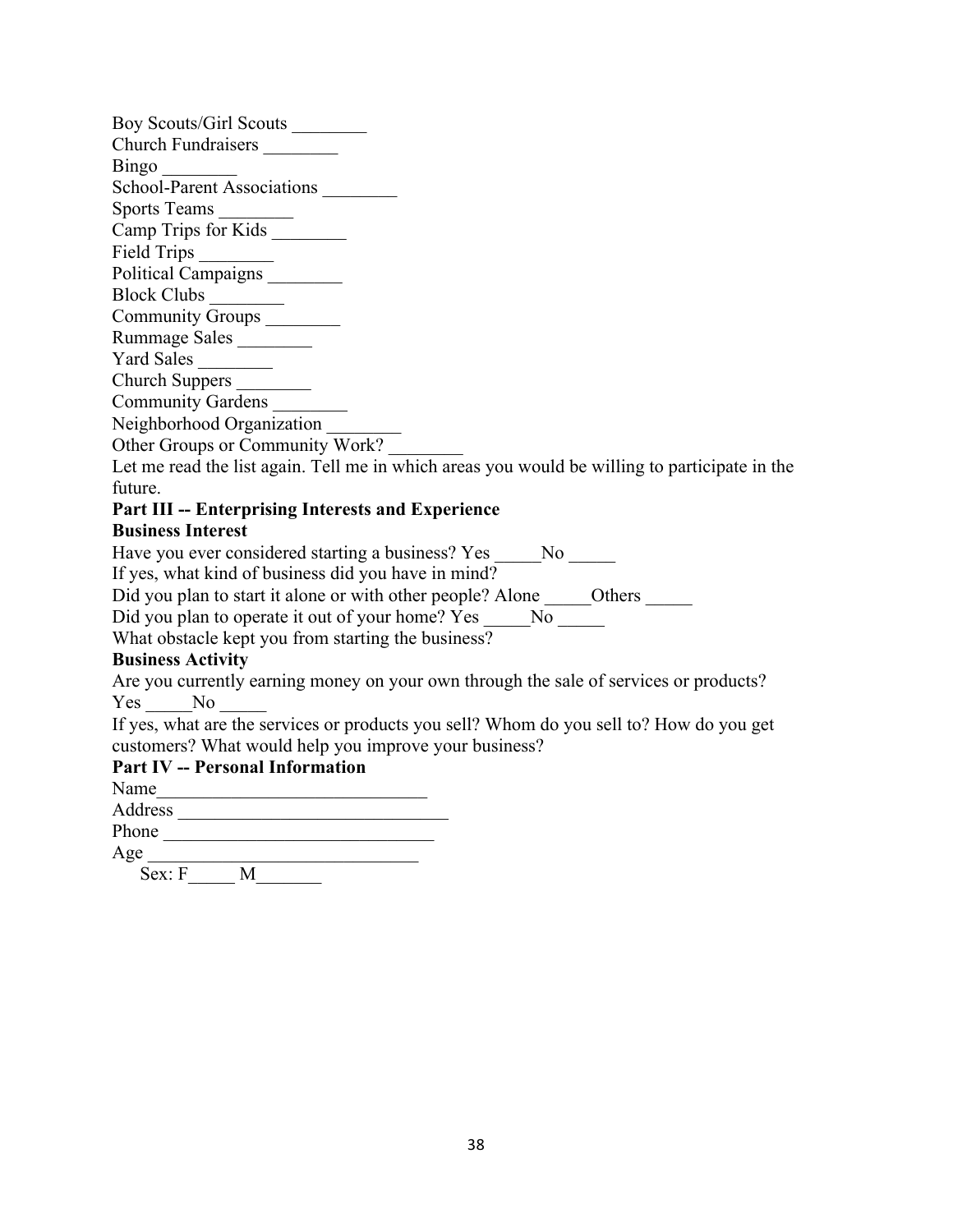| Boy Scouts/Girl Scouts                                                                        |
|-----------------------------------------------------------------------------------------------|
| Church Fundraisers _________                                                                  |
| Bingo<br>School-Parent Associations                                                           |
|                                                                                               |
|                                                                                               |
| Sports Teams<br>Camp Trips for Kids                                                           |
|                                                                                               |
| Political Campaigns                                                                           |
|                                                                                               |
| Community Groups ________                                                                     |
| Rummage Sales                                                                                 |
| Yard Sales                                                                                    |
| Church Suppers                                                                                |
| Community Gardens                                                                             |
| Neighborhood Organization                                                                     |
| Other Groups or Community Work?                                                               |
| Let me read the list again. Tell me in which areas you would be willing to participate in the |
| future.                                                                                       |
| Part III -- Enterprising Interests and Experience                                             |
| <b>Business Interest</b>                                                                      |
| Have you ever considered starting a business? Yes ______ No ______                            |
| If yes, what kind of business did you have in mind?                                           |
| Did you plan to start it alone or with other people? Alone ______ Others ______               |
|                                                                                               |
| What obstacle kept you from starting the business?                                            |
| <b>Business Activity</b>                                                                      |
| Are you currently earning money on your own through the sale of services or products?         |
| Yes No                                                                                        |
| If yes, what are the services or products you sell? Whom do you sell to? How do you get       |
| customers? What would help you improve your business?                                         |
| <b>Part IV -- Personal Information</b>                                                        |
|                                                                                               |
|                                                                                               |
| Phone                                                                                         |
| $Age \over \overline{Sex: F \_\_\_M \_\_M}$                                                   |
|                                                                                               |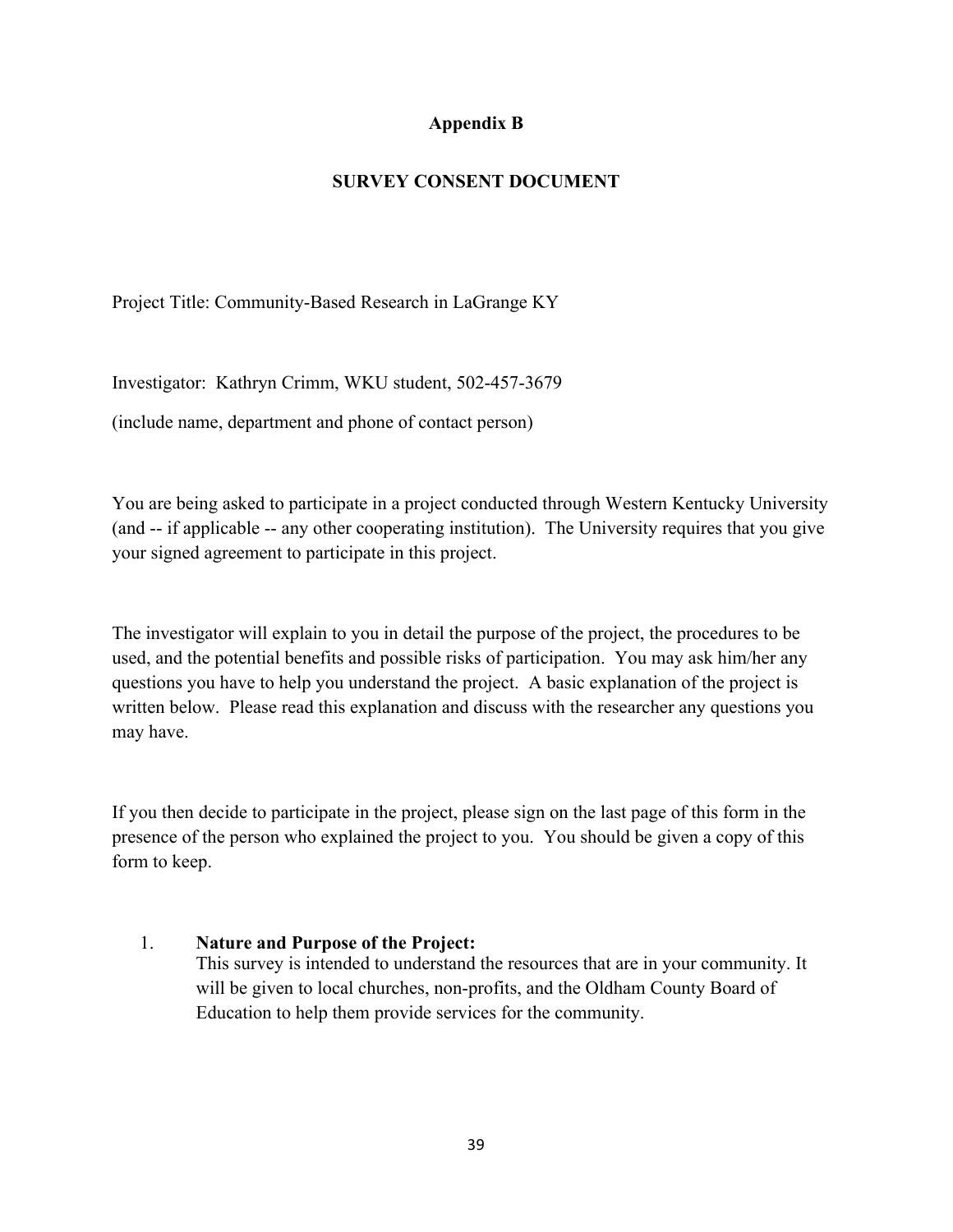## **Appendix B**

## **SURVEY CONSENT DOCUMENT**

Project Title: Community-Based Research in LaGrange KY

Investigator: Kathryn Crimm, WKU student, 502-457-3679

(include name, department and phone of contact person)

You are being asked to participate in a project conducted through Western Kentucky University (and -- if applicable -- any other cooperating institution). The University requires that you give your signed agreement to participate in this project.

The investigator will explain to you in detail the purpose of the project, the procedures to be used, and the potential benefits and possible risks of participation. You may ask him/her any questions you have to help you understand the project. A basic explanation of the project is written below. Please read this explanation and discuss with the researcher any questions you may have.

If you then decide to participate in the project, please sign on the last page of this form in the presence of the person who explained the project to you. You should be given a copy of this form to keep.

## 1. **Nature and Purpose of the Project:**

This survey is intended to understand the resources that are in your community. It will be given to local churches, non-profits, and the Oldham County Board of Education to help them provide services for the community.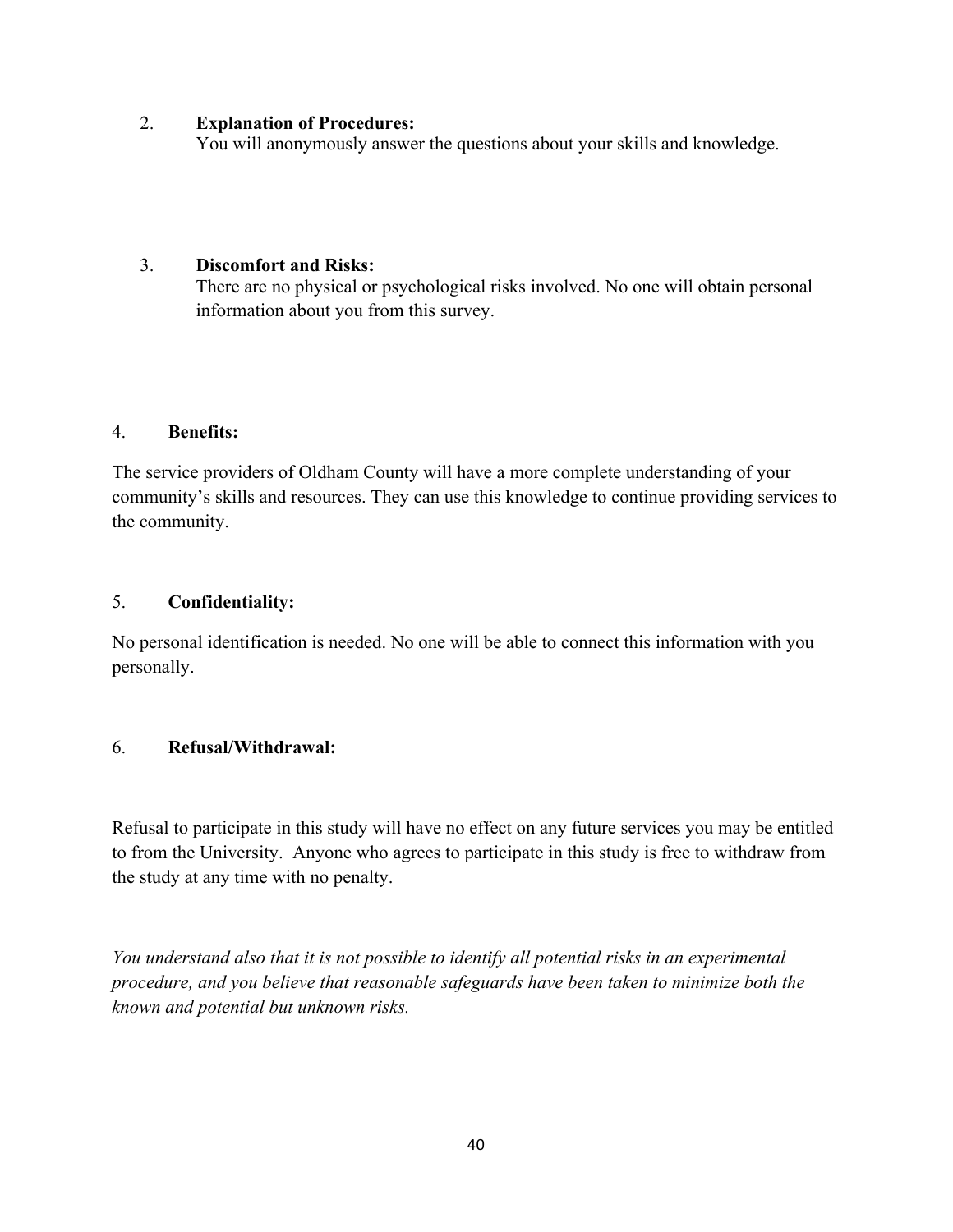#### 2. **Explanation of Procedures:**

You will anonymously answer the questions about your skills and knowledge.

#### 3. **Discomfort and Risks:**

There are no physical or psychological risks involved. No one will obtain personal information about you from this survey.

#### 4. **Benefits:**

The service providers of Oldham County will have a more complete understanding of your community's skills and resources. They can use this knowledge to continue providing services to the community.

## 5. **Confidentiality:**

No personal identification is needed. No one will be able to connect this information with you personally.

## 6. **Refusal/Withdrawal:**

Refusal to participate in this study will have no effect on any future services you may be entitled to from the University. Anyone who agrees to participate in this study is free to withdraw from the study at any time with no penalty.

*You understand also that it is not possible to identify all potential risks in an experimental procedure, and you believe that reasonable safeguards have been taken to minimize both the known and potential but unknown risks.*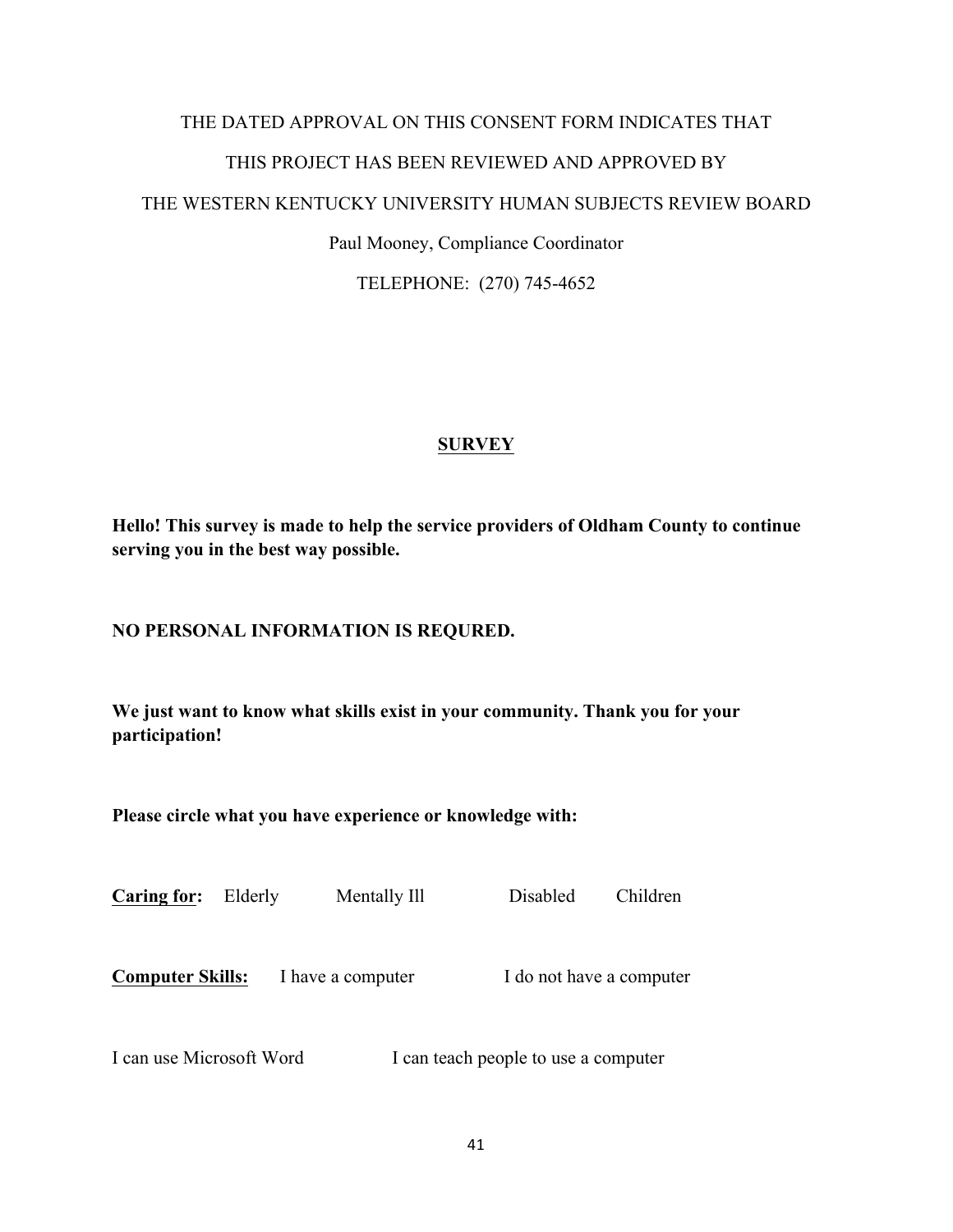# THE DATED APPROVAL ON THIS CONSENT FORM INDICATES THAT THIS PROJECT HAS BEEN REVIEWED AND APPROVED BY THE WESTERN KENTUCKY UNIVERSITY HUMAN SUBJECTS REVIEW BOARD Paul Mooney, Compliance Coordinator

TELEPHONE: (270) 745-4652

## **SURVEY**

**Hello! This survey is made to help the service providers of Oldham County to continue serving you in the best way possible.** 

## **NO PERSONAL INFORMATION IS REQURED.**

**We just want to know what skills exist in your community. Thank you for your participation!**

**Please circle what you have experience or knowledge with:**

| <b>Caring for:</b>      | Elderly | Mentally Ill      | Disabled                 | Children |
|-------------------------|---------|-------------------|--------------------------|----------|
| <b>Computer Skills:</b> |         | I have a computer | I do not have a computer |          |

I can use Microsoft Word I can teach people to use a computer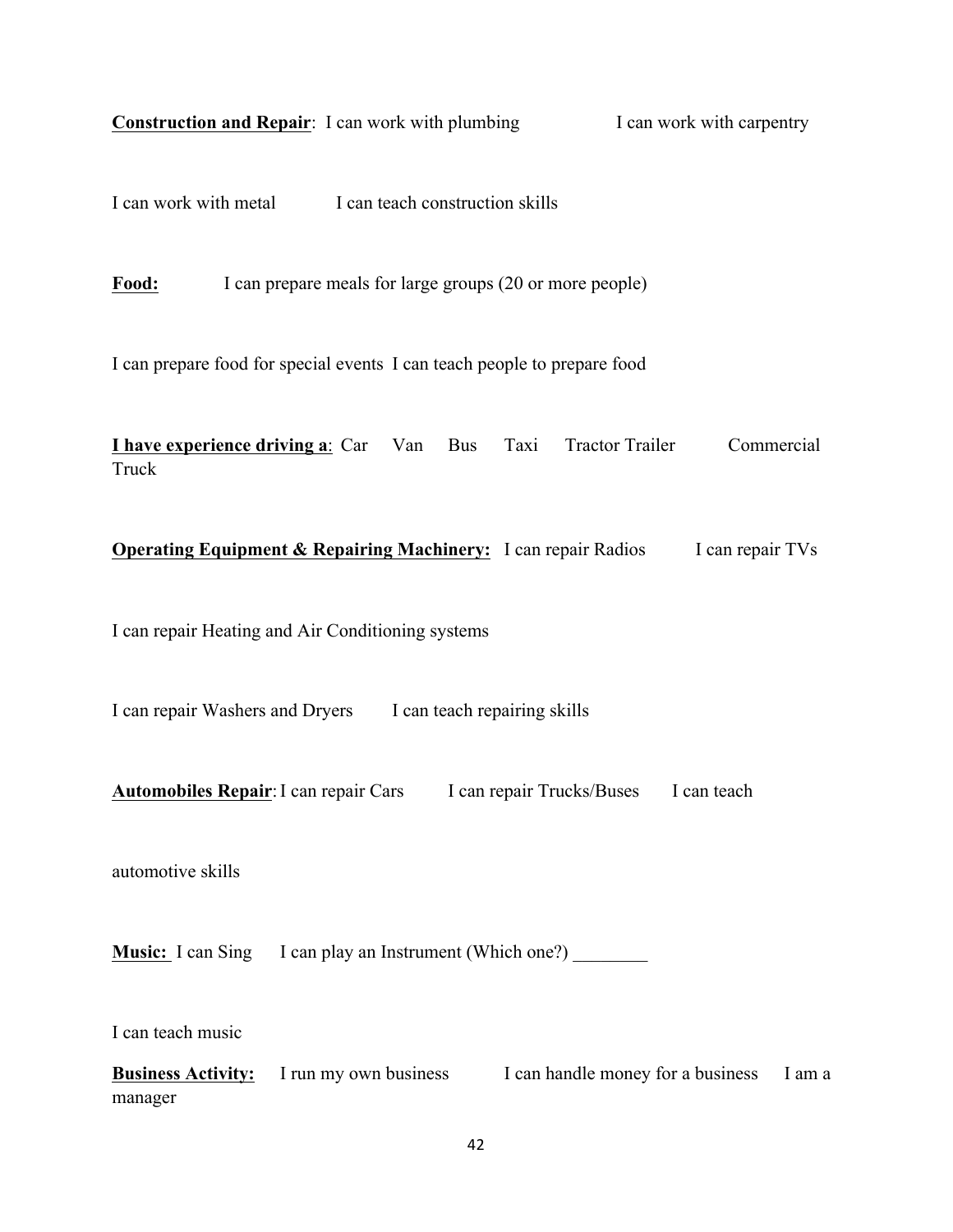| <b>Construction and Repair:</b> I can work with plumbing<br>I can work with carpentry                                       |
|-----------------------------------------------------------------------------------------------------------------------------|
| I can work with metal I can teach construction skills                                                                       |
| I can prepare meals for large groups (20 or more people)<br>Food:                                                           |
| I can prepare food for special events I can teach people to prepare food                                                    |
| <b>I have experience driving a:</b> Car Van Bus<br>Commercial<br>Taxi<br><b>Tractor Trailer</b><br>Truck                    |
| <b>Operating Equipment &amp; Repairing Machinery:</b> I can repair Radios<br>I can repair TVs                               |
| I can repair Heating and Air Conditioning systems                                                                           |
| I can repair Washers and Dryers I can teach repairing skills                                                                |
| <b>Automobiles Repair: I can repair Cars</b><br>I can repair Trucks/Buses<br>I can teach                                    |
| automotive skills                                                                                                           |
| <b>Music:</b> I can Sing I can play an Instrument (Which one?)                                                              |
| I can teach music<br><b>Business Activity:</b> I run my own business I can handle money for a business<br>I am a<br>manager |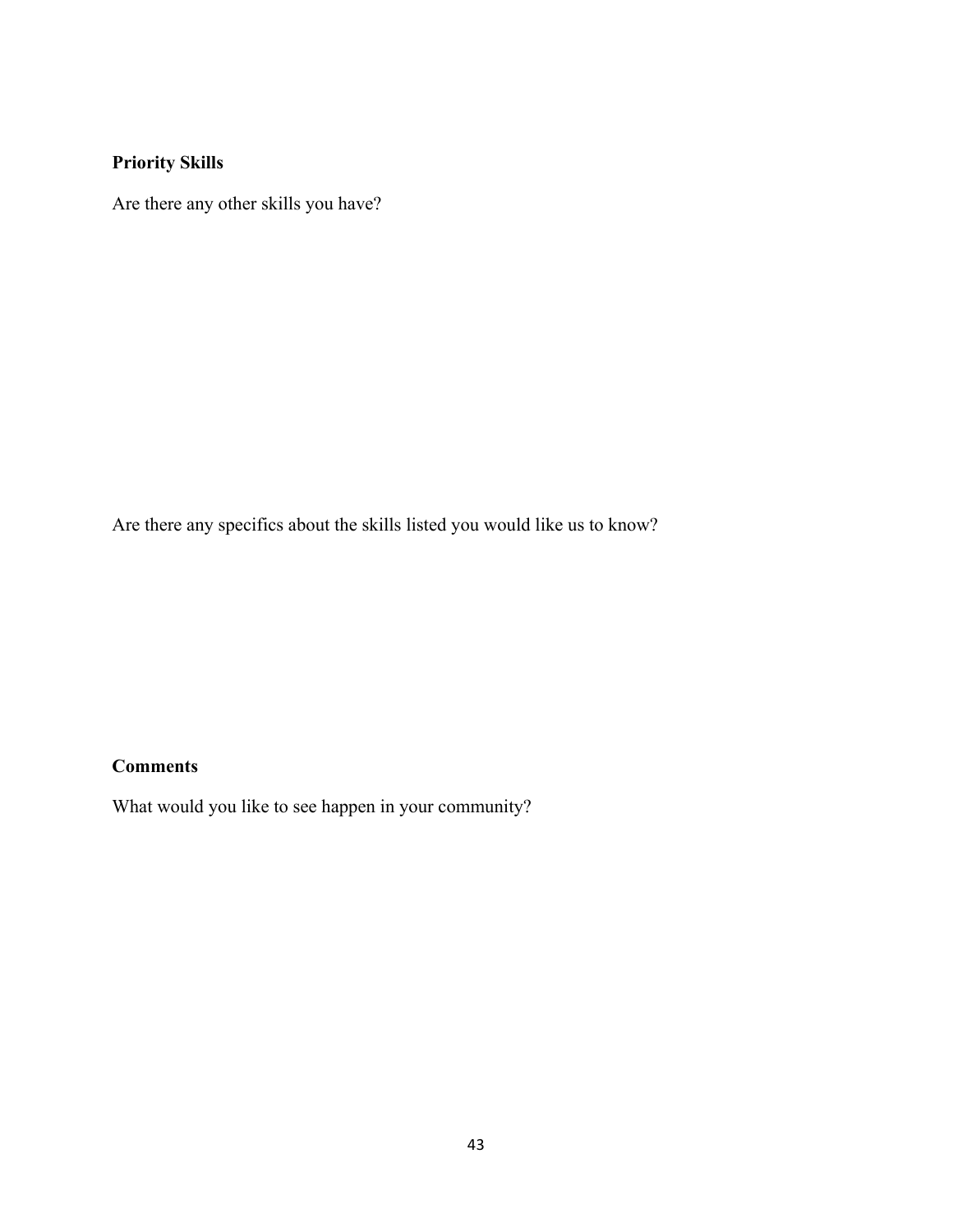## **Priority Skills**

Are there any other skills you have?

Are there any specifics about the skills listed you would like us to know?

## **Comments**

What would you like to see happen in your community?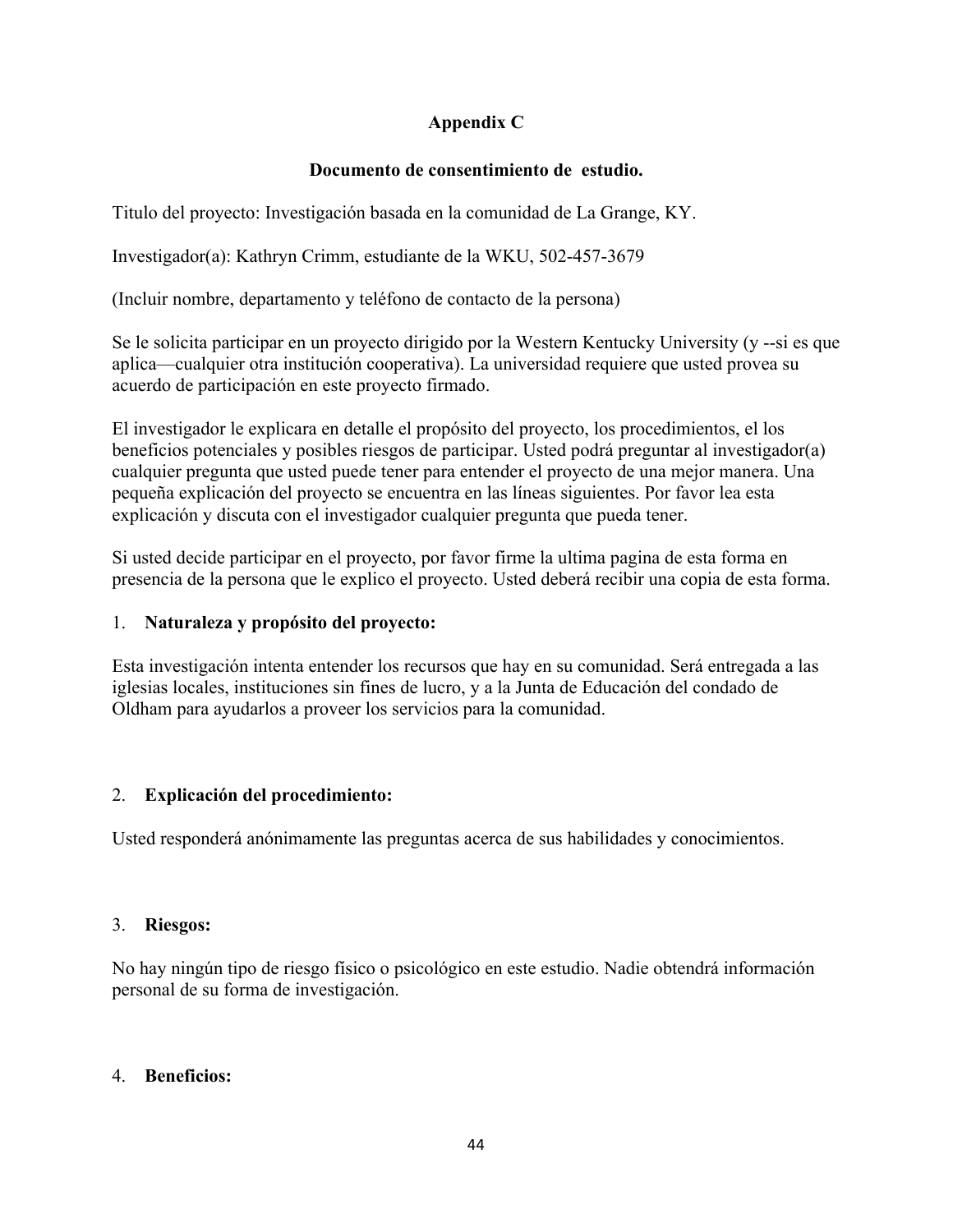## **Appendix C**

## **Documento de consentimiento de estudio.**

Titulo del proyecto: Investigación basada en la comunidad de La Grange, KY.

Investigador(a): Kathryn Crimm, estudiante de la WKU, 502-457-3679

(Incluir nombre, departamento y teléfono de contacto de la persona)

Se le solicita participar en un proyecto dirigido por la Western Kentucky University (y --si es que aplica—cualquier otra institución cooperativa). La universidad requiere que usted provea su acuerdo de participación en este proyecto firmado.

El investigador le explicara en detalle el propósito del proyecto, los procedimientos, el los beneficios potenciales y posibles riesgos de participar. Usted podrá preguntar al investigador(a) cualquier pregunta que usted puede tener para entender el proyecto de una mejor manera. Una pequeña explicación del proyecto se encuentra en las líneas siguientes. Por favor lea esta explicación y discuta con el investigador cualquier pregunta que pueda tener.

Si usted decide participar en el proyecto, por favor firme la ultima pagina de esta forma en presencia de la persona que le explico el proyecto. Usted deberá recibir una copia de esta forma.

## 1. **Naturaleza y propósito del proyecto:**

Esta investigación intenta entender los recursos que hay en su comunidad. Será entregada a las iglesias locales, instituciones sin fines de lucro, y a la Junta de Educación del condado de Oldham para ayudarlos a proveer los servicios para la comunidad.

## 2. **Explicación del procedimiento:**

Usted responderá anónimamente las preguntas acerca de sus habilidades y conocimientos.

## 3. **Riesgos:**

No hay ningún tipo de riesgo físico o psicológico en este estudio. Nadie obtendrá información personal de su forma de investigación.

## 4. **Beneficios:**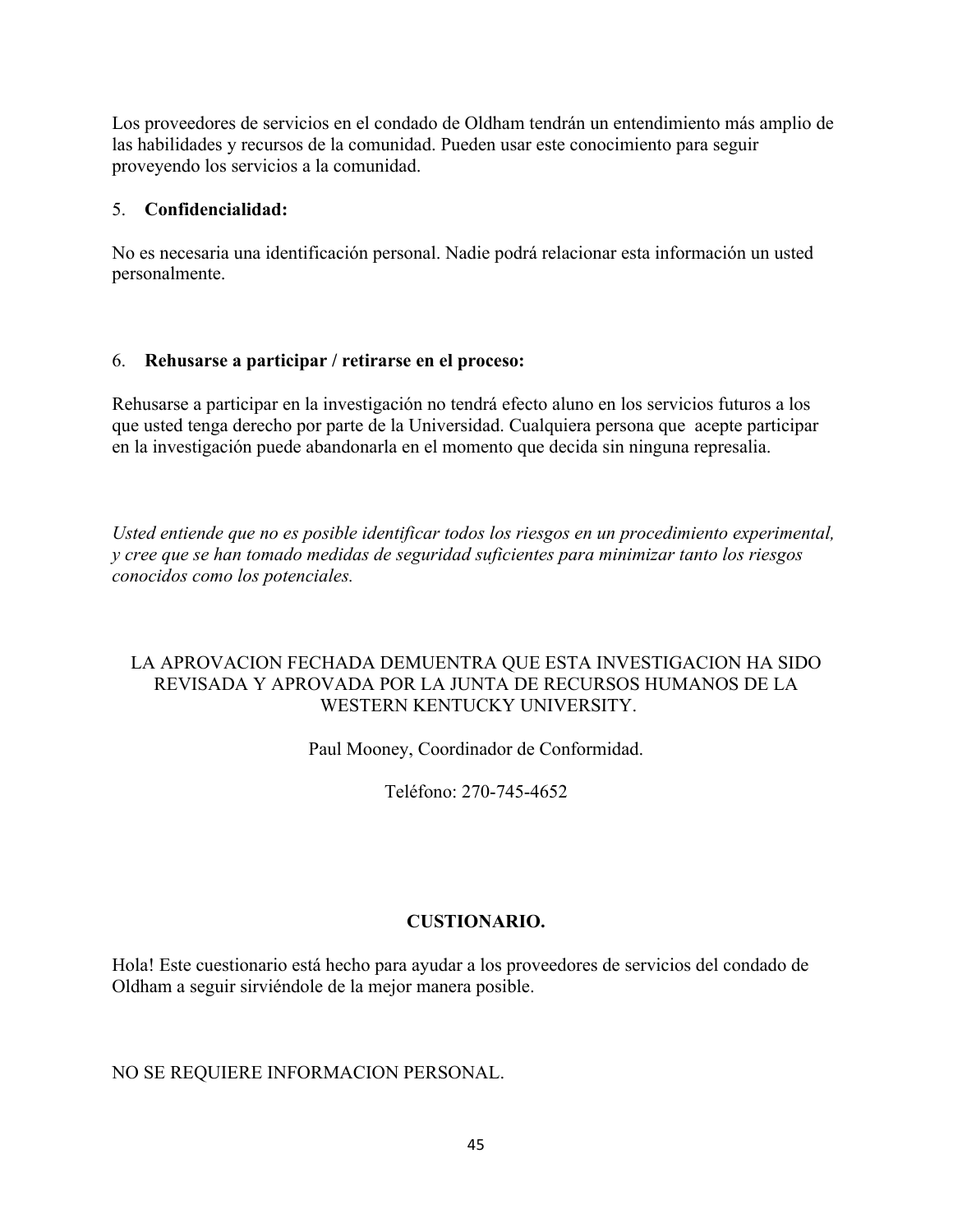Los proveedores de servicios en el condado de Oldham tendrán un entendimiento más amplio de las habilidades y recursos de la comunidad. Pueden usar este conocimiento para seguir proveyendo los servicios a la comunidad.

#### 5. **Confidencialidad:**

No es necesaria una identificación personal. Nadie podrá relacionar esta información un usted personalmente.

#### 6. **Rehusarse a participar / retirarse en el proceso:**

Rehusarse a participar en la investigación no tendrá efecto aluno en los servicios futuros a los que usted tenga derecho por parte de la Universidad. Cualquiera persona que acepte participar en la investigación puede abandonarla en el momento que decida sin ninguna represalia.

*Usted entiende que no es posible identificar todos los riesgos en un procedimiento experimental, y cree que se han tomado medidas de seguridad suficientes para minimizar tanto los riesgos conocidos como los potenciales.* 

## LA APROVACION FECHADA DEMUENTRA QUE ESTA INVESTIGACION HA SIDO REVISADA Y APROVADA POR LA JUNTA DE RECURSOS HUMANOS DE LA WESTERN KENTUCKY UNIVERSITY.

Paul Mooney, Coordinador de Conformidad.

Teléfono: 270-745-4652

## **CUSTIONARIO.**

Hola! Este cuestionario está hecho para ayudar a los proveedores de servicios del condado de Oldham a seguir sirviéndole de la mejor manera posible.

## NO SE REQUIERE INFORMACION PERSONAL.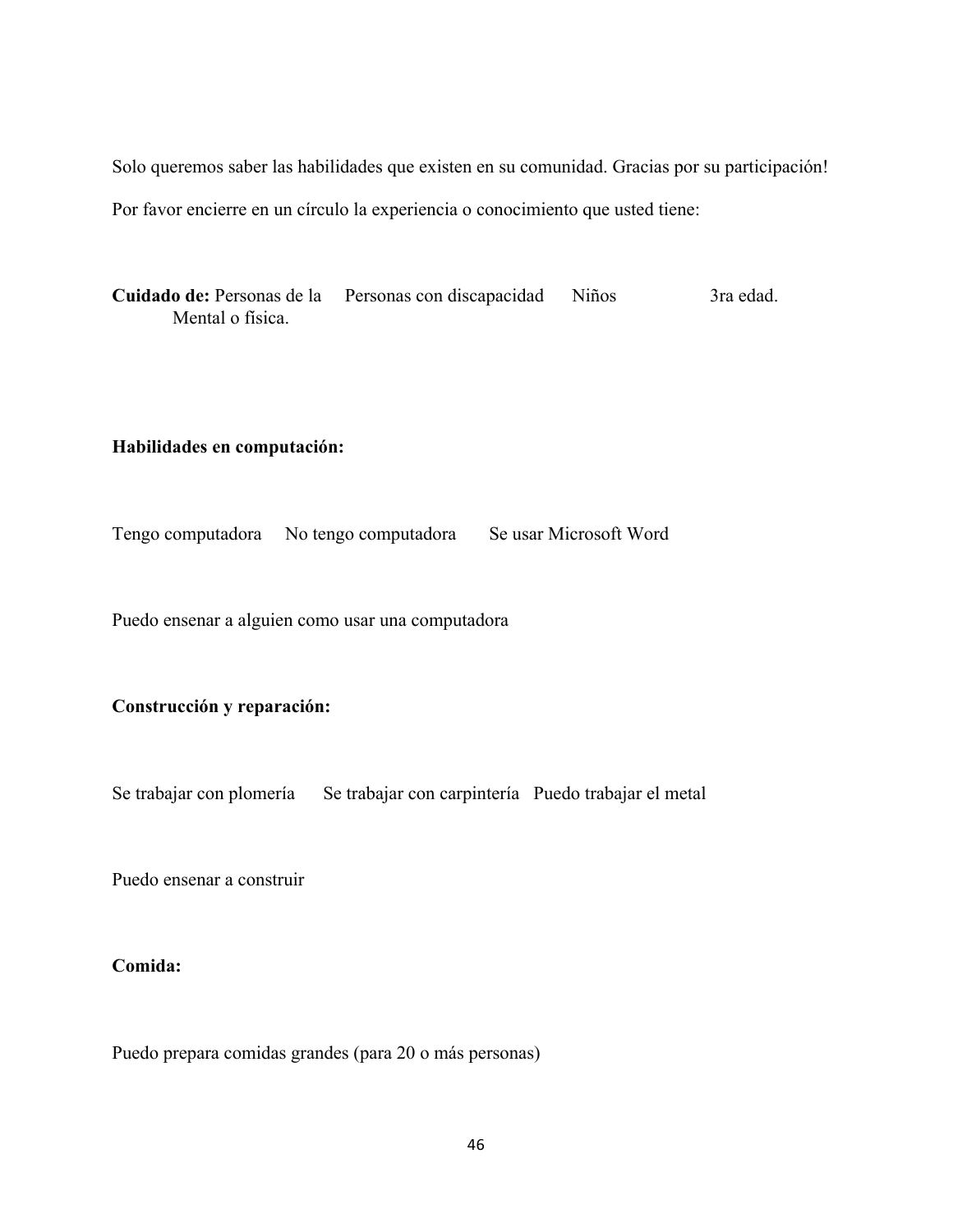Solo queremos saber las habilidades que existen en su comunidad. Gracias por su participación! Por favor encierre en un círculo la experiencia o conocimiento que usted tiene:

Cuidado de: Personas de la Personas con discapacidad Niños 3ra edad. Mental o física.

#### **Habilidades en computación:**

Tengo computadora No tengo computadora Se usar Microsoft Word

Puedo ensenar a alguien como usar una computadora

#### **Construcción y reparación:**

Se trabajar con plomería Se trabajar con carpintería Puedo trabajar el metal

Puedo ensenar a construir

#### **Comida:**

Puedo prepara comidas grandes (para 20 o más personas)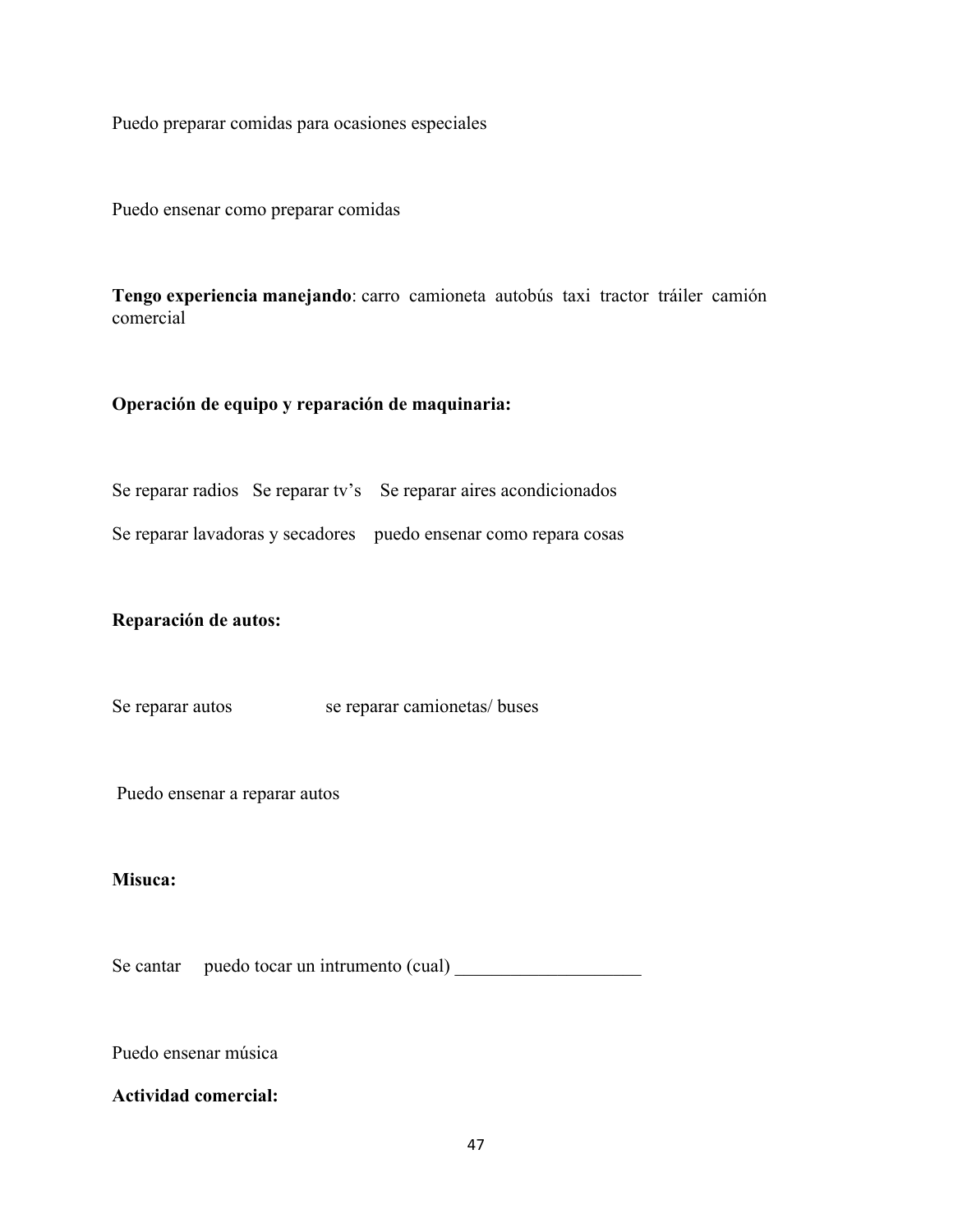Puedo preparar comidas para ocasiones especiales

Puedo ensenar como preparar comidas

**Tengo experiencia manejando**: carro camioneta autobús taxi tractor tráiler camión comercial

#### **Operación de equipo y reparación de maquinaria:**

Se reparar radios Se reparar tv's Se reparar aires acondicionados

Se reparar lavadoras y secadores puedo ensenar como repara cosas

**Reparación de autos:**

Se reparar autos se reparar camionetas/ buses

Puedo ensenar a reparar autos

#### **Misuca:**

Se cantar puedo tocar un intrumento (cual)

Puedo ensenar música

#### **Actividad comercial:**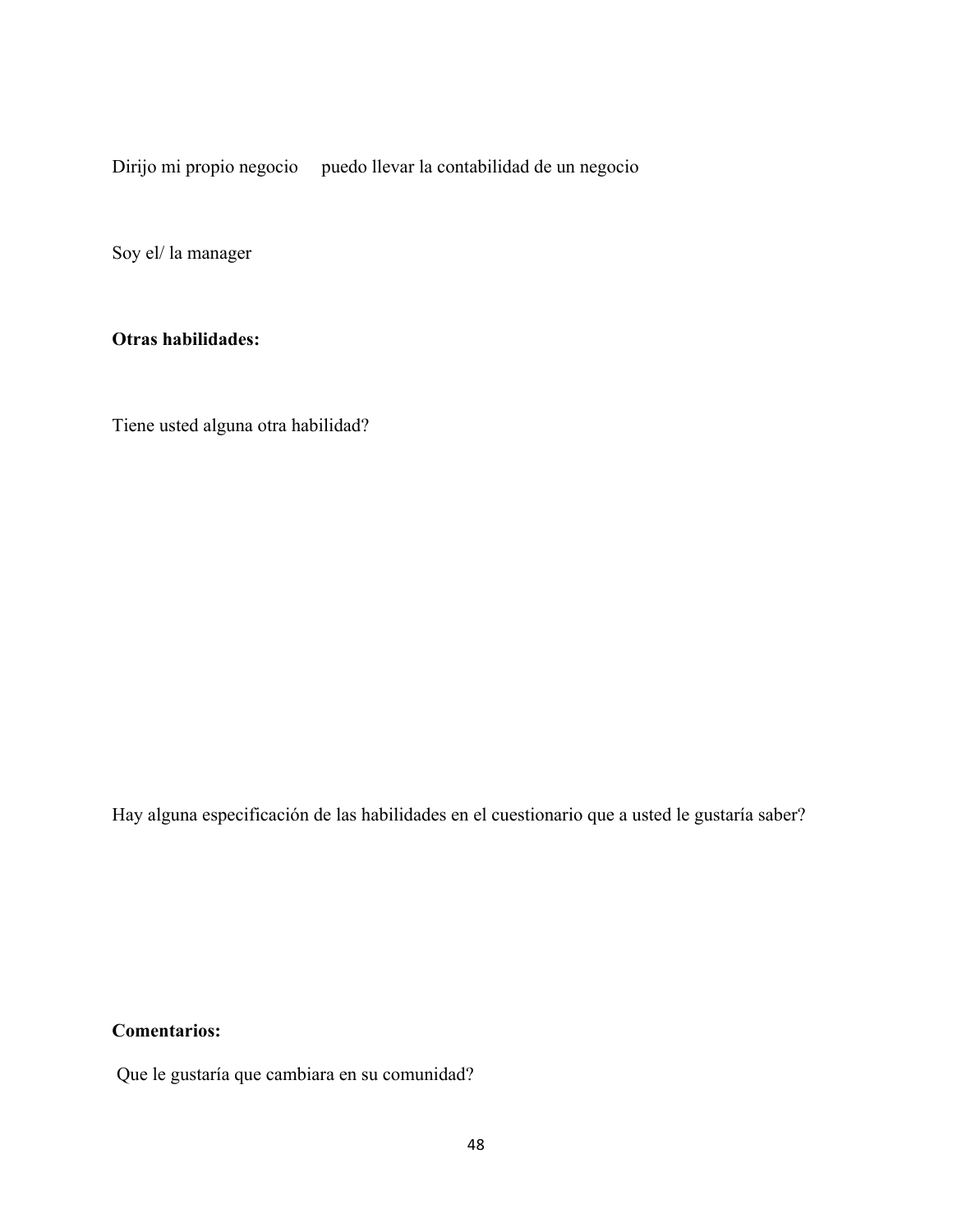Dirijo mi propio negocio puedo llevar la contabilidad de un negocio

Soy el/ la manager

#### **Otras habilidades:**

Tiene usted alguna otra habilidad?

Hay alguna especificación de las habilidades en el cuestionario que a usted le gustaría saber?

**Comentarios:**

Que le gustaría que cambiara en su comunidad?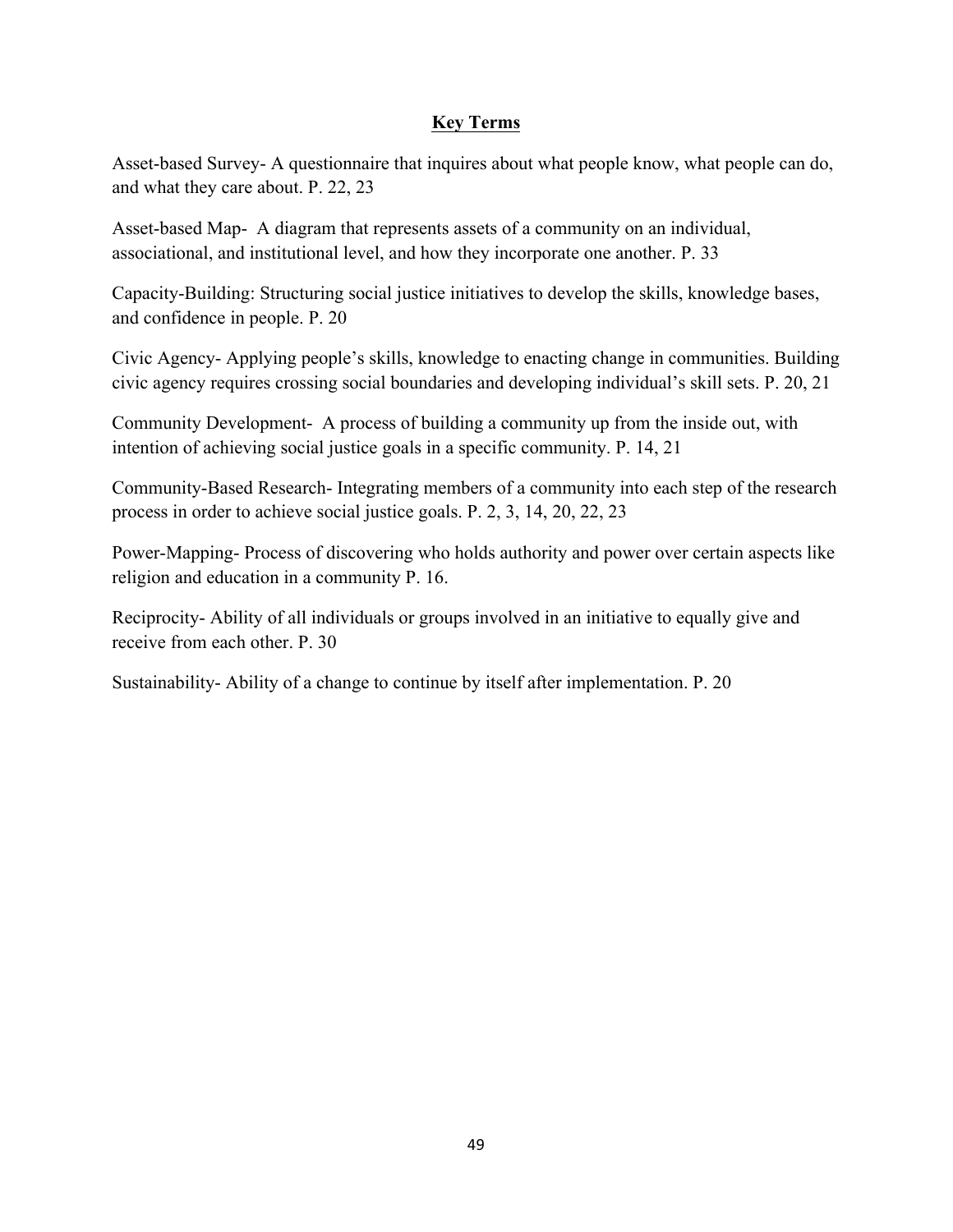#### **Key Terms**

Asset-based Survey- A questionnaire that inquires about what people know, what people can do, and what they care about. P. 22, 23

Asset-based Map- A diagram that represents assets of a community on an individual, associational, and institutional level, and how they incorporate one another. P. 33

Capacity-Building: Structuring social justice initiatives to develop the skills, knowledge bases, and confidence in people. P. 20

Civic Agency- Applying people's skills, knowledge to enacting change in communities. Building civic agency requires crossing social boundaries and developing individual's skill sets. P. 20, 21

Community Development- A process of building a community up from the inside out, with intention of achieving social justice goals in a specific community. P. 14, 21

Community-Based Research- Integrating members of a community into each step of the research process in order to achieve social justice goals. P. 2, 3, 14, 20, 22, 23

Power-Mapping- Process of discovering who holds authority and power over certain aspects like religion and education in a community P. 16.

Reciprocity- Ability of all individuals or groups involved in an initiative to equally give and receive from each other. P. 30

Sustainability- Ability of a change to continue by itself after implementation. P. 20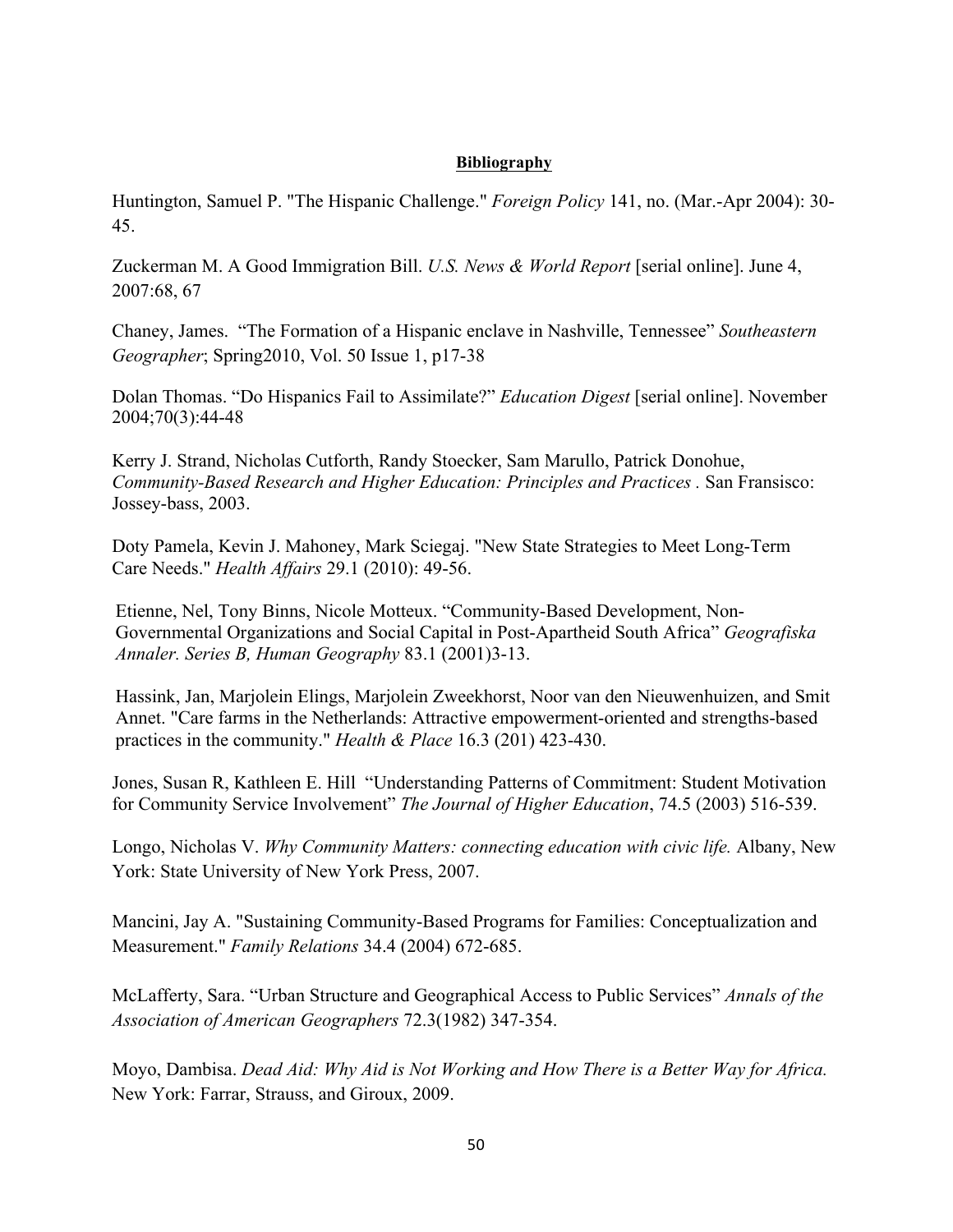#### **Bibliography**

Huntington, Samuel P. "The Hispanic Challenge." *Foreign Policy* 141, no. (Mar.-Apr 2004): 30- 45.

Zuckerman M. A Good Immigration Bill. *U.S. News & World Report* [serial online]. June 4, 2007:68, 67

Chaney, James. "The Formation of a Hispanic enclave in Nashville, Tennessee" *Southeastern Geographer*; Spring2010, Vol. 50 Issue 1, p17-38

Dolan Thomas. "Do Hispanics Fail to Assimilate?" *Education Digest* [serial online]. November 2004;70(3):44-48

Kerry J. Strand, Nicholas Cutforth, Randy Stoecker, Sam Marullo, Patrick Donohue, *Community-Based Research and Higher Education: Principles and Practices .* San Fransisco: Jossey-bass, 2003.

Doty Pamela, Kevin J. Mahoney, Mark Sciegaj. "New State Strategies to Meet Long-Term Care Needs." *Health Affairs* 29.1 (2010): 49-56.

Etienne, Nel, Tony Binns, Nicole Motteux. "Community-Based Development, Non-Governmental Organizations and Social Capital in Post-Apartheid South Africa" *Geografiska Annaler. Series B, Human Geography* 83.1 (2001)3-13.

Hassink, Jan, Marjolein Elings, Marjolein Zweekhorst, Noor van den Nieuwenhuizen, and Smit Annet. "Care farms in the Netherlands: Attractive empowerment-oriented and strengths-based practices in the community." *Health & Place* 16.3 (201) 423-430.

Jones, Susan R, Kathleen E. Hill "Understanding Patterns of Commitment: Student Motivation for Community Service Involvement" *The Journal of Higher Education*, 74.5 (2003) 516-539.

Longo, Nicholas V. *Why Community Matters: connecting education with civic life.* Albany, New York: State University of New York Press, 2007.

Mancini, Jay A. "Sustaining Community-Based Programs for Families: Conceptualization and Measurement." *Family Relations* 34.4 (2004) 672-685.

McLafferty, Sara. "Urban Structure and Geographical Access to Public Services" *Annals of the Association of American Geographers* 72.3(1982) 347-354.

Moyo, Dambisa. *Dead Aid: Why Aid is Not Working and How There is a Better Way for Africa.*  New York: Farrar, Strauss, and Giroux, 2009.